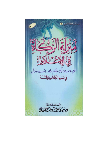لةنركة غسن ٢ لمح وسمل  $\overline{\mathcal{G}}$  $\frac{1}{2}$ وسنەنة، وَعَنّ واٰظام، وفلار، وشسە دط، دسال<br>في ضعَوءِ اللّٰهِ كَمَاسٍ وَاللَّهُ يَنَّهَ  $-$ -أليفا للقيرلان الله تعالى ويعتقا وكالمائ وهنا المنظانى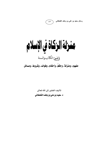

رسائل سعيد بن علي بن وهف القحطاني

منرلة الزكاة في الإسلام وضوع الكتاب والسنة مفهوم، ومنزلة، وحكَمٌ، وأحكام، وفوائد، وشروط، ومسائل

تأليف الفقير إلى الله تعالى د. سعيد بن علي بن وهف القحطاني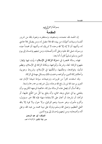المقدمة

بسماللهالرحمزالرحيم المقدمة

إن الحمد لله، نحمده، ونستعينه، ونستغفره، ونعوذ بالله من شرور أنفسنا وسيئات أعمالنا، من يهده الله فلا مضل له، ومن يضلل فلا هادي له، وأشهد أن لا إله إلا الله وحده لا شريك له، وأشهد أن محمداً عبده ورسوله، صلى الله عليه وعلى آله وأصحابه، ومن تبعهم بإحسان إلى يوم الدين وسلم تسليهاً كثبراً، أما بعد:

فهذه رسالة مختصرة في «منزلة الزكاة في الإسلام» بيَّنت فيها بإيجاز: مفهوم الزكاة: لغة، وشرعاً، وأنواعها، ومكانة الزكاة في الإسلام، وعِظم شأنها، وفوائدها، وحِكَمها، وحُكْمَها في الإسلام، وشروط وجوبها، وأحكام زكاة الدين، وأنواعه، وختمت ذلك بمسائل مهمة في الزكاة.

وقد استفدت كثيراً من تقريرات وترجيحات سماحة شيخنا الإمام عبد العزيز بن عبد الله ابن باز رفع الله درجاته، ونوَّر ضريحه، ورحمه رحمة واسعة.

واللهَ أسأل أن يجعل هذه الرسالة مباركة، خالصة لوجهه الكريم، وأن ينفعني بها في حياتي وبعد مماتي، وأن ينفع بها كلُّ من اطَّلع عليها، أو قرأها، أو نشرها، أو أعان على الاستفادة منها؛ فإنه ﷺ خير مسؤول، وأكرم مأمول، وهو حسبنا ونعم الوكيل، ولا حول ولا قوة إلا بالله العلى العظيم، وصلى الله وسلم وبارك على نبينا محمد بن عبد الله، وعلى آله، وأصحابه، ومن تبعهم بإحسان إلى يوم الدين.

المؤلف: أبو عبد الرحمن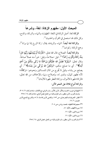## المبحث الأول: مفهوم الزكاة: لغة، وشرعاً

الزكاة لغة: أصل الزكاة في اللغة: الطهارة، والنباء، والله ج، وكل ذلك قد استعمل في القرآن والحديث''.

وا**لزكاة لغة أيضاً**: النهاء، والزيادة، يقال: زكا الزرع إذا نها وزاد<sup>(٢)</sup>، وجمع الزكاة: زكوات<sup>(٣)</sup>.

والزكاة أيضاً: الصلاح، قال الله تعالى: ﴿فَأَرَدْنَا أَنْ يُبْدِلَـهُمَا رَبُّهُمَا خَيْرٍاً مِنْهُ زَكَاةً وَأَقْرَبَ رُحْماً﴾ $\overset{(i)}{\cdot},$  قيل: صلاحاً، وقيل: خيراً منه عملاً صالحاً. وقال تعالى: ﴿وَلَوْلا فَضْلُ الله عَلَيْكُمْ وَرَحْمَتُهُ مَا زَكَى مِنْكُمْ مِنْ أَحَدٍ  $\ddot{\phantom{0}}$ أَبَداً﴾(°). أي ما صلح منكم، ﴿وَلَكِنَّ الله يُزَكِّي مَنْ يَشَاءُ﴾ (''). أي يصلح من يشاء، وقيل لما يَخرج من المال للمساكين ونحوهم: «زكاةً»؛ لانه تطهير للمال، وتثمير له، وإصلاح، ونهاء بالإخلاف من الله تعالى، فالزكاة طهرة للأموال، وزكاة الفطر طهرة للأبدان<sup>(٧)</sup>. والزكاة أنواع ثلاثة على النحو الاتي:

- ــــــــــــــــــــــــــــــــــــــــــــــــــــــــــــــــــــــــــــ ( \ ) النهاية في غريب الحديث والأثر، لابـن الأثـير، بـاب الـزاي مـع الكـاف، مـادة «زكـا»، ٢٠٧/٢، ولسان العرب، لابن منظور، باب الواو والياء من المعتل فصل الزاي، مادة «زكا»، ٢٥٨/١٤. (٢) انظـر : التعريفـات للجرجـاني، ص ١٥٢، والمغنـي لابـن قدامـة، ٤/ ٥، والشرـح الممتـع لابـن عثيمين، ٦/ ١٧. (۳) معجم لغة الفقهاء، لمحمد رواس، ص ۲۰۸. (٤) سورة الكهف، الآية: ٨١. (٥) سورة النور، الآية: ٢١.
	- (٦) سورة النور، الأية: ٢١.
	- (٧) لسان العرب، لابن منظور، باب الواو والياء من المعتل، فصل الزاي، ٢٥٨/١٤.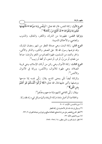$\overline{\phantom{a}}$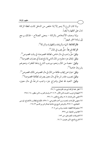ولما كان الزرع لا ينمو إلا إذا خلص من الدغل كانت لفظة الزكاة تدل على الطهارة أيضاً.

وإذا وصف الأشخاص بالزكاة – بمعنى الصلاح – فذلك يرجع إلى زيادة الخير فيهم''.

فالزكاة لغة: النهاء والزيادة، والطهارة، والبركة<sup>(٢)</sup>. الزكاة شرعاً: حقٌّ يجب في المال"). وقيل:حقٌّ واجب في مال خاص، لطائفة مخصوصة، في وقت مخصوص (''. وقيل: إنفاق جزء معلوم من المال النامي إذا بلغ نصاباً في مصارف مخصوصة<sup>(٥)</sup>. وقيل: حصة من المال ونحوه يوجب الشرع بذلها للفقراء ونحوهم بشروط خاصة<sup>(٦)</sup>. وقيل: عبارة عن إيجاب طائفة من المال في مال مخصوص لمالك مخصوص (٧).

وقيل:نصيب مقدر شر عاً في مال معين يصر ف لطائفة مخصوصة'". وقيل: التعبد لله تعالى بإخراج جزء واجب شرعاً، في مال معين،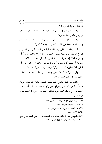لطائفة أو جهة مخصوصة (').

وقيل: حق يجب في أموال مخصوصة، على وجه مخصوص، ويعتبر في وجوبه الحول والنصاب (٢).

وقيل: تمليك جزء من مال معين شرعاً من يستحقه من مسلم بشرط قطع المنفعة عن ذلك المال من كل وجه لله تعالى'".

قال الإمام الشوكاني رحمه الله: «الزكاة في اللغة: النهاء، يقال: زكي الزرع إذا نبه، وترد أيضاً بمعنى التطهير، وترد شرعاً باعتبارين معاً، أما بالأول؛ فلأن إخراجها سبب للنهاء في المال، أو بمعنى أن الأجر يكثر بسببها، أو بمعنى أن تعلقها بالأموال ذات النهاء: كالتجارة، والزراعة، وأما الثاني؛ فلأنها طهرة النفس من رذيلة البخل، وطهرة من الذنوب))(''.

وقيل: الزكاة شرعاً: حق واجب، في مال مخصوص لطائفة مخصوصة، في وقت مخصوص<sup>(٥)</sup>.

والتعريف الذي يشمل التعريفات المتقدمة كلها: أن يقال: الزكاة شرعاً: «التعبد لله تعالى بإخراج حق واجب مخصوص شرعاً، من مال مخصوص، في وقت مخصوص، لطائفة مخصوصة، بشروط مخصوصة». والله أعلم.

شرح منهج

السالكين، لعبدالله بن عبدالرحمن بن جبرين، ١ / ٢٧٩.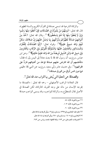والزكاة الشرعية قد تسمى صدقة في القرآن الكريم والسنة المطهرة، قال الله تعالى: ﴿وَمِنْهُمْ مَنْ يَلْمِزُكَ فِى الصَّدَقَاتِ فَإِنْ أَعْطُوا مِنْهَا رَضُوا وَإِنْ لَمْ يُعْطَوْا مِنْهَا إِذَا هُمْ يَسْخَطُونَ﴾ (''. وقال الله تعالى: ﴿خُذْ مِنْ أَمْوَالِـهِمْ صَدَقَةً تُطَهِّرُهُمْ وَتُزَكِّيهِمْ بِهَا وَصَلِّ عَلَيْهِمْ إِنَّ صَلَاتَكَ سَكَنٌ لَهُمْ وَالله سَمِيعٌ عَلِيمٌ﴾"). وقولهُ تعالى: ﴿إِنَّمَا الصَّدَقَاتُ لِلْفُقَرَاءِ وَالْمَسَاكِينِ وَالْعَامِلِينَ عَلَيْهَا وَالْمُؤَلَّفَةِ قُلُوبُهُمْ وَفِي الرِّقَابِ وَالْغَارِمِينَ وَفِي سَبِيلِ الله وَابْنِ السَّبِيلِ فَرِيضَةً مِنَ الله وَالله عَلِيمٌ حَكِيمٌ﴾ اُ". وعن ابن عباس رضوِلله عنهما أن رسول الله ﷺ لما بعث معاذاً إلى اليمن بيَّن له فقال: ((فأعلمهم أن الله افترض عليهم صدقة تؤخذ من أغنيائهم فتردُّ على فقرائهم››<sup>(؛)</sup>. وفي حديث جابر وأبي سعيد <sub>رضرِالله</sub>ءيما عن النبي ﷺ: «ليس فيها دون خمس أواقٍ من الورق صدقة)،'<sup>٥)</sup>.

والصدقة: هي العطية التي يُبتغي بها الثواب عند الله تعالى (").

قال العلامة الراغب الأصفهاني – رحمه الله تعالى : «الصدقة ما يخرجه الإنسان من ماله على وجه القربة، كالزكاة، لكن الصدقة في الأصل تقال للمتطوَّع به، والزكاة للواجب، وقد يسمى الواجب صدقة

> (١) سورة التوبة، الآية: ٥٨. (٢) سورة التوية، الآية: ١٠٣. (٣) سورة التوية، الآية: ٦٠. (٤) متفق عليه: البخاري برقم ١٣٩٥، ومسلم، برقم ١٩، ويأتي تخريجه إن شاءالله تعالى. (٥) البخاري برقم ١٤٠٥، ومسلم برقم ٩٨٠، ويأتي تخريجه إن شاء الله تعالى. (٦) التعريفات، للجرجاني، ص ١٧٣، ولغة الفقهاء لمحمد رواس، ص ٢٤٣.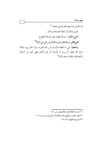%# D e( 3078 M EE )-( ] : + H`e( ( , 5(I z0# ] wu( H`8 :+ %u? H`8 :tR L5 EBN( h! h( , ( H`8 :+ %u? H`8 :fo L5 )( ] 5(I '' B t/ ,@( ( P u+, h! :={\ ,EBN( >+, h3# ,5( @ , , ( '' , ,<? T 5(  ,H0 ,H`e( )( ]

 $\left($ 

ੇ

ــــــــــــــــــــــــــــــــــــــــــــــــــــــــــــــــــــــــــــ (١) مفردات ألفاظ القرآن، للأصفهاني، ص ٤٨٠ .

<sup>(</sup>٢) انظر : القاموس الفقهي لغة واصطلاحا، لسعدي أبو جيب، ص ٢٠٩ .

<sup>(</sup>٣) الموسوعة الفقهية، ٢٢٧ / ٢٢٧ .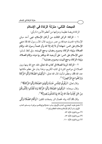## المبحث الثاني: منزلة الزكاة في الإسلام

الزكاة فريضة عظيمة ومنزلتها من أعظم الأمور؛ لما يأتي:

١ – الزكاة: الركن الثالث من أركان الإسلام، فهي أحد مباني الإسلام؛ لحديث عبدالله بن عمر رض<sub>ي</sub>للهءِها قال: قال رسول الله ﷺ: «**بني** الإسلام على خمس: شهادة أن لا إله إلا الله وأن محمدًا رسول الله، وإقام الصلاة، وإيتاء الزكاة، وصوم رمضان، وحج البيت». وفي لفظ لمسلم: «بني الإسلام على خمس: على أن يعبد الله ويكفر بما دونه، وإقام الصلاة، وإيتاء الزكاة، وحج البيت، وصوم رمضان)،''<sup>)</sup>.

٢ – الزكاة: قرينة الصلاة في كتاب الله تعالى، فقد جمع الله بينها وبين الصلاة في مواضع كثيرة في كتابه الكريم، وهذا يدل على عظم مكانتها عند الله ﷺ، وعظم شأنها، قال الله تعالى: ﴿وَأَقِيمُوا الصَّلَاةَ وَآَثُوا الزَّكَاةَ وَارْكَعُوا مَعَ الرَّاكِعِينَ﴾ ('').

وقال تعالى: ﴿وَقُولُوا لِلنَّاسِ حُسْنًا وَأَقِيمُوا الصَّلَاةَ وَآَتُوا الزَّكَاةَ حُسْنًا وَأَقِيمُوا الصَّلَاةَ وَأَتُوا الزَّكَاةَ﴾''". وقال سبحانه: ﴿وَأَقِيمُوا الصَّلَاةَ وَآتُوا الزَّكَاةَ وَمَا تُقَدِّمُوا لِأَنْفُسِكُمْ وَأَقِ مِنْ خَيْرٍ تَجِدُوهُ عِنْدَ الله إِنَّ الله بِهَا تَعْمَلُونَ بَصِيرٌ﴾''.

وقال ﷺ أثناء بيانه لخصال البر وصفات المتقين: ﴿وَأَقَامَ الصَّلَاةَ وَآتَمِي

- (١) متفـق عليــه: البخـاري، كتـاب الإيــان، بــاب: دعــاؤكم إيمانكــم، بــرقم ٨، ومســلم، كتــاب الإيهان، باب أركان الإسلام ودعائمه العظام برقم ١٦ .
	- (٢) سورة البقرة، الآية: ٤٣.

ــــــــــــــــــــــــــــــــــــــــــــــــــــــــــــــــــــــــــــ

- (٣) سورة البقرة، الآية: ٨٣.
- (٤) سورة البقرة، الآية: ١١٠.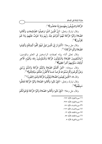الزَّكَاةَ وَالـمُّوفُونَ بِعَهْدِهِمْ إِذَا عَاهَدُوا﴾'''.

وقال تبارك وتعالى: ﴿إِنَّ الَّذِينَ آمَنُوا وَعَمِلُوا الصَّالِحَاتِ وَأَقَامُوا الصَّلاةَ وَآتَوُا الزَّكَاةَ لَـهُمْ أَجْرُهُمْ عِنْدَ رَبِّهِمْ وَلا خَوْفٌ عَلَيْهِمْ وَلا هُمْ **َيَحْزَنُونَ﴾**(٢)<sub>.</sub>

وقال جل وِعلا: ﴿أَلَـَمْ تَرَ إِلَى الَّذِينَ قِيلَ لَـهُمْ كُفُّوا أَيْدِيَكُمْ وَأَقِيمُوا هُمْ كُفُّوا أَيْدِيَكُمْ وَأَقِ الصَّلاةَ وَآتُوا الزَّكَاةَ》 <sup>(٣)</sup>.

وقال تعالى أثناء بيانه لصفات الراسخين في العلم والمؤمنين: ﴿وَالـْمُقِيمِينَ الصَّلاةَ وَالْـمُؤْتُونَ الزَّكَاةَ وَالْـمُؤْمِنُونَ بِالله وَالْيَوْمِ الْآخِرِ أُولَئِكَ سَنُؤْتِيهِمْ أَجْراً عَظِياً﴾(<sup>؛)</sup>.

وقال سبحانه: ﴿لَئِنْ أَقَمْتُمُ الصَّلاةَ وَآتَيْتُمُ الزَّكَاةَ وَآمَنْتُمْ بِرُسُلِي وَعَزَّرْ مُّوْهُمْ وَأَقْرَضْتُمُ الله قَرْضاً حُسَناً لَأُكَفَّرَنَّ عَنْكُمْ سَيِّئَاتِكُمْ﴾ <sup>(٥)</sup> .

وقال ﷺ: ﴿الَّذِينَ يُقِيمُونَ الصَّلاةَ وَيُؤْتُونَ الزَّكَاةَ وَهُمْ رَاكِعُونَ ؤْتُونَ الزَّكَاةَ وَهُمْ رَاكِعُونَ﴾ ('').

وقال تبارك وتعالى: ﴿فَإِنْ تَابُوا وَأَقَامُوا الصَّلاةَ وَآتَوُا الزَّكَاةَ فَخَلُّوا سَبِيلَهُمْ﴾(``).

وقال جل وعلا: ﴿فَإِنْ تَابُوا وَأَقَامُوا الصَّلاةَ وَآتَوُا الزَّكَاةَ فَإِخْوَانُكُمْ

(١) سورة البقرة، الآية: ١٧٧. (٢) سورة البقرة، الآية: ٢٧٧. (٣) سورة النساء، الأية: ٧٧. (٤) سورة النساء، الآية: ١٦٢. (٥) سورة المائدة، الآية: ١٢. (٦) سورة المائدة، الآية: ٥٥.

ــــــــــــــــــــــــــــــــــــــــــــــــــــــــــــــــــــــــــــ

(٧) سورة التوبة، الآية: ٥.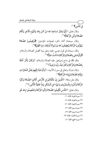فِي الدِّينِ﴾ (').

وقال تعالى: ﴿إِنَّهَا يَعْمُرُ مَسَاجِدَ الله مَنْ آمَنَ بِالله وَالْيَوْمِ الْآخِرِ وَأَقَامَ الصَّلاةَ وَآتَى الزَّكَاةَ﴾ (''.

وقال سبحانه أثناء ذكره لصفات المؤمنين: ﴿وَيُقِيمُونَ الصَّلاةَ وَيُؤْتُونَ الزَّكَاةَ وَيُطِيعُونَ الله وَرَسُولَهُ أُولَئِكَ سَيَرْحَمُهُمُ ﴾ (").

وقال سبحانه في قول عيسى عليه وعلى نبينا أفضل الصلاة والسلام: ﴿وَأَوْصَانِي بِالصَّلاةِ وَالزَّكَاةِ مَا دُمْتُ حَيّاً﴾  $\ddot{ }$ 

وقال ﷺ في مدح إسماعيل عليه الصلاة والسلام: ﴿وَكَانَ يَأْمُرُ أَهْلَهُ بالصَّلاةِ وَالزَّكَاةِ وَكَانَ عِنْدَ رَبِّهِ مَرْضِيَّاً ﴾ ٰ ٛ ۢ .

وقال تبارك وتعالى في سورة الأنبياء: ﴿وَأَوْحَيْنَا إِلَيْهِمْ فِعْلَ الْخَيْرَاتِ وَإِقَامَ الصَّلاةِ وَإِيتَاءَ الزَّكَاةِ﴾'''.

وقال جل وعلا: ﴿الَّذِينَ إِنْ مَكَّنَّاهُمْ فِي الْأَرْضِ أَقَامُوا الصَّلاةَ وَآتَوُا الزَّكَاةَ وَأَمَرُوا بِالْمَعْرُوفِ وَنَهَوْا عَنِ الْمُنْكَرِ وَللَّهَ عَاقِبَةُ الْأُمُورِ﴾ (''.

وقال تعالى: ﴿النَّاسِ فَأَقِيمُوا الصَّلاةَ وَآتُوا الزَّكَاةَ وَاعْتَصِمُوا بِالله هُوَ

- (٣) سورة التوبة، الآية: ٧١.
- (٤) سورة مريم، الآية: ٣١.
- (٥) سورة مريم، الآية: ٥٥.
- (٦) سورة الأنبياء، الآية: ٧٣.
	- (٧) سورة الحج، الآية: ٤١.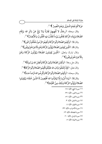مَوْلاكُمْ فَنِعْمَ الْمَوْلَى وَنِعْمَ النَّصِيرُ ﴾ (''.

وقال سبحانه: ﴿رِجَالٌ لا تُلْهِيهِمْ تِجَارَةٌ وَلا بَيْعٌ عَنْ ذِكْرِ الله رِجَالٌ لا تُلْهِيهِمْ يَجَارَةٌ وَلا بَيْعٌ عَنْ ذِكْرِ الله وَإِقَامِ الصَّلاةِ وَإِيتَاءِ الزَّكَاةِ يَخَافُونَ يَوْماً تَتَقَلَّبُ فِيهِ الْقُلُوبُ وَالْأَبْصَارُ﴾ (").

وقال ﷺ: ﴿وَأَقِيمُوا الصَّلاةَ وَآتُوا الزَّكَاةَ وَأَطِيعُوا الرَّسُولَ لَعَلَّكُمْ تُرْحَمُونَ وَأَقِيمُوا الصَّلاةَ وَآتُوا الزَّكَاةَ وَأَطِيعُوا الرَّسُولَ لَعَلَّكُمْ تُرْحَمُونَ﴾ ("). وقال رَكَكَ: ﴿الَّذِينَ يُقِيمُونَ الصَّلاةَ وَيُؤْتُونَ الزَّكَاةَ وَهُمْ بِالْآخِرَةِ هُمْ يُوقِنُونَ َ هُمْ يُوقِر لصَّلاةَ وَيُؤْتُونَ الزَّكَاةَ وَهُمْ بِالْآخِرَةِ هُمْ يُوقِنُونَ﴾ (''.

وقال تبارك وتعالى: ﴿الَّذِينَ يُقِيمُونَ الصَّلاةَ وَيُؤْتُونَ الزَّكَاةَ وَهُمْ مُّمْ يُوقِنُونَ بِالْآخِرَةِ هُمْ يُوقِنُونَ﴾ (°).

وقال جل وعلا: ﴿وَأَقِمْنَ الصَّلاةَ وَآتِينَ الزَّكَاةَ وَأَطِعْنَ الله وَرَسُولَهُ﴾ ("). وقال تعالى: ﴿فَإِذْ لَمْ تَفْعَلُوا وَتَابَ الله عَلَيْكُمْ فَأَقِيمُوا الصَّلاةَ وَآتُوا الزَّكَاةَ عَلَيْكُمْ فَأَقِيمُوا الصَّلاةَ وَآتُوا الزَّكَاةَ﴾ (''. í وقال سبحانه: ﴿وَأَقِيمُوا الصَّلاةَ وَأَتُوا الزَّكَاةَ وَأَقْرِضُوا الله وَأَقِيمُوا الصَّلاةَ وَآَتُوا الزَّكَاةَ وَأَقْرِضُوا الله قَرْضاً حَسَناً﴾ (^). وقال ﷺ: ﴿وَمَا أُمِرُوا إِلَّا لِيَعْبُ وَمَا أُمِرُوا إِلَّا لِيَعْبُدُوا الله مُخْلِصِينَ لَهُ الدِّينَ حُنَفَاءَ وَيُقِيمُوا خُْلِصِينَ لَهُ الدِّينَ حُنَفَاءَ وَيُقِ ينُ الْقَيِّمَةِ الصَّلاةَ وَيُؤْتُوا الزَّكَاةَ وَذَلِكَ دِينُ الْقَيِّمَةِ﴾ ("ُ .

[cd :H ,T "5 -M

ــــــــــــــــــــــــــــــــــــــــــــــــــــــــــــــــــــــــــــ

Y[d :H ,"5 "5 -W

bpd :H ,"5 "5 -Y

 :Yd H ,3k "5 a

 :ad H ,(r "5 b

YYd :H ,-7R "5 p

MYd : H ,!h] "5 -[

WZd :H ,3] "5 c

 :bd H ,= "5 z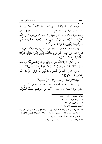وهذه الآيات السابقة قرنت بين الصلاة والزكاة ستًّا وعشرين مرة، كل مرة منها في آية واحدة، وتمام السابعة والعشرين مرة جاءت في سياق واحد مع الصلاة، وإن لم تكن معها في آية واحدة، هي قوله تعالى: ﴿قَلْ أَفْلَحَ الْمُؤْمِنُونَ\*الَّذِينَ هُمْ فِي صَلَاتِهِمْ خَاشِعُونَ\*وَالَّذِينَ هُمْ عَنِ اللَّغْوِ مُعْرِضُونَ\*وَالَّذِينَ هُمْ لِلزَّكَاةِ فَاعِلُونَ﴾'''.

وذكرت الزكاة منفردة عن الصلاة في ثلاثة مواضع من القرآن الكريم هي قوله تعالى: ﴿وَرَحْمَتِى وَسِعَتْ كُلَّ شَيْءٍ فَسَأَكْتُبُهَا لِلَّذِينَ يَتَّقُونَ وَيُؤْتُونَ الزَّكَاةَ وَالَّذِينَ هُمْ بِآَيَاتِنَا يُؤْمِنُونَ﴾ (''.

وقوله تعالى: ﴿وَمَا آَتَيْتُمْ مِنْ رِبًا لِيَرْبُوَ فِي أَمْوَالِ النَّاسِ فَلَا يَرْبُو عِنْدَ الله وَمَا آَتَيْتُمْ مِنْ زَكَاةٍ تُرِيدُونَ وَجْهَ الله فَأُولَئِكَ هُمُ الْـمُضْعِفُونَ﴾'".

وقوله تعالى: ﴿وَوَيْلٌ لِلْمُشْرِكِينَ\*الَّذِينَ لَا يُؤْتُونَ الزَّكَاةَ وَهُمْ بِالْآَخِرَةِ هُمْ كَافِرُونَ﴾ (').

فهذه ثلاثون مرة ذكرت فيها الزكاة في القرآن الكريم<sup>(٥)</sup>.

وقد جاءت كلمة الصدقة والصدقات في القرآن الكريم اثنتا عشرة مرة<sup>(٦)</sup> منها قوله تعالى: ﴿خُذْ مِنْ أَمْوَالِـهِمْ صَلَـقَةً تُطَهِّرُهُمْ

 $(1)$ سورة المؤمنون، الآيات: ١ – ٤. (٢) سورة الأعراف، الآية: ١٥٦. (٣) سورة الروم، الآية: ٣٩. (٤) سورة فصلت، الآيتان: ٧-٧. (٥) جاء في المعجم المفهرس لألفاظ القرآن الكريم ٣٢ مرة، ولكنْ مرتان جاءت بمعنى آخر، وهما قوله تعالى: ﴿خَرْاً مِنْهُ زَكَاةً ﴾ [الكهف ٨١] وقوله: ﴿وَحَنَاناً مِنْ لَدُنَّا وَزَكَاةً﴾[مريم: ١٣] وانظر : المعجم المفهرس لمحمد فؤاد عبدالباقي، ص ٣٣١ ـ ٣٣٢. (٦) انظر: المعجم المفهرس لمحمد فؤاد عبدالباقي، ص ٤٠٦.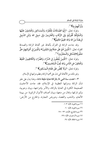وَتُزَكِّيهِمْ بِهَا﴾ (''.

وقوله تعالى: ﴿إِنَّمَا الصَّدَقَاتُ لِلْفُقَرَاءِ وَالْمَسَاكِينِ وَالْعَامِلِينَ عَلَيْهَا وَالْـمُؤَلَّفَةِ قُلُوبُهُمْ وَفِي الرِّقَابِ وَالْغَارِمِينَ وَفِي سَبِيلِ الله وَابْنِ السَّبِيلِ فَرِيضَةً مِنَ الله وَالله عَلِيمٌ حَكِيمٌ﴾(").

وقد جاءت الزكاة في القرآن بألفاظ غير ألفاظ الزكاة والصدقة كقوله تعالى: ﴿الَّذِينَ هُمْ عَلَى صَلَاتِهِمْ دَائِمُونَ\* وَالَّذِينَ فِي أَمْوَالِـهِمْ حَقٌّ مَعْلُومٌ\*لِلسَّائِلِ وَالْمَحْرُومِ﴾'".

وقوله تعالى: ﴿الَّذِينَ يُنْفِقُونَ فِى السَّرَّاءِ وَالضَّرَّاءِ وَالْكَاظِمِينَ الْغَيْظَ وَالْعَافِينَ عَنِ النَّاسِ وَاللهُ يُحِبُّ الْـمُحْسِنِينَ﴾ (''.

وقوله تعالى: ﴿وَلَا يَحْضُّ عَلَى طَعَامِ الْمِسْكِينِ﴾ (°).

وغير ذلك من الألفاظ التي تدل على أهمية الزكاة وعظم منزلتها في الإسلام.

٣ – اعتنت سنة النبي ﷺ بالزكاة عناية دقيقة فائقة، وهذا يدل على علو شأن الزكاة ومنزلتها العظيمة في الإسلام، فقد جاءت الأحاديث الصحيحة الكثيرة في العناية بالزكاة، والأمر بإخراجها، وبيان وجوبها، وإثم تاركها، وقتال من منعها، وبيان أصناف الأموال الزكوية: من بهيمة الأنعام، والذهب والفضة، وعروض التجارة، والخارج من الأرض: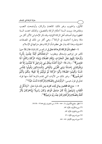كالثمار، والحبوب وغير ذلك: كالمعدن والركاز، وأوضحت النصب ومقاديرها، وبينت السنة أحكام الزكاة بالتفصيل، وكذلك اعتنت السنة المطهرة ببيان أصناف أهل الزكاة الثمانية، وقد ذكر الإمام ابن الأثير أكثر من مائة وعشرة أحاديث في الزكاة<sup>(י)</sup>، وهي أكثر من ذلك في المصنفات الحديثية، وهذا كله يدل على عظم شأن الزكاة وعلو منزلتها في الإسلام.

٤ —لعظم شأن الزكاة ذكرها الله تعالى في شرائع من كان قبلنا، فقال ﷺ حينها تكِلم عن إبراهيم وإسحاق ويعقوب: ﴿وَجَعَلْنَاهُمْ أَئِمَّةً يَهْدُونَ بِأَمْرِنَا  $\ddot{\phantom{0}}$ وَجَعَلْنَاهُمْ ۚ أَئِ  $\ddot{\phantom{0}}$ وَأَوْحَيْنَا إِلَيْهِمْ فِعْلَ الْخَيْرَاتِ وَإِقَامَ الصَّلَاةِ وَإِيتَاءَ الزَّكَاةِ وَكَانُوا لَنَا ∶ عَابِدِينَ﴾ ('َ'). وقال ﷺ: ﴿وَإِذْ أَخَذْنَا مِيثَاقَ بَنِي إِسْرَائِيلَ لَا تَعْبُدُونَ إِلَّا الله وَبِالْوَالِدَيْنِ إِحْسَانًا وَذِي الْقُرْبَى وَالْيَتَامَى وَالْمَسَاكِينِ وَقُولُوا لِلنَّاسِ  $\ddot{\phantom{0}}$ يمُوا الصَّلَاةَ وَآتُوا الزَّكَا حُسْنًا وَأَقِيمُوا الصَّلَاةَ وَآَتُوا الزَّكَاةَ ثُمَّ تَوَلَّيْتُمْ إِلَّا قَلِيلًا مِنْكُمْ وَأَنْتُمْ مُعْرِضُونَ﴾'". وغير ذلك من الآيات التي تقدم ذكرها آنفاً، منها قوله تعالَى في قول عيسى: ﴿وَأَوْصَانِي بِالصَّلَاةِ وَالزَّكَاةِ مَا دُمْتُ حَيًّا﴾''ْ.

0 — مدح الله القائمين بها في آيات كثيرة، ومن ذلك قولِه تعالى: ﴿وَاذْكُرْ فِي الْكِتَابِ إِسْهَاعِيلَ إِنَّهُ كَانَ صَادِقَ الْوَعْدِ وَكَانَ رَسُولًا نَبِيًّا\*وَكَانَ يَأْمُرُ أ أَهْلَهُ بِالصَّلَاةِ وَالزَّكَاةِ وَكَانَ عِنْدَ رَبِّهِ مَرْضِيًّا﴾ $^{\circ}$  .

> (١) انظر : جامع الأصول، ٤ / ٥٥٠ – ٦٦٩، من الحديث رقم ٢٦٥٥ – ٢٧٦٩. (٢) سورة الأنبياء، الآية: ٧٣. (٣) سورة البقرة، الآية: ٨٣. (٤) سورة مريم، الأية: ٣١. (٥) سورة مريم، الأَيتان: ٥٤ - ٥٥.

ــــــــــــــــــــــــــــــــــــــــــــــــــــــــــــــــــــــــــــ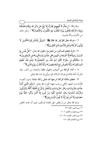وقالﷺ: ﴿رِجَالٌ لَا تُلْهِيهِمْ تِجَارَةٌ وَلَا بَيْعٌ عَنْ ذِكْرِ الله وَإِقَامِ الصَّلَاةِ وَإِيتَاءِ الزَّكَاةِ يَخَافُونَ يَوْمًا تَتَقَلَّبُ فِيهِ الْقُلُوبُ وَالْأَبْصَارُ﴾'''. وغَير ذلك من الأيات والأحاديث.

٦ −ذم الله تعالى التاركين لها، فقال ﷺ: ﴿وَوَيْلٌ لِلْمُشْرِكِينَ\*الَّذِينَ لَا يُؤْتُونَ الزَّكَاةَ وَهُمْ بِالْآَخِرَةِ هُمْ كَافِرُونَ﴾َ ```.

٧ – تارك إطعام المساكين من المجرمين؛ لقول الله تعالى: ﴿كلَّ نَفْسٍ بَمَا كَسَبَتْ رَهِينَةٌ\*إِلَّا أَصْحَابَ الْيَمِينِ\*فِي جَنَّاتٍ يَتَسَاءَلُونَ\*عَنِ الْمُجْرِمِينَ\* مَا سَلَكَكُمْ فِي سَقَرَ\* قَالُوا لَمْ نَكُ مِنَ الْمُصَلِّينَ\* وَلَمْ نَكُ نُطْعِمُ الْـمِسْكِينَ\* وَكُنَّا نَخُوضُ مَعَ الْـخَـائِضِينَ\* وَكُنَّا نُكَذِّبُ بِيَوْمِ الدِّينِ﴾''".

٨ – أداء الزكاة من أسباب دخول الجنة والنجاة من النار، وقد ذكرتُ أدلة ذلك في فوائد الزكاة، كما سيأتي إن شاء الله تعالى.

٩- لعظم مكانة الزكاة شرعها الله تعالى زكاة مطلقة بدون أنصباء مُحدَّدة منذ العهد المكي ورغب فيها؛ لقول الله تعالى: ﴿وَهُوَ الَّذِى أَنْشَأَ جَنَّاتٍ مَعْرُوشَاتٍ وَغَيْرَ مَعْرُوشَاتٍ وَالنَّخْلَ وَالزَّرْعَ مُخْتَلِفًا أُكُلُهُ وَالزَّيْتُونَ وَالرُّمَّانَ مُتَشَابِهًا وَغَيْرَ مُتَشَابِهٍ كُلُوا مِنْ ثَمَرِهِ إِذَا أَثْمَرَ وَآَتُوا حَقَّهُ يَوْمَ حَصَادِهِ وَلَا تُسْرِفُوا إِنَّهُ لَا يُحِبُّ الْمُسْرِفِينَ﴾(أ).

وذم الله تعالى من لم يحض على طعام المسكين، فبين أن عدم الحض

(١) سورة النور، الآية: ٣٧. (٢) سورة فصلت، الآيتان: ٦ - ٧. (٣) سورة المدثر، الآيات: ٣٨ - ٤٦. (٤) سورة الأنعام، الآية: ١٤١.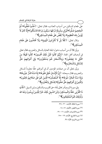على طعام المسكين من أسباب العذاب، فقال تعالى: ﴿خُذُوهُ فَغُلُّوهُ \* ثُمَّ الْجَحِيمَ صَلَّوهُ\*ثُمَّ فِي سِلْسِلَةٍ ذَرْعُهَا سَبْعُونَ ذِرَاعًا فَاسْلُكُوهُ\*إِنَّهُ كَانَ لَا يُؤْمِنُ بِالله الْعَظِيمِ\* وَلَا يَحُضَّ عَلَى طَعَامِ الْمِسْكِينِ﴾'''.

وقال تعالى: ﴿كَلَّا بَلْ لَا تُكْرِمُونَ الْيَتِيمَ\* وَلَا تَحَاضُّونَ عَلَى طَعَام الْمِسْكِينِ﴾(".

وبيَّن ﷺ أن من أسباب دخول الجنة العناية بالسائل والمحروم، فقال تعالى فِي أوصاف أهل الجنة: ﴿إِنَّهُمْ كَانُوا قَبْلَ ذَلِكَ مُحْسِنِينَ\* كَانُوا قَلِيلًا مِنَ اللَّيْلِ مَا يَهْجَعُونَ\* وَبِالْأَسْحَارِ هُمْ يَسْتَغْفِرُونَ\* وَفِي أَمْوَالِـهِمْ حَقٌّ لِلسَّائِلِ وَالْمَحْرُومِ﴾(٣).

وبيَّن تعالى أن من صفات المؤمنين أن في أموالهم حقًّا معلوماً للسائل والمحروم، فقال سبحانه: ﴿إِنَّ الْإِنْسَانَ خُلِقَ هَلُوعًا\* إِذَا مَسَّهُ الشَّرُّ جَزُوعًا\* وَإِذَا مَسَّهُ الْخَيْرُ مَنُوعًا\* إِلَّا الْمُصَلِّينَ\* الَّذِينَ هُمْ عَلَى صَلَاتِهِمْ دَائِمُونَ\* وَالَّذِينَ فِي أَمْوَالِهِمْ حَقٌّ مَعْلُومٌ\* لِلسَّائِلِ وَالْمَحْرُومِ﴾ ٰ ٰ ٗ .

وفي سورة الروم يأمر تعالى بأداء حق القريب والمسكين، وابن السبيل: ﴿فَأَتِ ذَا الْقُرْبَى حَقَّهُ وَالْـمِسْكِينَ وَابْنَ السَّبِيلِ ذَلِكَ خَيْرٌ لِلَّذِينَ يُرِيدُونَ وَجْهَ الله وَأُولَئِكَ هُمُ الْمُفْلِحُونَ﴾ (°).

> (١) سورة الحاقة، الآيات: ٣٠ - ٣٤. (٢) سورة الفجر، الآيتان: ١٨، ١٨. (٣) سورة الذاريات، الآيات: ١٦ - ١٩. (٤) سورة المعارج، الآيات: ١٩ -٢٥. (٥) سورة الروم، الآية: ٣٨.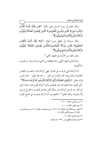وقال تعالى في سورة النمل وهي مكية: ﴿طس تِلْكَ آَيَاتُ الْقُرْآَنِ وَكِتَابٍ مُبِينٍ\* هُدًى وَبُشْرَى لِلْمُؤْمِنِينَ\* الَّذِينَ يُقِيمُونَ الصَّلَاةَ وَيُؤْتُ الَّذِينَ يُقِيمُونَ الصَّلَاةَ وَيُؤْتُونَ مُّمْ يُوقِنُونَ الزَّكَاةَ وَهُمْ بِالْآَخِرَةِ هُمْ يُوقِنُونَ﴾'''.

وقال سبحانه في مطلع سورة لقبان: ﴿المُّ تِلْكَ آَيَاتُ الْكِتَابِ الْحَكِيمِ\* هُدًى وَرَحْمَةً لِلْمُحْسِنِينَ\*الَّذِينَ يُقِيمُونَ الصَّلَاةَ وَيُؤْتُونَ الَّذِينَ ۚ يُقِ مُّمْ يُوقِنُونَ الزَّكَاةَ وََهُمْ بِالْآَخِرَةِ هُمْ يُوقِنُونَ﴾'''.

وغير ذلك من الآيات في العهد المكي''ً).

والزكاة في العهد المكي زكاة مطلقة من القيود والشروط، والحدود، والأنصباء.

أما الزكاة التي فرضت في المدينة: فهي الزكاة ذات النصب والمقادير الخاصة، والشروط، قال الإمام ابن كثير – رحمه الله تعالى – عند تفسير قوله تعالى: ﴿وَأَقِيمُوا الصَّلَاةَ وَأَثُّوا الزَّكَاةَ وَأَقْرِضُوا اللَّهَ قَرْضًا حَسَنًا وَأَقِيمُوا الصَّلَاةَ وَآَتُوا الزَّكَاةَ وَأَقْرِضُوا اللَّهَ قَرْضًا حَسَنًا﴾ $^{(3)}$ . «أي أقيموا صلاتكم الواجبة عليكم، وآتوا الزكاة المفروضة، وهذا دليل لمن قال: إن فرض الزكاة نزل بمكة لكن مقادير النصب والمخرج لم تبين إلا بالمدينة، والله أعلم»<sup>(٥)</sup>. فالصواب أن الزكاة فرضت في أصح أقوال

- ــــــــــــــــــــــــــــــــــــــــــــــــــــــــــــــــــــــــــــ (١) سورة النمل، الآيات: ١ –٣. (٢) سورة لقهان، الآيات: ١ – ٤. (٣) انظر : سورة الأعراف، الآيتان: ١٥٦، ١٥٧، وسورة فصلت، الآيتان: ٦، ٧، وسـورة الشـمس،
	- الآية: ٩، وسورة الأعلى، الآية: ١٤.
		- (٤) سورة المزمل، الأية: ٢٠.
	- (٥) تفسير القرآن العظيم، ص ١٣٩٠، دار السلام.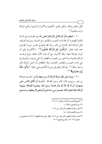أهل العلم بمكة، ولكن تقدير الأنصبة والأموال الزكاة الزكاة نزلت بالمدينة<sup>(١)</sup>.

١٠ – لعظم شأن الزكاة في الإسلام اعتنى الله بها، ففرضت في السنة الثانية للهجرة: الزكاة ذات النصب والمقادير، في المدينة، وبين ﴾ أصناف أهل الزكاة، قال الإمام ابن كثير رحمه الله تعالى في تفسير سورة المؤمنين عند قوله تعالى: ﴿وَالَّذِينَ هُمْ لِلزَّكَاةِ فَاعِلُونَ﴾'`'. «الأكثرون على أن المراد بالزكاة ههنا زكاة الأموال مع ان هذه الاية مكية، وإنها فرضت الزكاة بالمدينة سنة اثنتين من الهجرة، والظاهر أن التي فرضت بالمدينة إنها هي ذات النصب والمقادير الخاصة، وإلا فالظاهر أن أصل الزكاة كان واجباً بمكة»'". كما قال تعالى في سورة الأنعام وهي مكية: ﴿وَأَتُوا حَقُّهُ يَوْمَ حَصَادِهِ﴾(1)(٥).

١١ – ويدل على علوٍّ منزلة الزكاة أن من منعها يقاتل؛ لحديث عبدالله بن عمر رض<sub>ي</sub>لله عنها قال: قال رسول الله ﷺ : «أمرت أن أقاتل الناس حتى يشهدوا: أن لا إله إلا الله وأن محمدا رسول الله، ويقيموا الصلاة، ويؤتوا الزكاة، فإذا فعلوا ذلك عصموا منى دماءهم وأموالهم إلا بحقها، وحسابهم

- ــــــــــــــــــــــــــــــــــــــــــــــــــــــــــــــــــــــــــــ (۱) مجموع فتاوى ورسائل ابن عثيمين، ۱۸/ ۱۰.
	- (٢) سورة المؤمنون، الآية: ٤ .
- (٣) تفسير القرآن العظيم، لابن كثير، ص ٩٠٩.
	- (٤) سورة الأنعام، الآية: ١٤١.
- (٥) تفسير القرآن العظيم، لابن كثير، ص ٥٠٩، وانظر : الموسـوعة الفقهيـة، ٣/ ٢٢٨، وفتـاوى ابـن عثيمين (١٧/ ١٥، والشرح الممتع (٦/ ١٥.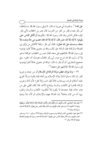على الله»''. ولحديث أبي هريرة ڞه قال: لما توفي رسول الله ﷺ واستُخلفَ أبو بكر بعده وكفر من كفر من العرب، قال عمر بن الخطاب لأبي بكر: كيف تقاتل الناس وقد قال رسول الله ﷺ : «أمرت أن أقاتل الناس حتى يقولوا: لا إله إلا الله، فمن قال: لا إله إلا الله فقد عصم منى ماله ونفسه إلا بحقه، وحسابه على الله تعالى». فقال أبو بكر: والله! لأقاتلنِ من فرَّق بين الصلاة والزكاة؛ فإن الزكاة حق المال، والله لو منعوني عقالاً كانوا يؤدونه إلى رسول الله ﷺ لقاتلتهم على منعه، فقال عمر بن الخطاب: فوالله! ما هو إلا أن رأيت الله قد شرح صدر أبي بكر للقتال، فعرفتَ أنه الحق». وفي صحيح البخاري: أن أبا بكر ﷺ قال: «والله لو منعوني عناقاً كانوا يؤدونها إلى رسول الله صلى القاتلتهم على منعها))'".

١٢ – ومما يؤكد عظم منزلة الزكاة في الإسلام أن من جحد وجوبها كفر : إن كان مسلماً ناشئا ببلاد الإسلام بين أهله فإنه يكون مرتدًا تجري عليه أحكام المرتد، ويستتاب ثلاثًا فإن تاب وإلا قتل؛ لأن أدلة وجوب الزكاة ظاهرة في الكتاب والسنة وإجماع الأمة، فلا تكاد تخفى على من هذه حاله، فإذا جحدها لا يكون إلا لتكذيبه: الكتاب والسنة، وكفره بهما، أما من كان جاهلا: إما لحداثة عهده بالإسلام، أو لأنه نشأ ببادية

- ــــــــــــــــــــــــــــــــــــــــــــــــــــــــــــــــــــــــــــ (١) متفق عليه: البخاري، كتاب الإيهان، باب ﴿فَإِنْ تَابُوا وَأَقَامُوا الصَّلَاةَ وَآتَوُا الزَّكَاةَ فَخَلُوا سَبِيلَهُمْ﴾ برقم ٢٥، [التوبة: ٥]، ومسلم، كتاب الإيهان، باب الأمر بقتال الناس حتى يقولوا: لا إله إلا الله محمد رسول الله، برقم ٢٢.
- (٢) متفق عليه: البخاري، كتاب الزكاة، باب وجوب الزكـاة، بـرقم ١٣٩٩ ورقـم ١٤٠٠، ومسـلـم، كتاب الإيهان، باب الأمر بقتال الناس حتى يقولوا: لا إله إلا الله محمد رسول الله ويقيموا الصلاة ويؤتوا الزكاة، برقم ٢٠.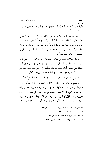نائية عن الأمصار، فإنه يُعرَّف وجوبها، ولا يحكم بكفره حتى يعلم ثم يجحد وجو بها<sup>(١)</sup>.

قال شيخنا الإمام عبدالعزيز بن عبدالله ابن باز رحمه الله: «... في حكم تارك الزكاة تفصيل، فإن كان تركها جحداً لوجوبها مع توافر شر وط وجوبها عليه كفر بذلك إجماعاً، ولو زكَّبي مادام جاحداً لوجوبها، أما إن تركها بخلاً أو تكاسلاً؛ فإنه يعتبر بذلك فاسقاً، قد ارتكب كببرة عظيمة من كبائر الذنوب))(٢).

وقال العلامة محمد بن صالح العثيمين – رحمه الله – «… من أنكر وجوبها فقد كفر إلا أن يكون حديث عهد بإسلام، أو ناشيء في بادية بعيدة عن العلم وأهله فيعذر، ولكنه يعلَّم، وإن أصر بعد علمه فقد كفر مرتدًّا، وأما من منعها بخلاً وتهاوناً ففيه خلاف بين أهل العلم:

فمنهم من قال: إنه يكفر، وهو إحدى الروايتين عن الإمام أحمد").

ومنهم من قال: إنه لا يكفر، وهذا هو الصحيح، ولكنه قد أتى كبيرة عظيمة، والدليل على أنه لا يكفر حديث أبي هريرة ۞، وفيه: أن النبي ﷺ ذكر عقوبة مانع زكاة الذهب والفضة، ثم قال: «... حتى يُقضى بين العباد فيري سبيله: إما إلى الجنة وإما إلى النار»<sup>(؛</sup>). وإذا كان يمكن أن يرى له سبيلاً إلى الجنة؛ فإنه ليس بكافر؛ لأن الكافر لا يمكن أن يرى سبيلاً له إلى الجنة،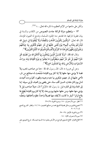منزلة الزكاة في الإسلام

ولكن على مانعها من الإثم العظيم ما ذكره الله تعالى...)) (')(').

١٣ – ولعظيم منزلة الزكاة جاءت النصوص من الكتاب والسنة في بيان عقوبة تاركها، مما تقشعر منه الجلود المسلمة، وتدمع له العيون المؤمنة، قال الله تعالى: ﴿وَالَّذِينَ يَكْنِزُونَ الذَّهَبَ وَالْفِضَّةَ وَلَا يُنْفِقُونَهَا فِي سَبِيلِ الله فَبَشَّرْهُمْ بِعَذَابٍ أَلِيمٍ\* يَوْمَ يُحْمَى عَلَيْهَا فِي نَارِ جَهَنَّمَ فَتُكْوَى بِهَا جِبَاهُهُمْ  $\overline{\phantom{a}}$ وَجُنُوجُمْ وَظُهُوَرُهُمْ َهَذَا مَا كَنَزْتُمْ لِأَنْفُسِكُمْ فَذُوقُوا مَا كُنْتُمْ تَكْنِزُونَ﴾''َ.

وقال الله ﷺ: ﴿وَلَا يَحْسَبَنَّ الَّذِينَ يَبْخَلُونَ بِمَا آَتَاهُمُ الله مِنْ فَضْلِهِ هُوَ خَيْرًا لَـَهُمْ بَلْ هُوَ شَرٌّ لَـهُمْ سَيُطَوَّقُونَ مَا بَخِلُوا بِهِ يَوْمَ الْقِيَامَةِ وَلله مِيرَاثُ السَّمَوَاتِ وَالْأَرْضِ وَاللهُ بِهَا تَعْمَلُونَ خَبِيرٌ﴾''ْ.

وعن أبي هريرة ﷺ فال: قال رسول الله ﷺ : «ما من صاحب ذهب ولا فضة لا يؤدي منها حقها إلا إذا كان يوم القيامة صُفحت له صفائح من نار، فأهمي عليها في نار جهنم، فيكوى بها جنبه وجبينه وظهره، كلما بردت أعيدت له في يوم كان مقداره خمسين ألف سنة، حتى يقضى بين العباد، فيُرى سبيله: إما إلى الجنة وإما إلى النار» قيل: يا رسول الله: فالإبل؟ قال: «ولا صاحب إبل لا يؤدي منها حقها، ومن حقها حلبها يوم وردها، إلا إذا كان يوم القيامة بُطِحَ لها بقاعِ قرقر® أوفر ما كانت، لا يُفقد منها فصيلاً واحداً، تطوَّه بأخفافها، وتعضُّه  $\overline{\phantom{a}}$ 

- (١) انظر : سورة آل عمران، ١٨٠، وسورة التوبة، ٣٤، ٣٥.
- (٢) مجموع فتاوي ورسائل فضيلة الشيخ محمد بن صالح العثيمين، ١٨/ ١٤، وانظر : الشرح الممتع  $2 - 8 - 7$   $\sqrt{2}$ 
	- (٣) سورة التوبة، الأيتان: ٣٤– ٣٥.
		- (٤) سورة آل عمران، الآية: ١٨٠.

(٥) القاع القرقر : القاع المستوي الواسع من الأرض يعلوه مـاء السـماء فيمسكه. شرح النـووي عـلى =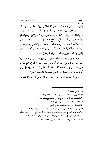بأفواهها، كلما مر عليه أولاها رُدَّ عليه أخراها'') في يوم كان مقداره خمسين ألف سنة، حتى يُقضى بين العباد، فيرى سبيله: إما إلى الجنة وإما إلى النار)، قيل: يا رسول الله! فالبقر والغنم؟ قال: «ولا صاحب بقر ولا غنم لا يؤدي منها حقها إلا إذا كان يوم القيامة بُطِحَ لها بقاع قرقر، لا يفقد منها شيئاً، ليس فيها عقصاءٌ<sup>(٢)</sup> ، ولا جلحاءٌ<sup>(٣)</sup>، ولا عضباءٌ<sup>(٤)</sup>، تنطحه بقرونها وتطؤه بأظلافها، كلما مرت عليه أولاها رُدّ عليه أخراها<sup>(٥)</sup> في يوم كان مقداره خمسين ألف سنة، حتى يُقضى بين العباد، فيرى سبيله: إما إلى الجنة وإما إلى النار»<sup>(٦)</sup>.

وعن جابر بن عبدالله ، نحو حديث أبي هريرة السابق، وفيه: «... ولا صاحب مال لا يؤدي زكاته إلا تحول يوم القيامة شجاعاً أقرع، يتبع صاحبه حيثما ذهب وهو يفرُّ منه، ويقال: هذا مالك الذي كنت تبخل به، فإذا رأى أنه لا بد منه أدخل يده في فيه، فجعل يقضمها كما يقضم الفحل»<sup>(٧)</sup>. وعن أبي هريرة ﷺ : «هو له الله عليه الله عليه : «من آتاه الله مالاً فلم يؤد

pzd X[ ,9>\_ y=I = d EEu4 1=>? i!" u.' 1=>? ¿ (>FF :9>\_] " -M [Zd X[ ,9>\_ y=I J? Q5 l dn .r 5<> :D`r\ -W [Zd X[ ,Q5 l dº ./ 4 B< :DI>¼ -Y [Zd X[ ,Q5 l ,3' §./ µ B< :D\ a d zc[ -– Wp 9/.@ ,9>\_ ,EEu4 1=>? i!" u.' 1=>? ¿ (>FF :9>\_] " b ,1%^j>@ 9>\_ ,MaZW 9/.@ , P 9K~ -@ , -< ,<© Q" :1=>? j< p d zcc 9/.@ ,9>\_ ? .@g S7 8 ,zc[ 9/.@ , P 9K~ -@ , -< d zcc - – Wc 9/.@ , P 9K~ -@ , -< ,9>\_ -[

ــــــــــــــــــــــــــــــــــــــــــــــــــــــــــــــــــــــــــــ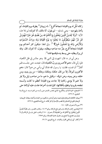زكاته مُثَّل له يوم القيامة شجاعاً أقرع'')، له زبيبتان''' يطوقه يوم القيامة، ثم يأخذ بلهزمتيه – يعني شدقيه – ثم يقول: أنا مالك، أنا كنزك» ثم تلا هذه الآية: ﴿وَلَا يَحْسَبَنَّ الَّذِينَ يَبْخَلُونَ بِهَا آَتَاهُمُ الله مِنْ فَضْلِهِ هُوَ خَيْرًا لَـهُمْ بَلْ هُوَ شَرٌّ لَـهُمْ سَيُطَوَّقُونَ مَا بَخِلُوا بِهِ يَوْمَ الْقِيَامَةِ وَلله مِيرَاثُ السَّمَوَاتِ وَالْأَرْضِ وَالله بِمَا تَعْمَلُونَ خَبِيرٌ﴾ ''َ`. وفي لفظ: «يكوَن كنز أحدكم يوم القيامة شجاعاً أقرع، يفرُّ منه صاحبه ويطلبه، ويقول: أنا كنزك، قال: والله لن يزال يطلبه حتى يبسط يده فيلقمها فاه»<sup>(٤)</sup>.

وعن أبي ذر ﷺ قال: انتهيت إلى النبي ﷺ وهو جالس في ظل الكعبة، فلما رآني قال: «هم الأخسرون وربِّ الكعبة» قال: فجئت حتى جلست فلم أتقارَّ<sup>(٥)</sup> أن قمت، فقلت: يا رسول الله فداك أبي وأمي من هم؟ قال: «هم الأكثرون أموالاً، إلا من قال: هكذا، وهكذا، وهكذا – من بين يديه، ومن خلفه، وعن يمينه، وعن شماله – وقليل ما هم، ما من صاحب إبل ولا بقر ولا غنم لا يؤدي زكاتها إلا جاءت يوم القيامة أعظم ما كانت وأسمنه تنطحه بقرونها وتطؤه بأظلافها، كلما نفدت أخراها عادت عليه أولاها حتى

- (١) الشجاع: الحية الذكر، والأقرع: الذي انحسر. الشعر عن رأسه من كثرة سمه. شرح السنة للبغوي، ٥/ ٤٧٩.
- (٢) زبيبتان: النكتتان السوداوان فوق عينيه، وهـو أوحـش مـا يكـون مـن الحيـات وأخبثـه، ويقـال: الزبيبتـان: الزبعتان تكون في الشدقين إذا غضب الإنسان أو كثر كلامه. شرح السنة للبغوي، ٥/ ٤٧٩.
	- (٣) سورة آل عمران، الآية: ١٨٠.
- (٤) البخاري، كتاب الزكاة، باب إثم مانع الزكاة، برقم ١٤٠٣، وكتاب التفسير، باب ﴿وَلَا يَحْسَبَنَّ الَّذِينَ يَبْخَلُونَ بِمَا آَتَاهُمُ الله مِنْ فَضْلِهِ﴾ [آل عمران: ١٨٠] وكتاب الحيل باب في الزكاة وأن لا يفرق بين مجتمع ولا يجمع بين متفرق خشية الصدقة، برقم ٦٩٥٧.
	- (٥) لم أتقار: أي لم يمكني القرار والثبات. شرح النووي، ٧/ ٧٧.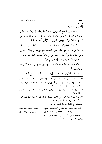يُقضى بين الناس»<sup>(י)</sup>.

١٤ – تعزير الإمام لمن تهاون بأداء الزكاة يدل على عِظَم منزلتها في الإسلام؛ لحديث معاوية بن حيدة ٢٠٠٠ قال: سمعت رسول الله ﷺ يقول: «في كل إبل سائمة: في كل أربعين ابنة لبون، لا تفرَّقُ إبل عن حسابها

اً)، من أعطاها مؤتجراً بها فله أجرها، ومن منعها فإنا آخذوها وشطر ماله، عزمة<sup>(٣)</sup> من عزمات ربنا گ<del>مال</del>، ليس لآل محمد منها شيء». وفي لفظ النسائي: «من أعطاها مؤتجراً<sup>(؛)</sup> فله أجرها، ومن أبي فإنا آخذوها وشطر إبله عزمة من عزمات ربنا، لا يحل لآل محمدﷺ منها شيء))''.

فقوله ﷺ : ((فإنا آخذوها)) استدل به على أنه يجوز للإمام أن يأخذ الزكاة قهراً<sup>(٦)</sup>.

واختلف العلماء رحمهم الله تعالى في أخذ نصف المال عقاباً لمانع الزكاة: ــــــــــــــــــــــــــــــــــــــــــــــــــــــــــــــــــــــــــــ

- (١) متفـق عليـه: البخـاري بنحـوه، كتـاب الزكـاة، بـاب زكـاة البقـر، بـرقم ١٤٦٠، وكتـاب الأيـمان والنذور، باب كيف كانت يمين النبي گَلِشٌ ، برقم ٢٦٣٨، ومسلم بلفظه، كتاب الزكاة، باب تغليظ عقوبة من لا يؤدي الزكاة، برقم ٩٩٠.
- (٢) لا تفرق عن حسابها: أي لا يفرق أحد الخليطين ملكـه عـن ملـك صـاحبه خشـية الصـدقة. نيـل الأوطار، ١٣/ ١٦.
- (٣) عزمة: العزمة ضد الرخصة وهي ما يجب فعله، والعزائم الفرائض. غريب الحديث لابن الأثير، ٤/ ٥٧٣، ونيل الأوطار للشوكاني، ٣/ ١٩.
	- (٤) مؤتجراً: أي طالباً للأجر . نيل الأوطار، ٣/ ١٦ .
- (٥) أبو داود، كتـاب الزكـاة، بـاب في زكـاة السـائمة، بـرقم ١٥٧٥، والنسـائي، كتـاب الزكـاة، بـاب عقوبـة مـانع الزكـاة بـرقم ٢٤٤٣، وحسـنه الألبـاني في صـحيح سـنن أبي داود، ١/ ٤٣٦، وفي صحيح النسائي، ٢/ ١٧٧، وفي إرواء الغليل، برقم ٧٩١. (٦) نيل الأوطار للشوكاني، ١٦/٣.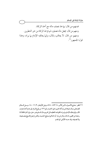

ــــــــــــــــــــــــــــــــــــــــــــــــــــــــــــــــــــــــــــ

<sup>(</sup>١) انظر : جـامع الأصـول، لابـن الأثـير، ٤/ ٥٧٣ – ٥٧٤، ونيـل الأوطـار، ٣/ ١٦ –١٨، وسـبل السـلام للصنعاني، ومال شيخنا ابن باز أثناء تقريره على الحديث رقم ٢٢٦ من بلوغ المرام: إلى عـدم أخـذ نصـف المال، وإنها يعاقبه الإمام بما يراه، للقواعد العظيمة في تحريم مال المسلم بغير حق، وإن كان مخالفاً لما رجحه ابن القيم رحمه الله، وذكر ابن باز: أن الحاكم صحح الحديث، ولكن لم يجزم الشـيخ بتصـحيحه ولا تضعيفه، وقد حسنه الألباني كما تقدم.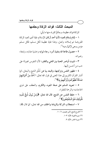## المبحث الثالث: فوائد الزكاة وحكمها

للزكاة فوائد عظيمة، وحِكمٌ كثيرة، منها ما يأتي:

١ – إتمام إسلام العبد؛ لأنها أحد أركان الإسلام، فإذا أدى العبد الزكاة المفروضة تم إسلامه وكمل، وهذا غاية عظيمة لكل مسلم، فكل مسلم مؤمن يسعى لإكمال دينه<sup>(١)</sup>.

٢ –حصول طاعة الله بتنفيذ أمره: رجاء ثوابه وخشية عذابه، وابتغاء رضوانه.

٣ – تثبيت أواصر المحبة بين الغني والفقير؛ لأن النفوس مجبولة على حب من أحسن إليها.

٤ – تطهير النفس وتزكيتها، والبعد بها عن خُلُق الشح والبخل، كما أشار القرآن الكريم إلى هذا المعنى في قول الله تعالى: ﴿ كُخْذٌ مِنْ أَمْوَالِـهِمْ صَدَقَةً تُطَهَّرُهُمْ وَتُزَكِّيهِمْ بِهَا﴾(").

٥ – تعويد المسلم على صفة الجود، والكرم، والعطف على ذوي الحاجات؛ والرحمة للفقراء.

٦ – حفظ النفس عن الشح، قال الله تعالى: ﴿وَمَنْ يُوقَ شُحَّ نَفْسِهِ فَأُولَئِكَ هُمُ الْمُفْلِحُونَ﴾(".

٧ – استجلاب البركة والزيادة والخلف من الله تعالى، كما قال ﷺ:

(١) الشرح الممتع، لابن عثيمين، ١٠ / ١٠. (٢) سورة التوبة، الآية: ١٠٣. (٣) سورة الحشر، الآية: ٩.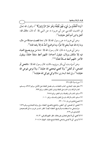﴿وَمَا أَنْفَقْتُمْ مِنْ شَيْءٍ فَهُوَ يُخْلِفُهُ وَهُوَ خَيْرُ الرَّازِقِينَ﴾ (''؛ ولقول الله تعالى في الحديث القدسي عن أبي هريرة ﷺ عن النبي ﷺ أنه قال: «قال الله: أنفق يا ابن آدم أنفق عليك)،'''.

وعن أبي هريرة ، عن رسول الله ﷺ قال: ((ما نقصت صدقة من مال، وما زاد الله عبداً بعفو إلا عزًّا، وما تواضع أحدٌ لله إلا رفعه الله»'".

وعن أبي هريرة ، قال: قال رسول الله ﷺ : «ما من يوم يصبح العباد فيه إلا ملكان ينزلان، فيقول أحدهما: اللهم أعط منفقاً خلفاً، ويقول الآخر: اللهم أعط ممسكاً تلفاً))(0).

وعن أسماء بنت أبي بكر رض<sub>يالله</sub>جها، قالت: قال رسول الله ﷺ : «انفحى أو انضحي، أو أنفقي'') ولا تحصي فيحصي الله عليك'')، ولا توعي فيوعى الله عليك»<sup>(^)</sup>، وفي لفظ البخاري: «لا توكي فيوكي الله عليك»<sup>(י)</sup>.

- (١) سورة سيأ، الآية: ٣٩.
- (٢) متفق عليه: البخاري، كتاب النفقات، باب فضل النفقة على الأهل، برقم ٥٣٥٢، ومسلم، كتاب الزكاة، باب الحث على النفقة وتبشير المنفق بالخلف، برقم ٩٩٣.
	- (٣) مسلم، كتاب البر والصلة، باب العفو، برقم ٢٥٨٨.
	- (٤) مسلم، كتاب الزكاة، باب في المنفق والممسك، برقم ١٠١٠.
		- (٥) مجموع فتاوى ابن باز، ١٤/ ٢٣٠.
- (٦) انفحي، أو انضحي، أي: أعطي، والـنفح والنضـح: العطـاء، وفي روايـة للبخـاري بـرقم ١٤٣٤ «وارضـخي مـا اسـتطعت» والرضـخ: العطـاء أيضـاً. انظـر: تفسـير غريـب مـا في الصـحيحين للحميدي ص ٦٩ه.
	- (٧) لا تحصي: أي لا تبخلي فتجازين على بخلك. انظر: المفهم للقرطبي، ٣/ ٧٤.
	- (٨) لا توعي: أي لا تجمعي وتشحى بالنفقة فيشح عليك. النهاية، ٢٠٨/٥.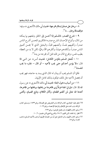٨ –برهان على صدق إسلام مخرجها؛ لحديث أبي مالك الأشعري ٢٠٠ وفيه: «والصدقة برهان....»<sup>(۲)</sup>.

٩ – تشرح الصدر، فالمسلم إذا أحسن إلى الخلق ونفعهم بها يمكنه من المال، وأنواع الإحسان انشرح صدره؛ فالكريم المحسن أشرح الناس صدراً، وأطيبهم نفساً، وأنعمهم قلباً، والبخيل الذي لا يحسن أضيق الناس صدرا، وأنكدهم عيشا، وأكثرهم همًّا وغمًّا، لكن لا بد من العطاء بطيب نفس، ويخرج المال من قلبه قبل أن يخرجه من يده'''.

١٠ – تُلحق المسلم بالمؤمن الكامل؛ لحديث أنسﷺ قال: «لا يؤمن أحدكم حتى يحب لأخيه – أو قال – لجاره ما يحب  $\mathcal{L}^{(3)}$ لنفسه)) $^{(3)}$ .

فكما أن المسلم يحب أن يبذل له المال الذي يسد به حاجته، فهو يحب أن يحصل لأخيه مثل ذلك، فيكون بذلك كامل الإيهان.

١١ -من أسباب دخول الجنة؛ لحديث أبي مالك الأشعري ، عن رسول الله ﷺ قال: «إن في الجنة غرفاً يُرى ظاهرها من باطنها، وباطنها من ظاهرها، أعدها الله تعالى لمن أطعم الطعام، وألان الكلام، وتابع الصيام، وأفشى

ــــــــــــــــــــــــــــــــــــــــــــــــــــــــــــــــــــــــــــ

 -%< ,9>%\_ ,MaYY 9/.@ ,/` J? ¶.I< -@ , -< ,Q" :1=>? j< <sup>=</sup>-M d MZWz 9/.@ ,D`7 =u. j  J? ST -@ , d WWY 9/.@ ,D55 3\$ -@ ,"+{ -< ,9>\_ -W MZd Xp ,nk=o? 8@4 P<k] lm ,WbXW ,9=r 8@4 ,!\] !0 :.^ -Y U%¢ % 9>%\_] 1%='R U%¢ (% t%`' 8% J%? 3=% -%@ ,( -< ,9>\_ a abd 9/.@ ,1\_j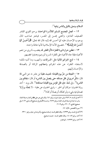فوائد الزكاة وحكمها

السلام، وصلى بالليل والناس نيام»<sup>(١)</sup>.

١٢ – تجعل المجتمع المسلم كالأسرة الواحدة، يرحم القوي القادر الضعيف العاجز، والغني يحسن إلى المعسر، فيشعر صاحب المال بِوجوب الإحسان عليه كما أحسن الله إليه، قال الله تعالى: ﴿وَأَحْسِنْ كَمَا أَحْسَنَ الله إِلَيْكَ﴾ ("). فتصبح الأمة الإسلامية كأنها عائلة واحدة. í

١٣ –تطفئ حرارة ثورة الفقراء؛لأن الفقير قد يغضب، لما يرى من تنعم الأغنياء،فإذا جاد الأغنياء على الفقراء كسروا ثورتهم وهدؤوا غضبهم.

١٤ – تمنع الجرائم المالية مثل: السرقات، والنهب، وما أشبه ذلك؛ لاستغناء الفقراء عن هذه الجرائم بإعطائهم الزكاة أو بالصدقة والإحسان إليهم.

10 – النجاة من حرٍّ يوم القيامة؛ لحديث عقبة ابن عامر ﴾ عن النبي ﷺ قال: «كل امرئ في ظل صدقته حتى يفصل بين الناس» أو قال: «يحكم بين الناس»<sup>(٣)</sup>. وفي لفظ: «إن ظل المؤمن يوم القيامة صدقته»<sup>(٤)</sup>. قال يزيد — أحد رواة الحديث: «وكان أبو الخير – راوي الحديث عن عقبة – لا يخطئُه يومٌ إلا تصدق فيه بشيء، ولو كعكة، أو بصلة أو كذا»<sup>(٥)</sup>.

ــــــــــــــــــــــــــــــــــــــــــــــــــــــــــــــــــــــــــــ (١) أحمد في المسند، ٥/ ٣٤٣، وابن حبان (موارد، برقم ٢٤١، والترمذي عن عـلي ﷺ في كتـاب صـفة الجنـة، بـاب مـا جـاء في صـفة غـرف الجنـة، بـرقم ٢٥٢٧، وحسـنه الألبـاني في صـحيح الترمـذي، ٣/ ٧، وفي صحيح الجامع، ٢/ ٢٢٠، برقم ٢١١٩. (٢) سورة القصص، الآية: ٧٧. (٣) أحمد في المسند، برقم ١٧٣٣٣، وقال محققو المسند: إسناده صحيح، وأخرجه ابن حبان، برقم ٣٣١٠. (٤) أحمد، برقم ٤٣ ١٨٠، وقال محققو المسند: حديث صحيح. (٥) أحمد، برقم ١٧٣٣٣، كما تقدم.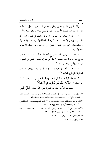وقال النبي ﷺ في الذين يظلهم الله في ظله يوم لا ظل إلا ظله: «ورجل تصدق بصدقة فأخفاها، حتى لا تعلم شماله ما تنفق يمينه»<sup>(١)</sup>.

١٦ – تعين المسلم على معرفة حدود الله والفقه في دينه تعالى؛ لأن المسلم لا يؤدي زكاته إلا بعد أن يعرف أحكامها، وأموالها، وأنصابها، ومستحقها، وإثم من منعها، وفضل من أداها، وغير ذلك مما تدعو الحاجة إليه.

١٧ – سبب لنزول الخيرات ودفع العقوبات؛ لحديث عبدالله بن عمر رض<sub>ي</sub>الله عنها، وفيه: ((**ولم يمنعوا زكاة أموالهم إلا مُنعوا القطر من السباء،** ولولا البهائم لم يمطروا.....) (٢)

١٨ – تطفيع الخطايا وتكفرها؛ لحديث معاذ ﷺ، وفيه: «والصدقة تطفيع الخطيئة كما يطفئ الماء النار»<sup>(٣)(٤)</sup>.

19 – أداء الزكاة من شكر النعم، وشكر النعم سبب لزيادتها؛ لقول الله تعالى: ﴿وَإِذْ تَأَذَّنَ رَبُّكُمْ لَئِنْ شَكَرْتُمْ لَأَزِيدَنَّكُمْ﴾<sup>(٥)</sup>. ٢٠ – مضاعفة الأجر عند الله تعالى؛ لقول الله تعالى: ﴿مَثَلُ الَّذِينَ ــــــــــــــــــــــــــــــــــــــــــــــــــــــــــــــــــــــــــــ

- (١) متفق عليه من حديث أبي هريرة ١٤٠٠، البخاري كتـاب الأذان، بـاب مـن جلـس في المسـجد ينتظـر الصلاة، برقم ١٤٢٣، ومسلم، كتاب الزكاة، باب فضل إخفاء الصدقة، برقم ١٠٣١.
- (٢) ابـن ماجـه، كتـاب الفـتن، بـاب العقوبـات، بـرقم ٤٠١٩، والحـاكم وصـححه ووافقـه الـذهبي، ٤/ ٤٠ ٥، وصححه الألباني في صحيح ابن ماجه، ٢/ ٣٧٠.
- (٣) الترمذي، كتاب الإيهان، باب ما جاء في حرمة الصلاة، بـرقم ٢٦١٦، وأحمد، ٥/ ٥٣١، ٢٣٦، ٢٣٧، ٢٤٥، وحسنه الألباني في إرواء الغليل، ٢/ ١٣٨.
	- (٤) انظر : الشرح الممتع لابن عثيمين، ٦/ ٩ ١٥. (٥) سورة إبراهيم، الآية: ٧.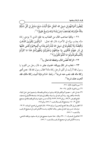يُنْفِقُونَ أَمْوَالـَهُمْ فِي سَبِيلِ الله كَمَثَل حَبَّةٍ أَنْبَتَتْ سَبْعَ سَنَابلَ فِي كُلِّ سُنْبُلَةٍ مِائَةٌ حَبَّةٍ وَالله يُضَاعِفُ لـمَنْ يَشَاءُ وَالله وَاسِعٌ عَلِيمٌ﴾ (''.

٢١ – وقاية صاحب المال من العذاب به؛ فإن الذي لا يؤدي زكاة ماله يعذب بهاله في الآخرة، قال الله تعالى: ﴿وَالَّذِينَ يَكْنِزُونَ الذَّهَبَ وَالْفِضَّةَ وَلَا يُنْفِقُونَهَا فِي سَبِيلِ الله فَبَشِّرْهُمْ بِعَذَابِ أَلِيمٍ\*يَوْمَ يُحْمَى عَلَيْهَا فِي نَارِ جَهَنَّمَ فَتُكْوَى بِهَا جِبَاهُهُمْ وَجُنُوبُهُمْ وَظُّهُورُهُمْ هَذَا مَا كَنَزْتُمْ لِأَنْفُسِكُمْ فَذُوقُوا مَا كُنْتُمْ تَكْنِزُونَ﴾''ْ.

٢٢ –الزكاة تُحصِّن المال، ويحفظه الله تعالى باللَّا.

٢٣ – ذهاب شر المال ووباله؛ لحديث جابر ۞ قال رجل من القوم: يا رسول الله! أرأيت لو أدَّى الرجل زكاة ماله؟ فقال رسول الله ﷺ : «من أدى زكاة ماله فقد ذهب عنه شره»<sup>(؛)</sup>، ولفظ الحاكم:«إذا أديت زكاة مالك فقد أذهبت عنك شر ه»<sup>(٥)</sup>.

(١) سورة البقرة، الآية: ٢٦١.

(٢) سورة التوبة، الآيتان: ٣٤- ٣٥.

- (٣) جاء في الخبر : «حصنوا أموالكم بالزكاة، وداووا مرضاكم بالصدقة، واستعينوا على حمل البلاء بالمدعاء والتضر-ع». رواه أبـو داود في مراسـيله، والطـبراني وغيرهمـا. وضـعفه الألبـاني في ضـعيف الجامع الصـغير، ٣/ ٩٩، بـرقم ٢٧٢٢، ٢٧٢٣، إلا أنـه حسـن «داووا مرضـاكم بالصـدقة» في صـحيح الجامع، ٣/ ١٤٠، وصحيح الترغيب والترهيب، ١/ ٤٥٨، برقم ٧٤٤.
- (٤) الطبراني في الأوسط [مجمع البحرين]، برقم ١٣٤٥، قال الهيثمي في مجمع الزوائد، ٣/ ٦٣: «وإسناده حسن وإن كـان في بعـض رجالـه كـلام»، وحسـنه الألبـاني لغـيره في صـحيح الترغيب والترهيب، ٤٥٨/١.
- (٥) الحاكم في المستدرك، ١/ ٣٩٠، وقال: «هذا حديث صحيح على شرط مسلم»، ووافقه الـذهبي، وحسنه الألباني لغيره في صحيح الترغيب والترهيب، ١/ ٤٥٧.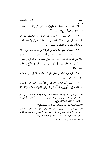٢٤ – تطهير المال؛ لأن الزكاة تطهيرٌ للهال؛ لقول النبي ﷺ : «... إن هذه الصدقات إنها هي أوساخ الناس....» (١٢)

٢٥ – وقاية المال من الفساد؛ لأن الزكاة ما خالطت مالاً إلا أفسدته'". قيل في ذلك: لأن الحرام يهلك الحلال، وقيل: إذا أخذ الغني الز كاة أهلكت ماله؛ لأن الز كاة للفقراء<sup>(؛)</sup>.

٢٦ – استعانة الفقىر بيا يأخذ من الزكاة على طاعة الله، ولو لا ذلك لاشتغل قلبه بالهموم شغلاً يمنعه من العبادة، بل ربيا يوقعه ذلك في شك من ضهان الله تعالى الرزق له ولكل مخلوق، والزكاة تزكي الفقراء والمساكين بسد حاجاتهم، وإغنائهم عن ذل السؤال، والتطلع إلى ما في أيدي الخلق.

٢٧ – ترغيب الفقير في فعل الخيرات والإحسان إلى من دونه؛ لما يري من إحسان الغني إليه.

٢٨ – تحقيق أهم عناصر التمكين في الأرض والنصر على الأعداء، قال الله تعالى: ﴿الَّذِينَ إِنْ مَكَّنَّاهُمْ فِي الْأَرْضِ أَقَامُوا الصَّلاةَ وَآتَوُا الزَّكَاةَ

(١) أوساخ الناس. قال الإمام النووي رحمه الله في شرحه على صحيح مسلم، ٧/ ١٨٤: «ومعنى أوساخ الناس أنها تطهير لأموالهم ونفوسهم، كما قال تعالى: ﴿خُذْ مِنْ أَمْوَالِهِمْ صَدَقَةً تُطَهِّرُهُمْ وَتُزَكِّيهمْ بَمَا﴾ [التوبة: ١٠٣] فهي كغسالة الأوساخ». (٢) مسلم، كتاب الزكاة، باب ترك استعمال آل النبي ﷺ على الصدقة، برقم ١٠٧٢. (٣) جاء في حديث عن عائشة رض الله عنه بلفظ: «ما خالطت الزكاة مالاً قط إلا أفسدته» رواه الشـافعي والبخاري في تاريخه، والحميدي، والبزار، وضعفه الهيثمي في المجمع، ٣/ ٢٤، وضعفه الألباني في مشكاة المصابيح، برقم ١٧٩٣، ١/ ٥٦٢، [ولكن المعنى صحيح]. (٤) انظر: مشكاة المصابيح، ١/ ٥٦٢، برقم ١٧٩٣.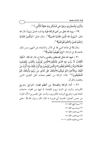فوائد الزكاة وحكمها

وَأَمَرُوا بِالْمَعْرُوفِ وَنَهَوْا عَنِ الْمُنْكَرِ وَلله عَاقِبَةُ الْأُمُورِ﴾ '''.

٢٩ – يزيد الله تعالى من أدى الزكاة طيبة بها نفسه هُدىً وإيهاناً، قال الله تعالى: ﴿وَيَزِيدُ الله الَّذِينَ اهْتَدَوْا هُدىً﴾'`'. وقال تعالى: ﴿وَالَّذِينَ اهْتَدَوْا زَادَهُمْ هُدىً وَآتَاهُمْ تَقْوَاهُمْ﴾ (").

وقال ﷺ في طاعة النبي ﷺ في الأمر والابتعاد عن النهي، ومن ذلك طاعته ﷺ في الزكاة: ﴿وَإِنْ تُطِيعُوهُ مَّهْتَدُوا﴾ (''.

٣٠ – شهد الله تعالى للمنفقين بالهدى والفلاح، قال الله عَجَّل: ﴿ذَلِكَ الْكِتَابُ لَا رَيْبَ فِيهِ هُدًى لِلْمُتَّقِينَ\*الَّذِينَ يُؤْمِنُونَ بِالْغَيْبِ وَيُقِيمُونَ الصَّلَاةَ وَمِّاً رَزَقْنَاهُمْ يُنْفِقُونَ\* وَالَّذِينَ يُؤْمِنُونَ بَمَا أَنْزِلَ إِلَيْكَ وَمَا أَنْزِلَ مِنْ قَبْلِكَ وَبِالْآَخِرَةِ هُمْ يُوقِنُونَ\*اأَولَئِكَ عَلَى هُدًى مِنْ رَبِّهِمْ وَأُولَئِكَ هُمُ الْمُفْلِحُونَ﴾ (°). فأداء الزكاة من أعظم صفات أهل التقوى الذين ينتفعون بالقرآن.

٣١ – أداء الزكاة والصدقة من أعظم قضاء الحوائج وتفريج الكربات والستر في الدنيا ويوم القيامة؛ لما فيها من قضاء حاجات المحتاجين، وتفريج كربات المكروبين، والستر على المعسرين؛ لأن الجزاء من جنس العمل؛ لحديث أبي هريرة ، قال: قال رسول الله ﷺ : «من

- (١) سورة الحج، الآية: ٤١. (٢) سورة مريم، الآية: ٧٦. (٣) سورة محمد، الآية: ١٧. (٤) سورة النور، الآية: ٥٤.
- (٥) سورة البقرة، الآيات: ٢ ٥.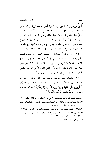نفس عن مؤمن كربة من كرب الدنيا نفس الله عنه كربة من كرب يوم القيامة، ومن يسَّر على معسر يسَّر الله عليه في الدنيا والاخرة، ومن ستر مسلماً ستره الله في الدنيا والآخرة، والله في عون العبد ما كان العبد في عون أخيه....))<sup>(١)</sup>؛ ولحديث ابن عمر رض<sub>ي</sub>الله عنها، وفيه: «ومن كان في حاجة أخيه كان الله في حاجته، ومن فرج عن مسلم كربة فرج الله عنه كربة من كرب يوم القيامة، ومن ستر مسلماً ستره الله يوم القيامة))'').

٣٢ – أداء الزكاة أو الصدقة إلى الضعفاء الفقراء من أسباب النصر والرزق؛لحديث سعد ﴾ عن النبي ﷺ أنه قال: «هل تنصرون وترزقون إلا بضعفائكم؟» (")؛ ولحديث أنس بن مالك ﷺ، قال: كان أخوان على عهد النبي ﷺ، فكان أحدهما يأتي النبي ﷺ، والآخر يحترف، فشكى المحترف أخاه إلى النبي ﷺ ، فقال: ((لعلك تُرزق به))<sup>(؛)</sup>.

٣٣ – المتصدق ابتغاء مرضاة الله تعالى يفوز بثناء الله تعالى، وما وعد به المتصدقين من الأجر العظيم، وانتفاء الخوف والحزن، قال الله ﷺ: ﴿ الَّذِينَ يُنْفِقُونَ أَمْوَالَـهُمْ بِاللَّيْلِ وَالنَّهَارِ سِرًّا وَعَلَانِيَةً فَلَهُمْ أَجْرُهُمْ عِنْدَ  $\ddot{\phantom{0}}$ رَبِّهِمْ وَلَا خَوْفٌ عَلَيْهِمْ وَلَا هُمْ يَخْزَنُونَ﴾ (°).

- ــــــــــــــــــــــــــــــــــــــــــــــــــــــــــــــــــــــــــــ (١) مسلم، كتاب الذكر والدعاء، باب فضل الاجتماع على تلاوة القرآن وعلى الذكر، برقم ٢٦٩٩.
- (٢) متفق عليه: البخاري، كتاب المظالم، باب لا يظلم المسلم المسلم، ولا يسلمه، برقم ٢٤٤٢، ومسلم، كتاب البر والصلة، باب تحريم الظلم، برقم ٢٥٨٠.
- (٣) البخاري، كتاب الجهاد والسير، باب من استعان بالضعفاء والصالحين في الحرب، برقم ٢٨٩٦. (٤) الترمذي، كتاب الزهد، باب في التوكل، برقم ٢٣٤٥، وقال: حديث حسـن صـحيح، وصـححه الألباني في صحيح الترمذي، ٢/ ٢٧٤. (٥) سورة البقرة، الآية: ٢٧٤.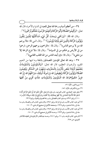٢٤ –من أعظم أسباب رحمة الله تعالى للعبد في الدنيا والآخرة، قال الله تعالى: ﴿وَأَقِيمُوا الصَّلَاةَ وَأَتُّوا الزَّكَاةَ وَأَطِيعُوا الزَّسُولَ لَعَلَّكُمْ ةُ يمُوا الصَّلَاةَ وَآَثُوا الزَّكَاةَ وَأَطِ وَأَقِيمُوا الصَّلَاةَ وَآَتُوا الزَّكَاةَ وَأَطِيعُوا الرَّسُولَ لَعَلَّكُمْ تُرْحَمُونَ﴾'''.

وقال الله ﷺ: ﴿وَرَحْمَتِي وَسِعَتْ كُلَّ شَيْءٍ فَسَأَكْتُبُهَا لِلَّذِينَ يَتَّقُونَ وَيُؤْتُونَ الزَّكَاةَ وَالَّذِينَ هُمْ بِآَيَاتِنَا يُؤْمِنُونَ﴾ (''). وقال النبي ﷺ: «لا يرحم الله من لا يرحم الناس)،''). وقال ﷺ : «الراحمون يرحمهم الرحمن، ارحموا من في الأرض يرحمكم من في السماء»ا<sup>(؛)</sup>. وقال ﷺ: «لا تنزع الرحمة إلا من شقي››<sup>(٥)</sup>. وقال ﷺ: «إن أبعد الناس من الله القلب القاسي››<sup>(٦)</sup>.

٣٥ – وعد الله تعالى المؤمنين المتصدقين بالجنة وما فيها من النعيم المقيم، والرضوان العظيم، قال الله تعالى: ﴿وَالْـمُؤْمِنُونَ وَالْـمُؤْمِنَاتُ بَعْضُهُمْ أَوْلِيَاءُ بَعْضٍ يَأْمُرُونَ بِالْمَعْرُوفِ وَيَنْهَوْنَ عَنِ الْمُنْكَرِ وَيُقِيمُونَ أ ۿ<sub>ن</sub>ْكَرِ وَيُقِ يعَونَ الله الصَّلَاةَ وَيُؤْتُونَ الزَّكَّاةَ وَيُطِيعُونَ الله وَرَسُولَهُ أُولَئِكَ سَيَرْ حَمُّهُمُ الله إِنَّ الله يتم عَزِيزٌ حَكِيمٌ\*وَعَدَ الله الْـمُؤْمِنِينَ وَالْـ  $\overline{a}$ مُؤْمِنَاتِ جَنَّاتٍ <sup>تَجْ</sup>رِي<sup>ٰ</sup> مِنْ َتَخْتِهَا

(١) سورة النور، الآية: ٥٦.

(٢) سورة الأعراف، الأية: ١٥٦.

ــــــــــــــــــــــــــــــــــــــــــــــــــــــــــــــــــــــــــــ

- (٣) متفق عليه: البخاري، كتاب التوحيد، باب قول الله تعالى: ﴿قُلِ ادْعُوا الله أَوِ ادْعُوا الرَّحْمَنَ أَيًّا مَا تَدْعُوا فَلَهُ الْأَسْمَاءُ الْحُسْنَى وَلَا تَجْهَرْ بِصَلَاتِكَ وَلَا تُخَافِتْ بِهَا وَابْتَغِ بَيْنَ ذَلِكَ سَبِيلًا﴾ [الإسراء: ١١١]، برقم ٧٣٧٦، ومسلم، كتاب الفضائل، باب رحمة الصبيان والَعيال، برقم ٢٣١٩.
- (٤) أبو داود، كتاب الأدب، باب في الرحمة، برقم ٤٩٤١ ، والترمـذي، كتـاب الـبر والصـلة، بـاب مـا جاء في رحمة المسلمين، برقم ١٩٢٤، وصححه الألباني في صحيح الترمذي، ١٨٠ /٢.
- (٥) أبو داود، كتاب الأدب، باب في الرحمة، برقم ١٩٤٢، والترمـذي، كتـاب الـبر والصـلة، بـاب مـا جاء في رحمة المسلمين، برقم ١٩٢٣، وحسنه الألباني في صحيح الترمذي، ٢/ ١٨٠.
- (٦) الترمذي، كتاب الزهد، باب ٦١، برقم ٢٤١١، وحسنه عبدالقادر الأرناؤوط في تحقيقه للأذكار للنووي، ص ٢٨٥.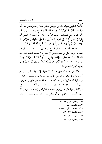الْأَنْهَارُ خَالِدِينَ فِيهَا وَمَسَاكِنَ طَيِّبَةً فِى جَنَّاتِ عَدْنٍ وَرِضْوَانٌ مِنَ الله أَكْبَرُ ذَلِكَ هُوَ الْفَوْزُ الْعَظِيمُ) ". ووعد الله ﷺ بالفلاح والفردوس لمن قام بأداء الزكاة مع الصفات الجميلة الأخرى، قال الله تعالى: ﴿وَالَّذِينَ هُمْ لِلزَّكَاةِ فَاعِلُونَ﴾ (''. إلى قوله: ﴿ وَالَّذِينَ هُمْ عَلَى صَلَوَاتِهِمْ يُحَافِظُونَ \* أَولَئِكَ هُمُ الْوَارِثُونَ\* الَّذِينَ يَرِثُونَ الْفِرْدَوْسَ هُمْ فِيهَا خَالِدُونَ﴾ (").

٣٦-أداء الزكاة من أعظم أنواع الإحسان، وقد أخبر الله تعالى عن نفسه بها يرغب كل من عرف فضل الإحسان بالإحسان؛ لعظم شأنه عند الله ﷺ، قال الله تعالى: ﴿وَأَحْسِنُوا إِنَّ الله يُحِبُّ الْـمُحْسِنِينَ﴾ (''. وقال سبحانه وتعالى: ﴿إِنَّ اللَّهُ يَجْزِي الْـمُتَصَلِّقِينَ﴾ ْ عليه الله صلى الله لا يَجْل الله عَليه ا يُضِيعُ أَجْرَ الْمُحْسِنِينَ﴾ ('').

٣٧- في إعطاء العاملين على الزكاة منها- إذا لم يكن لهم مرتب أو أجرة من بيت المال– كفاية لهم ولأسرهم مدة قيامهم بجبايتها من الناس وصرفها لمستحقيها، وفي إعطائهم منها : إعانة لهم على الخير وتشجيعهم على الاستمرار على هذا العمل؛ ليعينوا إخوانهم الأغنياء على إخراج الزكاة الواجبة عليهم، ويعينوا إخوانهم الفقراء في إيصالهم ما فرض الله لهم، وتحصيل حقوقهم دون أن تتطلع نفوس العاملين عليها إلى الخيانة

- (١) سورة التوبة، الآيتان: ٧١- ٧٢. (٢) سورة المؤمنون، الآية: ٤ . (٣) سورة المؤمنون، الآيات: ٩ - ١١. (٤) سورة البقرة، الآية: ١٩٥. (٥) سورة يوسف، الآية: ٨٨.
	- (٦) سورة التوبة، الآية: ١٢٠.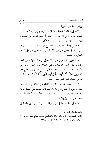فيها وسوء التصر ف فيها.

٣٨- في إعطاء الزكاة للمؤلفة قلوبهم: ترغيبهم في الإسلام، وتحبيبه إليهم، وتقوية ما في قلوبهم من الإيهان، أو كف شرهم عن المسلمين، وإيصال الدعوة إلى من لديهم من المستضعفين.

٣٩- في إعطاء الغارمين الزكاة نوع من التخفيف عنهم من همِّ الديون بالليل وتحريرهم من ذلها بالنهار؛ فإن الدين همٌّ على المؤمن بالليل وذلّ بالنهار.

• ٤- تجهيز المقاتلين في سبيل الله تعالى، وإعداد ما يلزم من العدد والعتاد، لقتال أعداء الإسلام، ونشر الإسلام بين الأمم والدفاع عن الإسلام وديار المسلمين، وكف الظلم، ودفع العدوان، وقطع دابر الكافرين ﴿حَتَّى لَا تَكُونَ فِتْنَةٌ وَيَكُونَ الدِّينُ كُلَّهُ شَّهَّالا وَتَكون كلمة الله هي العليا وكلمة الذين كفروا السفلي.

٤١ - مساعدة المسلم المسافر إذا انقطع من النفقة في طريقه لنفاد نفقته أو سرقة أو ضياع، ولم يجد ما يكفيه لمؤنة سفره، ففي إعطائه الزكاة إحسان إليه، ومواساة له في حال غربته، فيعطى من الزكاة ما يسد حاجته حتى يعود إلى بلاده<sup>(٢)</sup>.

٤٢- في إعطاء الزكاة في تحرير الرقاب تحرير للرقيق الذي أذله الرق،

- (١) سورة الأنفال، الآية: ٣٩.
- (٢) انظر: الإرشادات إلى جمل من حكم وأحكام الزكاة، للشيخ عبدالله بن صـالح القصـير، ص ٧ ١٦. وشرح أركان الإسلام والإيهان للشيخ محمد جميل زينو، ص ١٢١.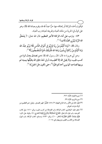فيكُو ن بأخذه للز كاة أو إعتاقه منها حرًّا عبداً لله ﷺ، يقوم بعبادة الله ﷺ، وهو على كمال في الحرية من ملك العباد وتفريغه لعبادة رب العباد.

٤٣ - يترتب على أداء الزكاة الأجر العظيم، قال الله تعالى: ﴿ يَمْحَقُّ الله الرِّبَا وَيُرْبِي الصَّدَقَاتِ﴾ (''.

وقال ﷺ: ﴿وَمَا آَتَيْتُمْ مِنْ رِبًا لِيَرْبُوَ فِي أَمْوَالِ النَّاسِ فَلَا يَرْبُو عِنْدَ الله وَمَا آَتَيْتُمْ مِنْ زَكَاةٍ تُرِيدُونَ وَجْهَ الله فَأَولَئِكَ هُمُ الْـمُضْعِفُونَ ﴾ (").

وعن أبي هريرة ﷺ قال: قال رسول الله ﷺ: «من تصدق بعدل تمرة من كسب طيب، ولا يقبل الله إلا الطيب»، [وفي لفظ «فإن الله يتقبَّلُها بيمينه ثم يربيها لصاحبه كما يربي أحدكم فلوَّه<sup>(٣)</sup>، حتى تكون مثل الجبل]» <sup>(٤)</sup>.

- (١) سورة البقرة، الآية: ٢٧٦.
- (٢) سورة الروم، الآية: ٣٩.
- (٣) فلوَّه: قال ابن الأثير رحمه الله في النهاية، ٣/ ٤٧٤: الفلُوُّ: المهـر الصـغير . وقيـل: هـو الفطـيم مـن أولاد ذوات الحوافر .
- (٤) متفق عليه: البخاري، كتاب الزكاة، باب الصدقة من كسب طيب، برقم ١٤١٠، وفي كتاب التوحيد، باب قول الله تعالى: ﴿تَعْرُجُ الْـمَلَائِكَةُ وَالرُّوحُ إِلَيْهِ﴾ [المعارج: ٤]. وقوله جل ذكره: (إِلَيْهِ يَصْعَدُ الْكَلِمُ الطَّيِّبُ﴾ [فاطر: ١٠]، برقم ٧٤٣٠، ومسلم، كتاب الزكاة، باب قبول الصدقة من الكسب الطيب وتربيتها رقم، ١٠١٤.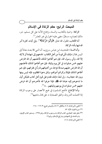# المبحث الرابع: حكم الزكاة في الإسلام

الزكاة: واجبة بالكتاب، والسنة، وإجماع الأمة على كل مسلم، حر، مالك لنصاب، مستقرٍّ، مضي عليه الحول في غير المعشر (''.

أما الكتاب، فلقول الله تعالى: ﴿وَآَتُوا الزَّكَاةَ﴾(`'). وفي آيات كثيرة أمر الله فيها بأداء الزكاة.

وأما السنة ؛ فلحديث ابن عباس رضرالله عنهما أن النبي ﷺ بعث معاذاً إلى اليمن فقال:«إنك تأتي قوماً من أهل الكتاب: فادعهم إلى شهادة أن لا إله إلا الله، وأني رسول الله، فإن هم أطاعوا لذلك فأعلمهم أن الله افترض عليهم خمس صلوات في كل يوم وليلة، فإن هم أطاعوا لذلك فأعلمهم أن الله افترض عليهم صدقة تؤخذ من أغنيائهم فتردٌّ في فقرائهم، فإن هم أطاعوا لذلك فإياك وكرائم أموالهم، واتق دعوة المظلوم، فإنه ليس بينها وبين الله حجاب)). وفي لفظ:((إنك تقدم على قوم أهل كتاب فليكن أول ما تدعوهم إليه عبادة الله گيلُك، فإذا عرفوا الله فأخبرهم أن الله فرض عليهم خمس صلوات في يومهم وليلتهم...)) (٣).

وأما الإجماع: فأجمع المسلمون في جميع الأعصار على وجوب الزكاة إذا اكتملت الشر وط، واتفق الصحابة ﴾ على قتال مانعيها'<sup>؛)</sup>.

- (١) المغنى، لابن قدامة، ٤/ ٥، والكافي، ٢/ ٨٥، والروض المربع، ٣/ ١٦٢ –١٦٨. (٢) سورة البقرة، الآية: ٤٣.
- (٣) متفق عليه: البخاري، كتاب الزكاة، باب وجوب الزكاة، برقم ١٣٩٥، ومسلم، كتاب الإيمان، باب الدعاء إلى الشهادتين وشرائع الإسلام، برقم ١٩.
	- (٤) المغنى لابن قدامة، ٤/ ٥.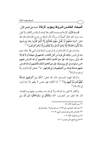المبحث الخامس:شروط وجوب الزكاة خسةعلى النحو الآتي:

الشرط الأول: الإسلام، وضده الكفر ، فلا تؤخذ الزكاة من الكافر ولا تقبل منه، سواء كان كافراً أصليًّا أو مرتدًّا؛ لأن الزكاة من فروع الإسلام، قال الله تعالى: ﴿وَمَا مَنَعَهُمْ أَنْ تُقْبَلَ مِنْهُمْ نَفَقَاتُهُمْ إِلَّا أَنَّهُمْ كَفَرُوا بِالله وَبِرَسُولِهِ وَلَا يَأْتُونَ الصَّلَاةَ إِلَّا وَهُمْ كُسَالَى وَلَا يُنْفِقُونَ إِلَّا وَهُمْ كَارِهُونَ﴾  $^{(i)}$ .

ومما يدل على أن الإسلام شرط لوجوب الزكاة قول النبي ﷺ لمعاذ حينها بعثه إلى اليمن: «إنك تأتي قوماً من أهل الكتاب: فادعهم إلى شهادة أن لا إله إلا الله، وأنى رسول الله، فإن هم أطاعوا لذلك فأعلمهم أن الله افترض عليهم خمس صلوات في كل يوم وليلة، فإن هم أطاعوا لذلك فأعلمهم أن الله افترض عليهم صدقة تؤخذ من أغنيائهم فترد في فقرائهم...))("). فجعل الإسلام شرطاً لو جو ب الز كاة<sup>(٣)</sup>.

والزكاة طهرة للمسلم، قال الله تعالى: ﴿خُذْ مِنْ أَمْوَالِـهِمْ صَدَقَةً نُطَهِّرُهُمْ وَتُزَكِّيهِمْ بِهَا﴾ <sup>(؛</sup>). أما الكافر فهو نجس لا يطهر إلا بالدخول في الإسلام".

والكافر لا تقبل منه الزكاة، ولا تؤخذ منه، ويحاسب عليها يوم القيامة، قال الله تعالى عن المجرمين: ﴿مَا سَلَكَكُمْ فِي سَقَرَ\*قَالُوا لَـمْ نَكُ مِنَ

> (١) سورة التوبة، الآية: ٥٤. (٢) متق عليه: البخاري برقم ١٣٩٥، ومسلم برقم ١٩، وتقدم تخريجه. (٣) حاشية ابن قاسم على الروض المربع، ٣/ ١٦٦. (٤) سورة التوبة، الآية: ١٠٣. (٥) الشرح الممتع، لابن عثيمين، ١٦/ ١٩.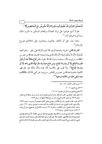الْمُصَلِّينَ\*وَلَمْ نَكُ نُطْعِمُ الْمِسْكِينَ\*وَكُنَّا نَخُوضُ مَعَ الْخَائِضِينَ﴾''). فلولا أنهم عوقبوا على ترك الصلاة وإطعام المسكين ما ذكروا ذلك سبباً في دخولهم النار<sup>(٢)</sup>.

وهذا يدل على أن الكفار يعاقبون ويعذبون على إخلالهم بفروع الإسلام".

الشرط الثاني: الحرية، وضدها الرق، فلا تجب الزكاة على رقيق –وهو العبد المملوك؛ لأنه لا يملك شيئاً؛ لأن المال الذي بيده لسيده؛ لحديث عبدالله بن عمر بن الخطاب رض الله عنهما قال: سمعت رسول الله ﷺ يقول: ((من **ابتاع نخلاً بعد أن تؤبَّر** فثمرتها للبائع إلا أن يشترط المبتاع، ومن ابتاع عبداً وله مال فماله للذي باعه إلا أن يشترط المبتاع»<sup>(؛</sup>). ولا تجب على مكاتب؛ لأنه عبد؛ ولأن ملكه غير تام، فهو كالعبد؛ لحديث عبدالله بن عمرو بن العاص رضرالله عنها عن النبي ﷺ قال: ((المكاتب عبدما بقي عليه من مكاتبته درهم»<sup>(١٥)</sup>.

- (١) سورة المدثر، الآيات: ٤٢ ٤٥.
	- (٢) الشرح الممتع، ٦/ ٢٠.

(۳) مجموع فتاوي ورسائل ابن عثيمين، ١٦/ ١٦.

- (٤) متفق عليه: البخاري، كتاب المساقاة، بـاب الرجـل يكـون لـه ممـر أو شرب في حـائط أو في نخـل، برقم ٢٣٧٩، ومسلم، كتاب البيوع، باب من باع نخلاً عليها تمر، برقم ١٥٤٣.
- (٥) أبو داود، كتاب العتق، باب في المكاتب يؤدي بعض كتابته فيعجز أو يموت، برقم ٣٩٢٦، والترمذي، كتاب البيوع، باب ما جـاء في المكاتـب إذا كـان عنـده مـا يـؤدي، بـرقم ١٢٦٠، وابـن ماجه، كتاب العتق، باب المكاتب، برقم ٢٥١٩، وحسنه الألباني في صحيح سنن أبي داود، ٢/ ٤٧٩، وإرواء الغليل، برقم ١٦٧٤.
- (٦) والمكاتب: العبد يشتري نفسه من مالكه بهال معلوم يوصله إليه، وسمى مكاتباً؛ لأنهم كـانوا يقولـون لعبيدهم إذا أرادوا مكاتبتهم: كاتبتك مثلاً: على ألف درهم، فإذا أداهـا عتـق، ومعنـاه كتبـت لـك عـلى نفسي- أن تعتـق منـي إذا وفيـت المـال، وكتبـت لـك عـلي العتـق، وكتبـت لي عليـك أداء المـال [جـامع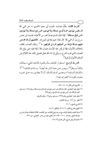الشرط الثالث: مِلْكُ نصاب؛ لحديث أبي سعيد الخدري ﷺ ﴾ قال:«ليس فيها دون خمسة أوسق صدقة، ولا فيها دون خمس ذودٍ صدقة، ولا فيها دون خمس أواقِ صدقة»('). فإذا ملك المسلم نصاباً اعتبر من الأغنياء؛ لحديث ابن عباس رضرالله عنهما أن النبي ﷺ قال لمعاذ حينها بعثه إلى اليمن:((… فأعلمهم أن الله افترض عليهم صدقة تؤخذ من أغنيائهم فترد في فقرائهم...» <sup>(٢)</sup>. وملك النصاب يختلف باختلاف الأموال، فإذا لم يكن عند الإنسان نصاب فلا زكاة عليه حتى يبلغ ماله النصاب الذي قدره الشرع، وسيأتي إن شاء الله تعالى تفصيل ذلك عند الكلام عن أصناف الأموال الزكوية".

الشرحط الرابع: استقرار الملك، بأن يكون المالك للشيء يملكه مِلكاً مستقرًّا<sup>(؛</sup>)، ويعـبر عـن هـذا الشر\_ط أيضـاً: بــــ‹(تمـام الملـك))<sup>(°) أو</sup> ((الملك التــام))(٦)، ومعنــي تمــام الملــك: أن لا يتعلــق بــه حــق غــيره بحيث يكون له التصر ف فيه(٧).

- = الأصول لابن الأثير ٨/ ٩٠ -٩١]. (١) متفق عليه: البخاري، كتاب الزكاة، باب: ليس فيها دون خمسة أوسـق صـدقة، بـرقم ١٤٨٤، ومسـلم، كتاب الزكاة، باب: ليس فيها دون خمسة أوسق، برقم ٩٧٩. (٢) متفق عليه: البخاري برقم ١٣٩٥، ومسلم، برقم ١٩، وتقدم تخريجه. (٣) انظر : ص ١٢٢ من هذا الكتاب. (٤) الشرح الممتع، ٦/ ٢١. (٥) المقنع والشرح الكبير، ٦/ ٣١٤، والكافي، ٨/ ٨٨. (٦) بداية العابد وكفاية الزاهد،مع شرحه:بلوغ القاصد جل المقاصد، كلاهما للعلامة عبدالرحمن بـن
	- عبدالله البعلى رحمه الله ١١١٠ ١١٩٢هـ، تحقيق محمد بن ناصر العجمى، ص ١٣٢.
		- (٧) حاشية الروض المربع، لابن قاسم (٢/ ١٦٨.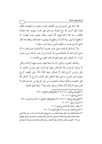فلا زكاة على السيد في دين الكتابة، لعدم استقراره؛ ولنقصان الملك فيه(١)، فإن السيد إذا باع مملوكه بدراهم على نفسه وبقيت عند مملوكه المكاتب سنة فلا زكاة فيها؛ لأن العبد يملك تعجيز نفسه فيقول: لا أستطيع أن أوفي. وإذا كان لا يستطيع أن يؤدي ما عليه فإنه يسقط عنه المال الذي اشترى نفسه به، فيكون الدين حينئذ غير مستقر (٢).

ولا زكـاة في الوقـف عـلى غـير معـين، كـالوقوف عـلى فقـراء، أو عـلى المسـاجد، أو المجاهــدين، أو المـدارس أو غــير ذلـك مــن وجـوه البرات أما الوقف على معين ففيه الزكاة، كعلى بني فلان(٤) (٥) .

وكذلك الحبوب والثمار إذا بدا صلاحها وجبت فيها الزكاة، ولكن لا يستقر الوجوب إلا بالتمكن منها، فيا دامت على رؤوس الشجر أو على رؤوس الزرع فإنه لا يتمكن منها تمكناً تامًّا حتى يحصد الزرع ويؤويه إلى الجرين، وحتى يجذ النخل، فلو أصابت الزرع أو النخل آفة قبل الحصاد والجذاذ وتلف المحصول من غير تفريط من صاحبه فإنه لا تجب عليه الزكاة؛ لأن ملكه لم يستقر عليه بعدلا والله تعالى أعلم'٧).

(١) المقنع والشرح الكبير، ٦/ ٣١٤، ٣١٥، والإقناع لطالب الانتفاع، ١/ ٣٨٨. (٢) الشرح الممتع، ٦/ ٢١ - ٢٢. (٣) المقنع مع الشرح الكبير، ٦/ ٣١٤–٣١٥، والإقناع لطالب الانتفاع، ١/ ٣٨٨، ومنار السبيل ١/ ٢٣٨. (٤) الروض المربع، ١٣/١ -١٤. (٥) وانظر : زيادة في الأمثلة الشرح الممتع، ٦/ ٢١. (٦) الشرح المختصر على متن زاد المستقنع، للفوزان، ٢/ ٢٤٠. (٧) ومثلوا للملك غير المستقر بحصة المضارب من الربح قبل القسمة، أما صـاحب رأس المال ففي حصته الزكاة، ولكن قال العلامة السعدي رحمه الله في كتابه المختارات الجليـة في المسـائل الفقهيـة ص ٧٥: «الصواب إيجاب الزكاة في حصة المضارب قبل القسـمة إذا بلغت نصـاباً؛ لدخولـه في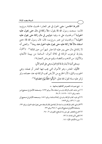الشرط الخامس: مضي الحول في غير المعشر؛ لحديث عائشة رضرالله عنها قالت: سمعت رسول الله ﷺ يقول: «لا زكاة في مال حتى يحول عليه الحول»<sup>(י)</sup>؛ ولحديث على ٭ وفيه: «وليس في مال زكاة حتى يحول عليه الحول»<sup>(٢)</sup>، ولحديث ابن عمر رض<sub>والله</sub>ءيها، قال: قال رسول الله ﷺ: «من استفاد مالاً فلا زكاة عليه حتى يحول عليه الحول عند ربه»'". والمعنى أنه لا زكاة في مال حتى يمر عليه اثنا عشر شهراً من حين تملكه<sup>(٤).</sup> والحول يشترط لوجوب الزكاة في ثلاثة أموال: السائمة من بهيمة الأنعام، والأثمان: من الذهب والفضة، وقيم عروض التجارة١٥).

ويستثني أشياء لا يشترط لهاتمام الحول، وهي على النحو الآتي:

الأول: المعشر، وهو الأموال التي يجب فيها العشر أو نصفه، وهي الحبوب والثمار؛ لأن الخارج من الأرض تجب الزكاة فيه عند حصاده، ولو لم تمر عليه سنة؛ لقول الله تعالى: ﴿وَأَتُّوا حَقَّهُ يَوْمَ حَصَادِهِ》<sup>(٦)</sup>.

- (١) ابن ماجه، كتاب الزكاة، باب من استفاد مالاً، برقم ١٧٩٢، وصـححه الألبـاني في صـحيح ابـن ماجه، برقم ۶۱۱ – ۱۸۱۹، ۲/ ۹۸.
- (٢) أبو داود، كتاب الزكاة، بـاب في زكـاة السـائمة، بـرقم ١٥٧١، وصـححه الألبـاني في صـحيح أبي داود، ۱/ ٤٣٦، برقم ١٥٧٣.
- (٣) الترمذي، كتاب الزكاة، باب ما جاء لا زكاة على المال المستفاد حتى يحول عليه الحول، برقم ٢٣١، وصححه الألباني في صحيح الترمذي، ١ / ٣٤٨، برقم ٦٣١. (٤) الشرح المختصر على متن زاد المستقنع، للفوزان، ٢/ ٢٤٠. (٥) المغنى لابن قدامة، ٤/ ٧٣.
	- (٦) سورة الأنعام، الآية: ١٤١.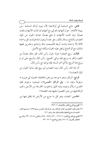الثاني: نتاج السائمة أي أولادها؛ لأن حول أولاد السائمة –من بهيمة الأنعام- حول أمهاتها، فتزكى مع أمهاتها إن كانت الأمهات بلغت نصاباً، وإن كانت الأمهات لم تبلغ نصاباً، فبداية الحول من كمال النصاب بالنتاج، ومثال ذلك رجل عنده أربعون شاة فولدت كل واحدة ثلاثة إلا واحدة ولدت أربعة فأصبحت مائة وإحدى وعشرين ففيها شاتان، مع أن النتاج لم يحل عليه الحول؛ ولكنه تبع الأصل.

الثالث: ربح التجارة حوله حول رأس المال، فلو ملك نصاباً من النقود واتجر به وربح فإنه يزكي الجميع: رأس المال والربح حتى لو لم يربح هذا الربح، إلا في آخر السنة، فإنه يزكيه مع رأس المال.

أما إذا كان رأس المال دون النصاب ثم ربح فإن بداية الحول من كمال النصاب(١).

الرابع: الركاز، وهو ما يوجد من دفن الجاهلية؛ لحديث أبي هريرة ، مرفوعاً وفيه: «... وفي الركاز الخمس»(٢)، فبمجرد وجوده ففيه الخمس؛ ولأن وجوده يشبه الثمار والحبوب الخارجة من الأرض، تجب الزكاة فيها من حين الحصول عليها عند الحصاد(٣).

الخامس: المعدن، وهو كل ما خرج من الأرض مما يُخلق فيها من

(١) المقنع مع الشرح الكبير والإنصاف، ٦/ ٣٥٢.

- (٢) متفـق عليـه: البخـاري، كتـاب الزكـاة، بـاب: في الركـاز الخمـس، بـرقم ١٤٩٩، ومسـلم، كتـاب الحدود، باب جرح العجهاء والمعدن والبئر جبار، برقم ١٧١٠.
- (٣) المقنع مع الشرح الكبير، ٦/ ٣١٤- ٣٢٠، و٣٥٢- ٣٥٤، و٣٥٤، والمغنى، ٤/ ٤٦، ٢٣١، والشرح المختصر للفوزان، ٢/ ٢٤١، والشرح الممتع، ٦/ ٢٢ – ٢٣.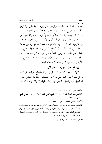غيرها مما له قيمة: كالحديد، والياقوت، والزبرجد، والعقيق، والسُّبَح، والكحل، والزاج- الكبريتات- والقار، والنفط، وغير ذلك مما يسمى معدناً، فإذا وجد الإنسان معدناً يبلغ نصاباً، فيجب أداء زكاته فوراً من حين العثور عليه، ولا يعتبر له الحول؛ لأنه كالزروع والثمار، والركاز، ولا تخرج زكاته إلا بعد سبكه وتصفيته، والمعدن أشبه بالثمار من غيرها، وزكاته ربع العشر<sup>(י)(</sup>". قال الإمام الخرقي رحمه الله:«وإذا أخرج من المعادن من الذهب عشرين مثقالاً أو من الورق مائتي درهم، أو قيمة ذلك من الزئبق، والرصاص، والصُّفر أو غير ذلك مما يستخرج من الأرض فعليه الزكاة من وقته»<sup>(٣)</sup>. والله تعالى أعلم<sup>(٤)</sup>.

وينقطع الحول بأمور على النحو الآتي:

الأول: إذا نقص النصاب أثناء الحول قبل تمامه انقطع الحول ومثال ذلك: رجل عنده أربعون شاة وقبل تمام الحول نقصت واحدة فلا زكاة في الباقي؛ لقوله ﷺ : «لا زكاة في مال حتى يحول عليه الحول»<sup>(٥)</sup>؛ ولأن وجود النصاب

- (١) انظر : سنن أبي داود، برقم ٢٠٦١. (٢) المغنى، لابن قدامة، ٤/ ٢٣٨ – ٢٤٤، والمقنع والشرح الكبير ٦/ ٥٧٤ – ٥٨٤، والشرح الممتع لابن عثيمين، ٦/ ٢٣.
	- (٣) مختصر الخرقي المطبوع مع المغني، ٤/ ٢٣٨.
- (٤) واختار شيخنا عبدالعزيز بن باز رحمه الله أن المعادن لا تزكيي إلا بعـد تمـام الحـول، سـمعت ذلـك منه أثنـاء تقريـره عـلى بلـوغ المرام، الحـديث رقـم ٢٤٥، وأثنـاء تقريـره عـلى المنتقـى مـن أخبـار المصطفى ﷺ ، الحـديث، رقـم ٢٠١٤، وهـو قـول إسـحاق وابـن المنـذر كـما ذكـره ابـن قدامـة في المغنى، ٤/ ٢٤٣، ورده ابن قدامة رحمه الله.
	- (٥) ابن ماجه، برقم ١٧٩٢، وتقدم تخريجه.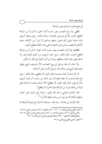في جميع الحول شرط لوجوب الزكاة.

الثاني: إذا باع النصاب بغير جنسه أثناء الحول لا فراراً من الزكاة انقطع الحول، إلا في عروض التجارة، ومثال ذلك: رجل يملك أربعين شاة سائمة وقبل تمام الحول باعها بدراهم لا فراراً من الزكاة، وهذه الأغنام لا يقصد بها عروض التجارة، ففي هذه الحالة ينقطع الحول.

الثالث: إذا أبدل النصاب بغير جنسه أثناء الحول لا فراراً من الزكاة انقطع الحول، مثال ذلك: رجل عنده أربعون من الغنم أبدلها ببقر، أو أبدلها بإبل، فإن الحول ينقطع، ويبدأ من أول الحول في البقر أو الإبل.

ولا شك أن هذا يدخل في بيع النصاب؛ لأن تعريف البيع ينطبق عليه؛ فإن البيع هو مبادلة مال ولو في الذمة بمثل أحدهما.

أما إذا باعه أو أبدله بجنسه؛ فإن الحول لا ينقطع، مثال ذلك: رجل باع ذهباً بذهب، أو فضة بفضة أو غير ذلك من جنسه، أو أبدل أربعين شاة بأربعين شاة، فإن الحول لا ينقطع؛ لأنه أبدله بجنسه، أما إذا فعل شيئاً من ذلك فراراً من الزكاة، فإن الحول لا ينقطع'').

قال الإمام الخرقي-رحمه الله تعالى-:«وإذا باع ماشية قبل الحول بمثلها زكَّاها إذا تم حول من وقت مِلكِهِ الأولِ»'".

قال الإمام ابن قدامة–رحمه الله–:«وجملته أنه إذا باع نصاباً للزكاة مما

- (١) انظر: المقنع مع الشرح الكبير، ٦/ ٣٦٠ ٣٧٠، والكـافي، ٢/ ٩٨، والـروض المربـع، ٢/ ١٧٨، والشرح الممتـَّع، ٦/ ٤٣، ومنتهـى الإرادات، ١/ ٤٤٤، وكتـاب الفـروع لابـن مفلـح، ٣/ ٤٧١، والإقناع لطالب الانتفاع، ١/ ٣٩٤، وانظر التفصيل في المغنى، لابن قدامة، ٤/ ١٣٦.
	- (٢) مختصر الخرقي المطبوع مع المغني، ٢٥/٤.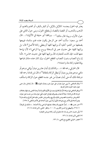يعتبر فيه الحول بجنسه: كالإبل بالإبل، أو البقر بالبقر، أو الغنم بالغنم، أو الذهب بالذهب، أو الفضة بالفضة، لم ينقطع الحول، وبني حول الثاني على حول الأول، وبهذا قال مالك (''... ووافقنا أبو حنيفة في الأثبان(''... قال أحمد بن سعيد: سألت أحمد عن الرجل يكون عنده غنم سائمة، فيبيعها بضعفها من الغنم: أعليه أن يزكيها كلها أم يعطي زكاة الأصل؟ قال: بل يزكيها كلها، على حديث عمر في السخلة يروح بها الراعي(٣)؛ لأن نهاءها معها قلت: فإن كانت للتجارة، قال يزكيها كلها على حديث حماس(٤). فأما إن باع النصاب بدون النصاب انقطع الحول، وإن كان عنده مئتان فباعها بيائة فعليه زكاة مئة واحدة))(°).

قال الخرقي رحمه الله: «... وكذلك إن أبدل عشرين ديناراً بمائتي درهم أو مائتي درهم بعشرين ديناراً لم تبطل الزكاة بانتقالها<sup>(٢)</sup>))، قال ابن قدامة رحمه الله: «وجملة ذلك أنه متى أبدل نصاباً من غير جنسه انقطع حول الزكاة واستأنف

- (١) وقال الشافعي: لا يبني حول نصاب على حول غيره بحـال؛ لقولـه کُلِ :((لا زكـاة في مـال حتـى يحول عليه الحول» تقدم تخريجه.
- (٢) ووافق الشافعي فيها سواها؛ لأن الزكاة إنها وجبت في الأثهان؛لكونها ثمناً، وهـذا المعنى يشـملها، بخـلاف غيرها، قال ابن قدامة: «ولنا أنه نصاب يضم إليه نماؤه في الحول، فبُنِيَ حول بدله من جنسه على حوله، كالعروض، والحديث مخصوص بالنهاء والربح، والعروض، فنقيس عليه محل النزاع، والجنسان لا يضم أحدهما إلى الآخر مع وجودهما، فأولى أن لا يبنى حول أحدهما على الآخر» [المغنى ٤/ ١٣٥]. (٣) خـبر عمـر ٢١): ((...تَعـدُّ علـيهم بالسـخلة، يحملهـا الراعـي ولا تأخـذها...)، مالـك في الموطـأ، ١/ ٢٦٥، والبيهقي في السنن الكبرى، ٤/ ١٠٠، وانظر: المغنى، لابن قدامة، ٤/ ٤٦. (٤) يأتي حديث حماس إن شاء الله تعالى في أول زكاة عروض التجارة. (٥) المغنى لابن قدامة، ٤/ ١٣٦. (٦) مختصر الخرقي المطبوع مع المغني، ١٣٦/٤.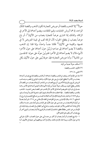حولاً") إلا الذهب بالفضة أو عروض التجارة؛ لكون الذهب والفضة كالمال الواحد، إذ هما أروش الجنايات، وقيم المتلفات، ويضم أحدهما إلى الآخر في الزكاة، وكذلك إذا اشترى عرضاً للتجارة بنصاب من الأثمان<sup>(٢)</sup>، أو باع عرضاً بنصاب لم ينقطع الحول؛ لأن الزكاة تجب في قيمة العروض لا في نفسها، والقيمة هي الأثَّمان<sup>(٣)</sup> فكانا جنساً واحداً، وإذا قلنا: إن الذهب والفضة لا يضم أحدهما إلى صاحبه لم يُبْنَ حول أحدهما على حول الآخر؛ لأنهما مالان لا يضم أحدهما إلى الآخر؛ فلم يُبنَ حولُه على حولِه: كالجنسين من الماشية<sup>(؛</sup>)، وأما عروض التجارة؛ فإن حولها يُبنى على حول الأثيان بكل

- (١) استأنف حو لاً جديداً من أوله.
	- (٢) الأثران: الذهب والفضة.
		- (٣) المغنى، ١٣٦/٤.
- (٤) جاء عن الإمام أحمد روايتان: في الذهب والفضة: إحداهما: أن الذهب والفضة إذا بيع نصـاب أحـدهما بنصابٍ من الأخر لا ينقطع الحول، بل يبني على حول الأول، واختاره الخرقبي في مختصر ه، وصـاحب الروض المربع، والروايـة الأخـرى: أن بيـع النصـاب مـن الـذهب أو إبدالـه بنصـاب مـن الفضـة أو بالعكس يقطع الحول، ويستأنف حولاً جديداً من أوله؛ لأنهما مالان لا يضم أحدهما إلى الآخر، وهما جنسان في باب الربا، فلم يضم أحدهما إلى الآخر؛ لأن الذهب غير الفضـة بـنص الحـديث: «الـذهب بالذهب، والفضة بالفضة... فإذا اختلفت هذه الأصناف فبيعوا كيف شئتم إذا كان يداً بيد» [مسلم، بـرقم ١٥٨٧]، واختـار هـذه الروايـة للإمـام أحمـد العلامـة محمـد بـن صـالح العثيمـين في شرح زاد المستقنع، ٦/ ٤٤، وقال الإمام ابن رجب في القواعد في الفقـه الإسـلامي ص ٣١٤: «لـو أبـدل نصـاباً من أموال الزكاة بنصاب من جنسه بني على حول الأول على المذهب ولـو أبدلـه بغـير جنسـه اسـتأنف إلا في إبدال أحد النقدين بالآخر؛ فإن فيه روايتين، وخرَّج أبو الخطاب في انتصاره روايـة بالبنـاء في الإبدال من غير الجنس مطلقاً» فظهر مما تقـدم أن النصـاب الزكـوى إذا أُبـدل بنصـاب زكـوى آخـر أو بيع بنصاب آخر يكون على النحو الآتي: ١ – إذا بيع النصاب أو أبدل بنصاب أو أكثر من جنسه بُني عـلى حـول النصـاب الأول، فيزكـي إذا تم حول الأول، وبهذا قال الإمام مالك، والإمام أحمد ووافقهما أبو حنيفة في الأثمان، أما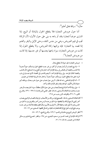حال»<sup>(י)</sup>، والله تعالى أعلم<sup>י</sup>).

ــــــــــــــــــــــــــــــــــــــــــــــــــــــــــــــــــــــــــــ

أما حول عروض التجارة فلا ينقطع الحول بالمبادلة أو البيع، إذا اشترى عرضاً لتجارة بنقد أو باعه به بني على حول الأول؛ لأن الزكاة تجب في قيم العروض، وهي من جنس النقد، وحتى الإبل والبقر والغنم إذا قصد بها التجارة: فإنه يزكيها زكاة العروض، ولا ينقطع الحول إذا كانت من عروض التجارة، سواء باعها بجنسها أو غير جنسها، إذا كانت من عروض التجارة<sup>(٣)</sup>.

d tI@ P{r 4 º57 \$ ,"h< .? = %g – W 457 s #< t5T P{r 1\_g &V 8 .o -`@ t@ -` P=@ |~ Uu R ;Pr<\_] !0 Pr] 
u"<' , Ó " 
v:\@ j Uu 4~ -%@ 
%\_g (§R ;j ~ Uu 9 4 :, Ó " 
d75 t] j g ,t5T P{r u J\\$ ,@. d nk=o? 8@ \ . u "<' d 457 s #<\_ 5%@ 1%r\$ ,t%I@ &%V t5%7 J%? -` t57 ; 4 :tr\$ 2 1," B\\$E  – Y d ,  \$ 1 \$ rx ( ,(KR 
4~ j=7 &%@ 1%\_h@ % D5% ,%r>{ tR t5%7 J%? ;%@ -`@ @` L@ |~ 1 ,R " – a l%m ,MYp– MYb ,aX %/ 8%@4 B%] :.%^ d2 1%," Q\%\_ % \ %u "%<' ,1\_g d YMb e ,Ug" 8@4 ,?5r ,YpM pX ,&: -%`@ Q5% -%` t@~ ~ :-IR 8 t/ 8 t5/ y=I`-- :2 1," Q\\_ \ t/ -M 8% % % n%@ %.j< ,.%' vg 8 1\_g 8 D5 ,+\{r 4 , Pk 4 Q50 .'

الجنس وغيره لا دليل عليه، وحقيقة الأمر: لا فرق بين الأمرين؛ ولأن القول بقطعه إذا أبدله مـن غـير جنسـه يوجب فتح أبواب الحيل لمنع الزكاة» المختارات الجلية من المسائل الفقهية للسعدي، ص ٧٦ –٧٧. (٢) انظر: الروض المربع مع حاشية ابن قاسم، ١/ ١٧٩، والشرح الممتع، ٦/ ٤٢ –٤٤.

(٣) الزكاة، للإمام أبي محمد الحسين بن مسعود البغـوي، ص ١٩٥، وانظـر : مجمـوع فتـاوى ورسـائل العلامة ابن عثيمين رحمه الله، ١/ ١٨ .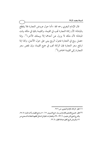قال الإمام البغوي رحمه الله: «أما حول عروض التجارة فلا ينقطع بالمبادلة؛ لأن زكاة التجارة تجب في القيمة، والقيمة باقية في ملكه وقت المبادلة؛ لأن ملكه لا يزول عن أحدهما إلا ويملك الآخر»<sup>(١)</sup>. وإذا حصل ربح في التجارة فحول الربح يبنى على حول الأصل، وكذا إذا ارتفع سعر التجارة فإن الزكاة تجب في جميع القيمة، وإن نقص سعر التجارة زكى القيمة الحاضرة<sup>(٢)</sup>.

(١) انظر : الزكاة، للإمام البغوي، ص ٢٧٦ .

ــــــــــــــــــــــــــــــــــــــــــــــــــــــــــــــــــــــــــــ

(٢) انظـر : مجمـوع الفتـاوي للإمـام ابـن بـاز، جمـع الشـويعر، ١٢/ ٥٠، وجمـع الطيـار وأحمـد البـاز، ٥/ ٢٥، والشرح الممتع لابن عثيمين، ٢/ ٣٣ –٣٩، والمختارات الجلية في المسائل الفقهية للعلامة السـعدي ص ٧٦، والروض المربع تحقيق عبدالله الطيار، ٤/ ٢٢.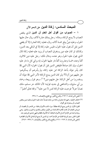# المبحث السادس: زكاة الدين على النحو الآي

١ – ا**لصواب من أقوال أهل العلم أن الدين** الذي ينقص النصاب لا يمنع الزكاة، ومثاله: رجل يملك عشرة آلاف ريال حال عليها الحول، وعليه دينٌ يبلغ خمسة آلاف ريال، فعليه زكاة العشرة إلا أن يقضي الدين قبل أن يحول عليه الحول، فليس عليه زكاة إلا في الباقي بعد الدين، وكذلك لو كان عليه دين يستغرق النصاب أو يزيد عليه فعليه زكاة المال الذي يحول عليه الحول وهو عنده، ومثال ذلك: رجل عليه دين ثلاثون ألفاً وعنده خمسة وعشرون ألفاً دار عليها الحول، إنه يزكي كل ما دار عليه الحول، وإن كان صادقاً فليقض الدين قبل أن يحول الحول؛ لأن النبي ﷺ كان يأمر عماله بأخذ الزكاة ممن عليه زكاة، ولم يأمرهم أن يسألوهم: هل عليهم دين أم لا؟ ولو كان الدين يمنع الزكاة؛ لأمر النبي ﷺ عماله أن يستفسروا من أهل الزكاة: هل عليهم دين؟ (')، وهو قول ربيعة، وحماد بن أبي سليهان، والشافعي في جديد قوليه؛ لأن المالك حر مسلم، ملك نصاباً حولاً فوجبت عليه الزكاة كمن لا دين عليه'').والله تعالى أعلم'').

- (١) المغنى لابن قدامة، ٦/ ٢٦٣، والشرح الكبير مع المقنع والإنصاف، ٦/ ٣٣٨.
- (٢) اختلف العلماء رحمهم الله تعالى في زكـاة مـن ملـك نصـاباً حـال عليـه الحـول وعليـه ديـن يـنقص النصاب أو يستغرقه على أقوال: القول الأول: إن الدين يمنع الزكاة مطلقاً، سواء كانت الأموال باطنة: من الذهب أو الفضـة، أو عروض التجارة أو كانت ظاهرة كالسائمة من الإبل، والبقر والغنم، والحبوب والثمار. وهي رواية واحدة عن الإمام أحمد في الأموال الباطنة، أما الأموال الظاهرة فهي إحدى الروايتين عنه. القول الثاني: وهو الرواية الثانية عن الإمام أحمد: إن الـدين لا يمنـع الزكـاة في الأمـوال الظـاهرة [المغنى لابن قدامة، ٤/ ٢٦٣ –٢٦٦، والمقنع والشرح الكبير والإنصاف، ٦/ ٣٣٨ – ٣٤٢].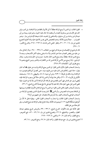ــــــــــــــــــــــــــــــــــــــــــــــــــــــــــــــــــــــــــــ

= القول الثالث: إن الدين لا يمنع الزكاة مطلقاً: لا في الأموال الظـاهرة ولا الباطنـة، بـل تجب ولـو كان على الإنسان دين يستغرق النصاب أو ينقصه إذا حال عليه الحول، وهـو قـول ربيعـة بـن أبي عبـدالرحمن وحمـاد بـن أبي سـليهان، والشـافعي في الجديـد، قـال شـيخنا الإمـام ابـن بـاز : ‹‹وهـو الصواب... عملا بعموم الأدلة، وعدم المخصص الذي يحسن الاعتماد عليه والله أعلم» [مجموع فتاوى ابن باز، ٢٠/ ٣٠ – ٣١، وانظر : المغنى لابن قدامـة، ٤/ ٢٦٣ – ٢٦٥، والشرح الكبـير،  $[\mathbf{r}\mathbf{\hat{y}}\cdot/\mathbf{r}]$ 

قال المرداوي في الإنصاف في معرفة الـراجح مـن الخـلاف، ٦/ ٣٣٨ – ٣٤٠: ‹‹ولا زكـاة في مـال من عليه دين ينقص النصاب هذا هـو المذهب إلا مـا استثنى وعليـه أكثـر الأصـحاب، وعنـه لا يمنع الدين الزكاة مطلقاً، وعنه يمنع الدين الحال خاصـة. جـزم بـه في ‹‹الإرشـاد›› وغـيره. وقـال المرداوي: ‹‹إذا لم يمنع دين الأدمي الزكاة فدين الله من الكفارات والنذور ودين الحـج ونحـوه لأ يمنع بطريق أولى. [الإنصاف (٣/ ٣٤٨).

واستدل أصحاب القول الأول الذين قالوا: إن الدين يمنع الزكاة بها ثبت عن عثمان ﷺ أنه كـان يقول: «هذا شهر زكاتكم فمن كـان عليـه ديـن فليـؤد دينـه، حتـى تحصـل أمـوالكم فتـؤدون منـه الزكاة» [رواه مالك في الموطأ، ١/ ٢٥٣، وابن أبي شيبة، ٤/ ٤٨ ، والبيهقي، ١٤٨ /٤ ، وصححه الألباني في الإرواء، ٣/ ٢٦٠]، ولكن هذا يؤكد أن الدين إذا كان حالاً قبل وجوب الزكاة؛ فإنـه يُقضى لسبق حق الدائن فهو أحق بالتقديم على الزكاة؛ لأن الزكاة لا تجب إلا إذا تم الحـول، فـإذا قضى الدين قبل مضي الحول فلا زكاة عليه إلا فيها بقي إذا بلغ نصاباً [الشرح الممتع، ٦/ ٣٦]. واستدل أصحاب القول الثاني الذين قالوا: إن الدين لا يمنع الزكاة في الأموال الظاهرة، ويمنعها

في الباطنة بعمومات النصـوص، وأن النبـي ﷺ كـان يبعـث العـمال الـذين يقبضـون الزكـاة مـن أصحاب المواشي وأصحاب الثمار، ولا يأمرهم بالاستفصال: هل عليهم دين أم لا؟ واستدل أصحاب القول الثالث بما استدل به أصحاب القول الثاني، وبقوله تعالى: ﴿ خُذْ مِنْ

أَمْوَالِهِمْ صَدَقَةً) [التوبة: ١٠٣] وبعمومات الأدلة، وهذا عام في إيجاب الزكاة عند بلوغ النصاب، ولو كان هناك دين على المالك.

انظر الأدلة على هذه الأقوال: الشرح الممتع، ٦/ ٣٣ – ٣٩، والروض المربع بتحقيق عبدالله الطيار، والغصن، والمشيقح، ٤/ ٢٢، ومجموع فتاوى ابن باز، ٤٩/١٤ – ٥٢، جمع الشويعر، وجمع الطيار، وأحمد الباز، ٥/ ٣٠، والمغني، ٤/ ٢٦٣ – ٢٦٩.

(١) مجموع فتاوى ابن باز، جمع عبدالله الطيار، وأحمد الباز، ٥/ ٢٧، وجمع الشويعر، ١٤/ ٥٣.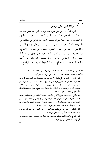=

#### ٢ – زكاة الدين على نوعين:

ــــــــــــــــــــــــــــــــــــــــــــــــــــــــــــــــــــــــــــ

النوع الأول: دينٌ على مليء مُعترفٍ به باذلٍ له، فعلى صاحبه زكاته كل سنة، كلما حال عليه الحول، كأنه عنده وهو عند المدين كالأمانات، واختار هذا القول شيخنا الإمام عبدالعزيز بن عبدالله ابن باز رحمه الله<sup>(۱)</sup>، وهو قول عثمان، وابن عمر، وجابر یه وطاوس، والنخعي، وجابر بن زيد، والحسن، وميمون ابن مهران، والزهري، وقتادة، وحماد بن أبي سليهان، والشافعي، وإسحاق، وأبي عبيد، قالوا: عليه إخراج الزكاة في الحال، وإن لم يقبضه؛ لأنه قادر على أخذه والتصرف فيه، فلزمه إخراج زكاته كالوديعة<sup>(٢)</sup>، وهذا هو الراجح إن

(٢) اختلف العلماء رحمهم الله تعالى في زكاة الدين على المليء الباذل على أقوال: القول الأول: إن الدين على المليء الباذل لا زكاة عليه حتى يقبضه، فيزكيه لما مضي. مـن الأعـوام، فلا تلزمه زكاته حتى يقبضه ثم يؤدي لما مضى؛ لأنه دين ثابت في الذمة فلـم يلزمـه الإخـراج قبـل قبضه، روى ذلك عن على کله، وبه قال الثوري، وأصحاب الرأي، وهـو مذهب الحنابلـة، ورجحه العلامة ابن عثيمين رحمه الله، قال: «وإن شاء أدى زكاته مع ماله كل سنة، وهـذا فضـيلة وأسرع في إبراء الذمة، والأول رخصة». القول الثاني: إن على صاحبه إخراج الزكاة في الحال، وإن لم يقبضه؛ لأنه قـادر عـلى أخـذه والتصر ف فيـه،

فلزمه إخراج زكاته: كالوديعة، وهو قول عثمان، وابن عمر وجابر ﴾، وطاوس، والنخعي، وجابر بن زيد، والحسن، وميمون بن مهران، والزهري، وقتادة، وحماد بـن أبي سـليهان، والشـافعي، وإسـحاق، وأبي عبيد، ورجح هذا القول شيخنا الإمام عبدالعزيز بن عبدالله ابن باز رحمه الله.

القول الثالث: إن الدين على ملىء ليس فيه زكاة، روى عن عائشة، وابن عمر ﴾ وهـو قـول مجاهد؛ لأنه غير تام فلم تجب زكاته: كعروض القنية. القول الرابع: يزكيه إذا قبضه لسنة واحدة، روي هذا القول عـن سـعيد بـن المسيب، وعطـاء بـن

<sup>(</sup>١) المغني لابن قدامة، ٤/ ٢٦٩ – ٢٧٠، والمقنع مع الشرح الكبير والإنصاف، ٦/ ٣٢١.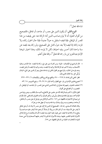شاءالله تعالى<sup>(י)</sup>.

ــــــــــــــــــــــــــــــــــــــــــــــــــــــــــــــــــــــــــــ

النوع الثاني: أن يكون الدين على معسر ، أو جاحد، أو مماطل، فالصحيح من أقوال العلماء أنه لا يلزم صاحب الدين أداء الزكاة عنه حتى يقبضه من هذا المعسر أو الماطل، فإذا قبضه استقبل به حو لاً جديداً، فإذا حال الحول زكاه، ولا تلزمه زكاته إذا قبضه إلا بعد حول كامل على الصحيح، ولو زكاه بعد قبضه عن سنة واحدة كان أحسن وفيه احتياط، لكن لا يلزمه ذلك، وهذا اختيار شيخنا الإمام عبدالعزيز ابن باز رحمه الله تعالى'''، والله تعالى أعلم.

= قال المرداوي في الإنصاف: «قوله: ومن كان له دين على مليء زكاه إذا قبضه، هذا المذهب وعليه الأصحاب، وعنه لا تجب فيه الزكاة فلا يزكيه إذا قبضه، وعنه يزكيه إذا قبضه أو قبل قبضه، وعنه يلزمه في الحال». والراجح هو القول الثاني إن شاءالله تعالى وهو أن الدين على المليء البـاذل يُزَكَّى كُلِّ سنة كَالمَالَ الذي باليد. انظر: المغنى لابن قدامة، ٤/ ٢٦٩ – ٢٧٠، والمقنع مع الشرح الكبير والإنصاف، ٦/ ٣٢١ – ٣٢٢. (١) مجموع فتاوى الإمام ابن باز، جمع الطيار وأحمد الباز، ٥/ ٢٧، ٢٩، وجمع الشويعر، ١٤/ ٥٣. (٢) اختلف العلماء رحمهم الله تعـالى في زكـاة الـدين الـذي عـلى المعسر ـ، أو الجاحـد، أو الماطـل، أو المغصوب، أو الضائع على أقوال: القول الأول: لا تجب فيه الزكاة؛ لأنه غير مقدور على الانتفاع به أشبه مال المكاتب، وهـو روايـة عـن الإمام أحمد، وهو قول قتادة وإسحاق، وأبي ثور، وأهل العراق، وأحد القولين للشـافعي. قـال الإمـام ابن تيمية في الاختيارات الفقهية، ص ١٤٦: «لا تجب الزكاة في دين مؤجل أو عـلى معسر\_، أو مماطـل، أو جاحد، ومغصوب ومسر وق، وضال، وما دفنه ونسيه، أو جهل عند من هو؟». وقال العلامة السعدي رحمه الله: «الصحيح أن الدين إذا كان على معسر لا وفاء له، أو على مماطل لا يقدر على الاستيفاء منه، أو كان المال مسر وقاً، أو ضالاً، أو نحوه مما لا يقدر عليه صـاحبه ولا ينتفع به لا زكاة فيه إذا قبضه حتى يحول عليه الحول بعد قبضـه؛ لأن الله بحكمتـه شرع الزكـاة في الأموال النامية المقدور عليها، وهذه الأموال المذكورة لا يقدر عليها أصحابها ولا هي معدة للنهاء» [المختارات الجلية من المسائل الفقهية، ص ٧٥] . =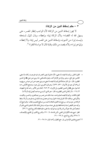#### ٣ – حكم إسقاط الدين من الزكاة:

ــــــــــــــــــــــــــــــــــــــــــــــــــــــــــــــــــــــــــــ

لا يجوز إسقاط الدين من الزكاة؛ لأن الواجب إنظار المعسر، حتى يسهل الله له القضاء؛ ولأن الزكاة إيتاء وإعطاء، وبذل للمال لمستحقه وليست إبراء من الديون، وإسقاط الدين عن المعسر ليس إيتاء ولا إعطاء، وإنها هو إبراء؛ ولأنه يقصد من ذلك وقاية المال لا مواساة الفقراء'').

- = القول الثاني: يزكيه إذا قبضه لما مضيء؛ لأنه مملوك يجوز التصر ف فيه فوجبت زكاته لما مضي. كالدين على المليء، وهو رواية عن الإمام أحمد، وقول للشـافعي؛ لما روى عـن عـلى ﷺ، في الـدين المظنون، قال: «إن كان صادقاً فليزكيه إذا قبضه لما مضي» وروي نحوه عـن ابـن عبـاس رضـ<sub>ل</sub>فيهما [رواهما أبو عبيد في الأموال: ٤٣١، ٤٣٢]. وهو قول الثوري، وأبي عبيد، وصحح الألباني رحمه الله قـول عـلى رض في الـدين الظنـون، في الإرواء، ٣/ ٢٥٢. [قـال ابـن الأثـير رحمـه الله في النهايـة، ٣/ ١٦٤: «لا زكاة في الدين الظنون»، قال: «هو الذي لا يدري صاحبه أيصل إليه أم لا؟»]. القول الثالث: يزكيه إذا قبضه لعـام واحـد، جـاء ذلـك عـن عمـر بـن عبـدالعزيز ، والحسـن، والليـث، والأوزاعي، ومالك؛ لأنه كان في ابتداء الحول بيده ثم حصل بعد ذلك في يده فوجب أن لا تسقط الزكاة عن حول واحد. ورجح هـذا القـول العلامـة محمـد بـن صـالح العثيمـين فقـال: «والـراجح أنـه يزكيه حين القبض لسنة واحدة فقط ولو بقي عدة سنوات، ومثل ذلك المال المدفون المسي- فلـو أن شخصاً دفن ماله خوفاً من السرقة ثم نسيه فيزكيه سنة عثوره عليه فقط» [الشرح الممتع، ٦/ ٣٢]. انظر : جميع هذه الأقوال في المغنى، لابن قدامـة، ٤/ ٢٧٠، والشريح الكبـير في المقنـع والإنصـاف، ٣/ ٣٢٥، والشرح الممتع، ٤/ ٢٩ – ٣١.
	- (١) مجموع فتاوى الإمام ابن باز، جمع الطيار وأحمد الباز، ٥/ ٢٥ –٢٦.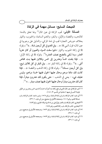## المبحث السابع: مسائل مهمة في الزكاة

**المسألة الأولى:** تجب الزكاة في عين المال<sup>(י)</sup> ولها تعلق بالذمة: كالذهب، والفضة، والإبل، والبقر، والغنم السائمة، والحبوب، والثمار بخلاف عروض التجارة تجب في ذمة المزكي، والدليل على وجوبها في عين المال؛ قول النبي ﷺ: «... وفي الغنم في كل أربعين شاة....»<sup>(٢)</sup>، وقوله ﷺ في زكاة الحبوب والثمار: «فيها سقت السهاء **والعي**ون أو كان عثرياً العشر، وما سُقي بالنضح نصف العشر»<sup>(٣)</sup>. وقوله ﷺ في زكاة الإبل: «… فإذا بلغت خمساً وعشرين إلى خمس وثلاثين ففيها بنت مخاض أنثى…))<sup>(؛)</sup>. وقوله ﷺ في زكاة البقر: «… وفي البقر في كل ثلاثين تبيع، وفي كل أربعين مسنة»<sup>(٥)</sup>. وقوله ﷺ في زكاة الذهب والفضة: «... فإذا كانت لك مائتا درهم وحال عليها الحول ففيها خمسة دراهم، وليس عليك شيء – يعني في الذهب – حتى يكون لك عشرون ديناراً، فإذا كان لك عشرون ديناراً وحال عليها الحول ففيها نصف دينار....)) (``).

- ــــــــــــــــــــــــــــــــــــــــــــــــــــــــــــــــــــــــــــ (١) تجب الزكاة في عين المال الذي لو دفع زكاته منه أجزأت احترازاً مما دون خمس وعشرين من الإبل فإنها لا تجب في عينها. [حاشية ابن قاسم، ٣/ ١٨١].
- (٢) أبو داود، كتاب الزكاة، باب في زكـاة السـائمة، بـرقم ١٥٦٨، وابـن ماجـه، كتـاب الزكـاة، بـاب صدقة الغنم، برقم ١٨٠٥، وصححه الألباني في صحيح سنن أبي داود، ١/ ٤٣٢ . (٣) البخاري، كتاب الزكاة، باب العشر فيها يُسقى من ماء السهاء والماء الجاري، برقم ١٤٨٣.
	- (٤) البخاري، كتاب الزكاة، باب زكاة الغنم، برقم ١٤٥٤.
- (٥) أبو داود، كتاب الزكاة، باب في زكاة السائمة، برقم ١٥٧٢، وصـححه الألبـاني في صـحيح سـنن أبي داود، ١/ ٤٣٤.
- (٦) أبو داود، كتاب الزكاة، باب في زكاة السائمة، برقم ١٥٧٣، وصـححه الألبـاني في صـحيح سـنن  $\mathcal{M}$ اً دی داود، ۱/ ۴۳۲.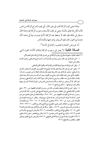وهذا معنى كون الزكاة تجب في عين المال: أي يجب إخراج الزكاة من نفس المال؛ لكن لها تعلق بالذمة: يعني لو تلف المال بعد وجوب الزكاة فيه وهذا المال مستقر في ملكه فإن تلفه لا يسقط عنه الزكاة؛ لأنها صارت ديناً في ذمته؛ لأنه عندما تم الحو ل كان عليه أن يبادر بإخر اجها ولكنه تأخر .

أما عروض التجارة فتجب زكاتها في الذمة<sup>(י)</sup>.

**المسالة الثانية:** لا يعتبر في وجوب الزكاة إمكان الأداء؛ لقول النبي  $\ddot{\cdot}$ 

(١) اختلف العلماء رحمهم الله تعالى في وجوب الزكاة هل هي تجب في المال أو في الذمة على النحو الآتي: ١ –تجب الزكاة في عين المال، وهو رواية عن الإمام أحمد، وأحد قـولي الشـافعي، وقـول الإمـام مالك وأبي حنيفة.

٢ –وقيل: تجب في الذمة، وهو الرواية الثانية عن الإمام أحمد والقول الثاني للشافعي. ٣ – وقيل: تجب في عين المال ولها تعلق بالذمة، فجمع هذا القول بين القولين السـابقين، قـال في زاد المستقنع: ‹‹وتجب الزكاة في عين المال ولها تعلـق بالذمـة›› قـال العلامـة ابـن عثيمـين رحمه الله: «فالقول الذي مشى عليه المؤلف قول جامع بين القولين وهو أنهـا تجـب في عـين المـال ولهـا تعلـق بالذمة، فالإنسان في ذمته مطالب بها وهي واجبة في المال، ولولا المال لم تجب الزكاة فهي واجبـة في عين المال، إلا أن يستثنى من ذلك مسألة واحدة وهي العروض، فإن الزكاة لا تجب في عينها ولكن تجب في قيمتها...» [الشرح الممتع، ٦/ ٤٦].

٤ – وقيل: تجب في الذمة وتتعلق بالنصاب، قال ابن رجب في القواعد الفقهية، ص ٣٧٠: «وقع ذلك في كلام القاضي وأبي الخطاب وغيرهما وهي طريقة الشيخ تقي الـدين». قـال الإمـام ابـن رجب رحمه الله في القواعـد الفقهيـة، ص ٣٧٠- ٣٧٤: «وللاخـتلاف في محـل التعلـق هـل هـو العين، أو الذمة؟ فوائد كثيرة)، ثم ذكر رحمه الله تعـالي سـبع فوائـد. وانظـر : شرح هـذه الفوائـد في القواعد لابن رجب، ص ٣٧٠ – ٣٧٤، والمغنى، لابن قدامة، ٤ / ١٤٠ –١٤٢، وفي الإنصاف لمعرفة الراجح من الخلاف للمرداوي، المطبوع مع المقنع والشرح الكبير، ٦/ ٣٧٢ – ٣٧٥، وحاشية ابن قاسم على الروض، ٣/ ١٨٢ . وانظر : مسألة هل تجب الزكاة في عين المال أو في الذمة؟ المغنى، ٤/ ١٤٠، والمقنع مع الشرح الكبير، والإنصـاف، ٦/ ٣٧١، والـروض المربـع مـع حاشـية ابـن قاسم، ٣/ ١٨٢، والشر-ح الممتـم، لابـن عثيمـين، ٦/ ٤٥، والشر-ح المختصر ـ عـلى زاد المسـتقنع، ٢/ ٢٤٩، للفوزان، والسلسبيل في معرفة الدليل للبليهي، ٢/ ٣٥٢، والروض المربع تحقيق وتعليق الطيار، والغصن، والمشيقح، ٤/ ٢٩.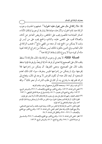ﷺ: «لا زكاة في مال حتى يحول عليه الحول»<sup>(١)</sup>. فمفهوم الحديث وجوب الزكاة عند تمام الحول؛ ولأن هذه عبادة فلا يشترط لوجوبها إمكان الأداء، كسائر العبادات؛ فالصوم يجب على الحائض، والمريض العاجز عن أدائه، والصلاة تجب على المغمى عليه، والنائم، والحج يجب على من أيسر في وقت لا يتمكن من الحج فيه، أو منعه من المضي مانع<sup>(٢)</sup>، فتجب الزكاة في المال الغائب وفي الدين، فكون المالك ليس متمكناً من إخراج الزكاة؛ لغيبة ماله أو كونه ديناً لا يسوغ ذلك إسقاط الزكاة عنه'").

المسألة الثالثة: لا يعتبر في وجوب الزكاة بقاء المال، فالزكاة لا تسقط بتلف المال على الصحيح إذا تعدي أو فرط، أما إذا لم يتعدَّ ولم يفرط فإنها تسقط بتلف المال على الصحيح، ومعنى التفريط: أن يتمكن من إخراجها فلا يخرجها، وإن لم يتمكن من إخراجها فليس بمفرط، سواء كان ذلك لعدم المستحق؛ أو لبعد المال عنه؛ أو لكون الفرض لا يوجد في المال، ويحتاج إلى شرائه فلم يجد ما يشتري به، أو كان في طلب الشر اء، أو نحو ذلك<sup>(؛</sup>)، والله

(١) أبو داود، برقم ١٥٧١، وصححه الألباني في صحيح أبي داود، وتقدم تخريجه.

- (٢) المغني لابن قدامة، ٣/ ١٤٣، والشرح الكبير مع المقنع والإنصـاف، ٦/ ٣٧٦، والـروض المربـع، ٣/ ١٨٣، والشرح الممتع لابن عثيمين، ٦/ ٤٧، والسلسبيل في معرفة الدليل للبليهي، ١/ ٢٥٣.
- (٣) اختلف العلماء رحمهم الله تعالى هل يعتبر في وجوب الزكاة إمكان الأداء أو لا يعتبر على قولين: القول الأول: أن الزكاة تجب بحلول الحول سواء تمكن من الأداء أو لم يتمكن وبهذا قال الإمام أحمد، وأبو حنيفة والشافعي في أحد قوليه. القول الثاني: لا تجب الزكاة إلا إذا تمكن من الأداء، وهذا قول مالك، وأحد قولي الشافعي، والأرجح القول الأول والله تعالى أعلم. المغنى، لابن قدامة، ٤/ ١٤٣، والشرح الكبير مـع المقنـع والإنصاف، ٦/ ٣٧٦ – ٣٧٧، والكافي لابن قدامة، ٢/ ٩٤.
- (٤) انظر: المغنى لابن قدامة، ٤/ ١٤٤، والشرح الكبير مع المقنع والإنصاف، ٦/ ٣٧٧، والسلسبيل في معرفة الدليل، ١/ ٢٥٤، والشرح الممتع، ٦/ ٤٧، والروض المربع، ٣/ ١٨٣.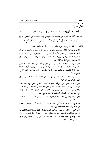تعالى أعلم ''.

**المسألة الرابعة:** الزكاة كالدين في التركة، فلا تسقط بموت صاحب المال، وتخرج من ماله وإن لم يوصٍ بها؛ لحديث ابن عباس رضيالله ءهما: أن امرأة جاءت إلى النبي ﷺ فقالت: إن أمي نذرت أن تحج فماتت ــــــــــــــــــــــــــــــــــــــــــــــــــــــــــــــــــــــــــــ

(١) اختلف العلماء رحمهم الله تعالى هل تسقط الزكاة بتلف المال أو لا تسقط على النحو الآتي: القول الأول: إن الزكاة لا تسقط بتلف المال فرط المالك أو لم يفرط، وهـو المشـهور عـن الإمـام أحمد واختاره الخرقي في مختصره، فتكون الزكاة على هذا القول كدين الآدمي لا يسقط بتلف المال، إلا إذا تلف زرع أو ثمر بجائحة قبل الحصاد أو الجذاذ، وكذا بعدهما قبل الوضع في الجرين ونحوه لعدم استقرارها قبل ذلك.

القول الثاني: تسقط الزكاة بتلف المال إذا لم يفرط، وهذا قول في مذهب الإمـام أحمـد. قـال العلامـة ابـن عثيمين رحمه الله: «الصـحيح في هـذه المسـالة أنـه إن تعـدي أو فـرط ضـمن وإن لم يتعـد ولم يفـرط فـلا ً ضهان؛ لأن الزكاة بعـد وجوبهـا أمانـة عنـده، والأمـين إذا لم يتعـد ولم يفـرط فـلا ضـهان عليـه» [الشريح الممتع ٦/ ٤٧].

قال الإمام ابن قدامة رحمه الله: ‹‹والصحيح إن شاءالله أن الزكاة تسقط بتلف المال إذا لم يفـرط في الأداء» [المغنى لابن قدامة ٤/ ١٤٥].

القول الثالث: وحكى الميموني عن أحمد أنه إذا تلف النصاب قبل الـتمكن مـن الأداء سـقطت الزكاة عنه، وإن تلف بعده لم تسقط، وحكاه ابن المنذر مذهباً للإمام أحمد، وهـو قـول الشـافعي، والحسن بن صالح، وإسحاق، وأبي ثور، وابن المنذر، وبه قال مالك إلا في الماشية، فإنـه قـال: لا شيء فيها حتى يجيء المصدق، فإن هلكت قبل مجيئه فلا شيء عليه.

القول الرابع: وقال أبو حنيفة: تسقط الزكاة بتلف النصاب على كل حال، إلا أن يكون الإمام قد طالبه بها فمنعها.

والراجح إن شاء الله تعالى القول الثاني، وأنها تسقط بتلف المال إذا لم يفرط أو يتعدَّ، وهو الـذي رجحه ابن قدامة كما تقدم، وصححه العلامة ابن عثيمين.

قال الإمام ابن قدامة: «وإن قلنا بوجوبها بعد تلف المال فامكن المالك أداؤها أدّاها، وإلا أنظر بها إلى ميسرته وتمكنه من أدائها من غير مضر ـة عليـه [المغني، ٤/ ١٤٥]. وانظـر المغني، ٤/ ١٤٤، والشرح الكبير مع المقنع والإنصاف، ٦/ ٣٧٧، والروض المربع، ٣/ ١٨٢، والشرح الممتع، ٤٧/٦، والكافي، ٢/ ٩٥.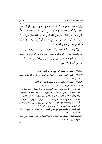قبل أن تحج أفأحج عنها؟ قال: «نعم حجي عنها، أرأيت لو كان على أمك دينٌ أكنتِ قاضيته؟)، قالت: نعم. قال: «اقضوا الله، فالله أحقُّ بالوفاء»''). وفي لفظ: «فاقضوا الله الذي له، فإن الله أحق بالوفاء»''). وفي رواية: أن رجلاً قال: إن أختى نذرت أن تحج وإنها ماتت فقال: ((فاقضوا الله فهو أحق بالقضاء))

وإذا وجبت الزكاة على الميت وعليه دين برهن وضاق المال قُمِّم الـدين بـرهن، فـإن كـان عليـه ديـن بـدون رهـن وضـاق المـال قسم المسال بالحصيص بسين ديسن الله وديسن الآدمسي عسلى القسول الراجح<sup>(؛)</sup>، والله ﷺ أعلم<sup>(٥</sup>).

- (١) البخاري، كتاب جزاء الصيد، باب الحج والنذر عن الميت، برقم ١٨٥٢. (٢) البخاري، كتاب الاعتصام، باب من شبَّه أصلاً معلوماً بأصل مبين قد بين الله حكمهـا؛ ليفهم السائل برقم ١٥٣١. (٣) البخاري، كتاب الأيهان والنذور، باب من مات وعليه نذر، برقم ٢٦٩٩. (٤) اختلف العلماء رحمهم الله فيمن مات وعليه زكاة على أقوال: القول الأول: إن الزكاة تؤخذ من تركته ولا تسقط بموته، وهو قول عطاء، والحسن، والزهري، وقتادة، ومالك، والشافعي، وإسحاق، وأبي ثور، وابن المنذر، وهذا هو الراجح إن شاءالله تعالى. والقول الثاني: تؤخذ من الثلث مقدماً على الوصايا ولا يجاوز الثلث، قاله الأوزاعي والليث. والقول الثالث: لا تخرج الزكاة إلا أن يوصى بها الميت، فتكون كسائر الوصـايا تعتبرمن الثلـث ويـزاحم بهـا أصحاب الوصايا؛ لأنها عبادة من شرطها النية، قال بهذا القول: ابن سيرين، والشعبي، والنخعي، وحماد بن أبي سليمان، والبستي، والثوري، وأصحاب الرأي. والقول الراجح الأول. انظـر المغنـى، ٤/ ١٤٥، والمقنـع مـع الشر-ح الكبـير، ٦/ ٣٨٤، والـروض المربـع، ٣/ ١٨٤، والسلسبيل، ١/ ٢٥٤.
- (٥) واختلف العلماء رحمهم الله الذين قـالوا: إن الزكـاة لا تسـقط عـن الميـت في مسـألة اجـتـاع الـدين والزكاة أيها يقدم إذا ضاق المال.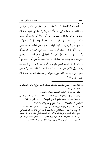المسألة الخامسة: تجب الزكاة على الفور، فلا يجوز تأخير إخراجها مع القدرة عليه والتمكن منه؛ لأن الأمر بالزكاة يقتضي الفور؛ ولذلك يستحق المؤخِّرُ للامتثال العقابَ، ولو أن رجلاً أمرٍ مملوكه أن يسقيه فتأخر ولم يستجب على الفور استحق العقوبة، ولله المثل الأعلى؛ ولأن التأخير ينافي الوجوب؛ لكون الواجب ما يستحق العقاب صاحبه على تركه؛ ولأن الزكاة وجبت لحاجة الفقراء ونحوهم وهي ناجزة فيجب أن يكون الوجوب ناجزاً، فإن أخرها ليدفعها إلى من هو أحقَّ بها من ذوي القرابة، أو ذوي الحاجة الشديدة جاز إذا كان وقتاً يسيراً وإن كان كثيراً لم يجز، لكن لو عجلها إليهم قبل نهاية الحول جاز، فإن أخرج الزكاة فلم يدفعها إلى الفقير حتى ضاعت لم تسقط عنه الزكاة؛ لأن الزكاة حق متعين على رب المال تلف قبل وصوله إلى مستحقه فلم يبرأ منه بذلك كدين الآدمى<sup>(٢)(٢)</sup>.

= فقيل: يقدم دين الآدمي، لأنـه مبنـي عـلى المشــاحة؛ ولأن الآدمـي محتـاج إلى مالـه في الـدنيا أمـا الله تعالى فهو غني عنه. وقيل: يقدم حق الله؛ لأنه أحق بالقضاء والوفاء كما في الحديث. وقيل: يتحاصـان؛ فـإن كـان عليـه ديـن مائـة (١٠٠ وزكـاة (١٠٠ وتركتـه (١٠٠ فـدين الآدمي (٥٠، والزكاة (٥٠ وهذا هو الراجح. [الشرح الممتع، ٦/ ٤٩ - ٥٠، والمغنى ٤/ ١٤٦]. (١) المغنى لابن قدامة، ٤/ ١٤٧ –١٤٨، والمقنع مع الشرح الكبير، ٦/ ٣٨٧. (٢) واختلف العلماء إذا أخر الزكاة فلم يدفعها للفقير حتى ضاعت. فعند الإمام أحمد لا تسقط وهو الراجح إن شاءالله تعالى. وذهب الشافعي إلى أنه إن لم يكن فرط في إخراج الزكاة وفي حفظ ذلك المخرج رجع إلى ماله، فإن كان فيها بقى زكاة أخر وإلا فلا، وقـال أصـحاب الـرأى: يزكـي مـا بقـي إلا أن يـنقص عن النصاب فتسقط الزكاة فرط أو لم يفرط. ورأى الإمام مالك أنها تجزئه إن أخرجها في محلها، وإن أخرجها بعد ذلك ضمنها، وقال مالك: يزكي ما بقى بقسطه [المغنى لابن قدامة ٤/ ١٤٨].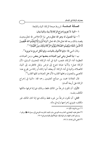المصالة السادسة: شروط صحة الزكاة: النية والمتابعة:

١ –النية: لا يجزئ إخراج الزكاة إلا بنية، والنية نيتان:

أ – نية المعمول له وهو الله تعالى،وهي نية الإخلاص لله تعالى،بحيث يقصد بذلك وجه الله تعالى،قال الله تعالى:﴿وَمَا أَمِرُوا إِلَّا لِيَعْبُدُوا الله مُخْلِصِينَ لَهُ الدِّينَ حُنَفَاءَ وَيُقِيمُوا الصَّلَاةَ وَيُؤْتُوا الزَّكَاةَ وَذَلِكَ دِينُ الْقَيِّمَةِ﴾ (''.

وقال النبي ﷺ: «إنما الأعمال بالنيات، وإنما لكل امرئ ما نوى»<sup>(٢)</sup>.

ب – نية العمل وهي تمييز العبادات بعضها عن بعض، ومن العبادات العظيمة أداء الزكاة، فتجب النية في أداء الزكاة؛ للحديث السابق؛ لأن الزكاة عمل؛ ولأنها عبادة تتنوع إلى فرض ونفل فافتقرت إلى النية، كالصلاة، والنية في أداء الزكاة: أن يعتقد أنها زكاته أو زكاة من يخرج عنه: كالصبي والمجنون، ومحلها القلب؛ لأن محل العبادات كلها القلب (").

قال العلامة محمد بن صالح العثيمين رحمه الله: «النية في إخراج الزكاة على أربعة أقسام:

الأول: أن تكون شرطاً من المالك فقط، وذلك فيها إذا فرقها مالكها المكلف ىنفسه.

الثاني: أن تكون شرطاً من غيره فقط وذلك فيها إذا كان المالك غير مكلف، فينوى إخراجها وليه في ماله.

- (١) سورة البينة، الآية: ٥.
- (٢) متفتى عليه: البخاري، كتاب بدء الوحي، باب كيف كان بدء الوحي إلى رسول الله على برقم ١، ومسلم، كتاب الجهاد، باب قوله ﷺ: «إنها الأعمال بالنيات» برقم ١٩٠٧.
	- (٣) المغنى لابن قدامة، ٤/ ٨٩.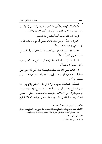الثالث: أن تكون شرطاً من المالك ومن غيره، وذلك فيها إذا وَكَّل في إخراجها وبعد الزمن فتشترط من الوكيل أيضاً عند دفعها للفقير.

الرابع: أن لا تشترط النية أصلاً وذلك في ثلاث صور.

الأولى: إذا تعذُّر الوصول إلى المالك بحبس أو غيره فأخذها الإمام أو الساعي، وتجزئ ظاهراً وباطناً.

الثانيــة: إذا امتنــع المالــك مــن أدائهــا فأخــذها الإمــام أو الســاعي قهراً، فتجزئ ظاهراً لا باطناً.

الثالثة: إذا غيّب ماله فأخذها الإمام أو الساعي بعد العثور عليه، وتجزئ ظاهراً لا باطناً»<sup>(١)</sup>.

٢ – المتابعة للنبي ﷺ؛ لأن العبادات توقيفية؛ لقول النبي ﷺ: «من عمل عملاً ليس عليه أمرنا فهو رد»<sup>(٢)</sup>. وفي رواية: «من أحدث في أمرنا هذا ما ليس منه فهو رد»(٣)(٤).

المسألة السابعة: وجوب الزكاة في مال الصغير والمجنون، فلا يشترط البلوغ والعقل في وجوب الزكاة على الصحيح، فإذا تمت الشروط لوجوب الزكاة: من الإسلام، والحرية، وملك نصاب، واستقراره، ومضى الحول وجبت الزكاة في المال، ومنه مال الصبي والمجنون؛ لأن البلوغ

(١) مجموع فتاوى ابن عثيمين، ١٨/ ٥٣ – ٥٤. (٢) متفـق عليـه: البخـاري، كتـاب الصـلح، بـاب إذا اصـطلحوا عـلى صـلح جـور فالصـلح مـردود، بـرقم ٢٦٩٧. ومسلم، كتاب الأقضية، باب نقض الأحكام الباطلة ورد محدثات الأمور، برقم ١٧١٨. (۳) مسلم، برقم ۱۷۱۸.

(٤) المغنى لابن قدامة، ٤/ ٨٨.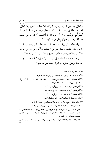والعقل ليسا من شروط وجوب الزكاة، فلا يشترط البلوغ ولا العقل؛ لعموم الأدلة في وجوب الزكاة كقوله تعالى:﴿خُذْ مِنْ أَمْوَالِـهِمْ صَدَقَةً تُطَهِّرُهُمْ وَتُزَكِّيهِمْ بِهَا﴾ <sup>(')</sup>؛ وقوله ﷺ: «فأعلمهم أن الله افترضٌ عليهم صدقة، تؤخذ من أغنيائهم فترد في فقرائهم...)) (٢).

وقد جاءت الروايات عن خمسة من أصحاب النبي ﷺ أنهم كانوا يزكون مال اليتيم، وهم: عمر بن الخطاب ﷺ، وعلى بن أبي طالب حَیُّه<sup>(٤)</sup>، وعبدالله بن عمر رض<sub>یالله</sub>میها<sup>(٥)</sup>، وجابر کُه <sup>(٦)</sup>، وعائشة رض<sub>رالله</sub>میها<sup>(٧)</sup>.

والصواب إن شاء الله تعالى وجوب الزكاة في مال الصغير والمجنون يخرجها الوكيل، وينوي بها الزكاة عنهم من أموالهم (^).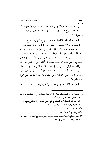وأما صدقة التطوع فلا يجوز التصدق من مال اليتيم والمجنون؛ لأن الصدقة محض تبرع لا تنشغل الذمة بتركها، أما الزكاة فهي فريضة تنشغل الذمة بتركها<sup>(י)</sup>.

المصلَّلة الثَّامنة: المال المستفاد – بغير ربح التجارة أو نتاج السائمة – لا يضم إلى ما عند المالك من المال، وإنها يكون له حولاً جديداً يبدأ من وقت ما ملكه، مثال ذلك: المال الحاصل بالإرث، والهبة، والهدية، وصداق المرأة، ونحو ذلك، وإذا كان عنده مال لم يبلغ نصاباً فاستفاد مالاً جديداً من جنسه كمل به النصاب؛ فإن الحول يبدأ من وقت اكتهال النصاب، ومن ذلك إذا مات المالك في أثناء الحول وانتقل المال إلى الورثة، فإن الوارث لا يبني على حول المالك الذي مات بل يستأنف حولاً جديداً يبدأ به من حين انتقل إليه الملك'')؛ لحديث ابن عمر رض<sub>والله</sub> ءيها، قال: قال رسول الله ﷺ: «من استفاد مالاً فلا زكاة فيه حتى يحول عليه الحول»(٣).

ا**لمسألة التاسعة: جواز تقديم الزكاة إذا وُجد سبب** وجوبها وهو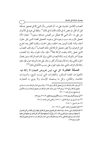النصاب الكامل؛ لحديث على ﷺ: أن العباس سأل النبي ﷺ في تعجيل صدقته قبل أن تحلُّ، فرخص له في ذلك، فأذن له في ذلك''. ولفظ أبي عبيد في الأموال عن علي ﷺ: «أن النبي ﷺ تعجَّل من العباس صدقته سنتين»<sup>(٢)</sup>. فجاز؛ لأنه تعجيل لمالٍ وجد سبب وجوبه قبل وجوبه، كتعجيل قضاء الدين قبل حلول أجله، وأداء كفارة اليمين بعد الحلف وقبل الحنث، وكفارة القتل بعد الجرح قبل الزهوق، ولا يجوز تعجيل الزكاة قبل ملك النصاب<sup>(٣)</sup>، وإن تلف النصاب الذي عجل زكاته وقعت الزكاة نفلاً<sup>(٤)</sup>، فإن حال الحول، وقد زاد النصاب نصاباً آخر بالتوالد لزمه زكاة النصاب الثاني، وإن كان قدم الزكاة سنتين فحال الحول الثاني وقد زاد المال نصاباً أو أكثر، وحال على هذه الزيادة حول فإن عليه زكاة المال الزائد، الذي حال عليه الحول على حسب الأدلة في ذلك<sup>(١/(</sup>°).

المسألة العاشرة: كل شيء ليس لعروض التجارة لا زكاة فيه: كالعمارات المعدة للسكن، والعقارات التي ليست للبيع، والسيارات الخاصة، والمكائن، وكل ما يستعمله الإنسان ولا ينوي به التجارة،

- ــــــــــــــــــــــــــــــــــــــــــــــــــــــــــــــــــــــــــــ (١) أبو داود، كتاب الزكاة، باب في تعجيل الزكاة، بـرقم ١٦٢٤، والترمـذي كتـاب الزكـاة، بـاب مـا جـاء في تعجيل الزكاة، برقم ٦٧٨، ورقم ٦٧٩، وابن ماجه، كتاب الزكاة، باب تعجيل الزكاة، وحسنه الألباني في صحيح سنن أبي داود، ١ / ٤٥٠ .
	- (٢) أبو عيد في الأموال برقم، ١٨٨٥، وحسنه الألباني في إرواء الغليل، ٣/ ٣١٦، برقم٨٥٧.
		- (٣) منار السبيل في معرفة الدليل، ١/ ٢٥٦، والمغني لابن قدامة، ٤/ ٧٩.
			- (٤) منار السبيل، ١/ ٢٦٥.
			- (٥) انظر التفصيل في ذلك، المغني، ٤/ ٧٩ ٨٨.
- (٦) قال الإمام الترمذي رحمه الله: «وقد اختلف أهل العلم في تعجيل الزكاة قبل محلها، فرأى طائفة من أهل العلـم أن لا يعجلها، وبه يقول سفيان الثوري، قال: «أحب إليَّ أن لا يعجلها» وقال أكثر أهل العلم: إن عجلها قبـل محلهـا أجزأت عنه، وبه يقول الشافعي، وأحمد، وإسحاق [الترمذي، كتاب الزكاة، بـاب مـا جـاء في تعجيـل الزكـاة، الحديث رقم ٦٧٨].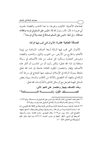كحاجاته الأصلية: كالثياب وغبرها، ما عدا الذهب والفضة؛ لحديث أبي هريرة ، قال: قال رسول الله ﷺ: «ليس على المسلم في فرسه وغلامه صدقة)). وفي لفظ: ((ليس على المسلم صدقة في عبده ولا في فرسه))'').

### المسألة الحادية عشرة: الأموال التي تجب فيها الزكاة:

الأموال التي تجب فيها الزكاة أربعة أصناف: السّائمة من بَهيمة الأنعام، والخارج من الأرض: من الحبوب والثمار، والذهب والفضة، وعروض التجارة، وسأفرد كل صنف من هذه الأصناف في رسالة مستقلة إن شاء الله تعالى؛ ولكن رأيت أن من المناسب أن أذكر هذه الأصناف بإيجاز واختصار؛ لتكون الفائدة عاجلة إن شاء الله تعالى ملحقة بمنزلة الزكاة في الإسلام؛ ليستفيد منها المحتاج إلى سرعة أداء الزكاة في وقتها، أما التفصيل بالأدلة من الكتاب والسنة، وبيان بعض المسائل المهمة فتؤجل مع الرسائل المذكورة آنفاً إن شاء الله تعالى:

وهذه الأصناف بإيجاز واختصار على النحو الآتى: الصهيد في الأول: زكسيسماة السهيسم ائمة")

- (١) متفـق عليـه: البخـاري، كتـاب الزكـاة، بـاب لـيس عـلى المسـلم في فرسـه صـدقة، بـرقم ١٤٦٣، و ١٤٦٤، ومسلم، كتاب الزكاة، باب لا زكاة على المسلم في عبده وفرسه، برقم ٩٨٢.
- (٢) السائمة: الراعية، سميت السائمة؛ لأنها تسم الأرض بأثرها بحثاً عن الكلأ، قال الفيومي رحمه الله: «سامت السائمة سوماً، من باب قال: رعت بنفسها، ويتعدّى بالهمز فيقال: أسامها راعيها» [المصباح المنير، مادة: سوم. ص١١٣]. وقال الجوهري: سامت الماشية: رعت، وأسمتها: أخرجتها إلى الرعى، [انظر: النهاية في غريب الحديث ٢/ ٤٢٦] ومنه قوله تعالى: ﴿فِيهِ تُسِيمُونَ﴾[سورة النحل، الآية: ١٠].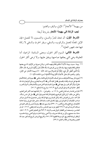من بـهيمة''' الأنعام''': الإبل، والبقر، والغنم:

تجب الزكاة في بهيمة الأنعام بشروط أربعة:

الشرط الأول: أن تتخذ للدرِّ والنسل، والتسمين، لا للعمل؛ فإن الإبل المعدَّة للعمل والركوب، والسقى، وبقر الحرث والسقى لا زكاة فيها عند جمهور العلماء<sup>(٣)</sup>.

**الشرط الثاني:** السوم أكثر الحول، ومعنى السائمة: الراعية، أما المعلوفة وهي التي يعلفها صاحبها وينفق عليها، ولا ترعى أكثر الحول

- ــــــــــــــــــــــــــــــــــــــــــــــــــــــــــــــــــــــــــــ (١) بهيمة: سميت بهيمة؛ لأنّها لا تتكلم بكلام يفهمه الناس؛ ولما في صوتِهَا من الإثهَام، أما مع بعضها فتتكلمٍ بكلام تفهمه بينها، وقد قال موسى لفرعون لما سأله:﴿قَالَ فَمَنْ رَبَّكُمَا يَا مُوسَى﴾، قال: ﴿قَالَ رَبُّنَا الَّذِي أَعْطَى كُلَّ شَيْءٍ خَلْقَهُ ثُمَّ هَدَى﴾[سورة طه، الآية: ٥٠] وبهيمة الأنعام: هي الإبل، والبقر، والغنم، قال تعالى: ﴿أُحِلَّتْ لَكُمْ بَهِيمَةُ الْأَنْعَامِ﴾ [سورة المائدة، الآية: ١ ].
- (٢) بُدِئ بذكر بهيمة الأنعام فقدمت على أصناف الأموال الزكوية اقتداء بـالنبي ﴾ الله حينما ذكر زكـاة الأنعـام فقدمها على غيرها، واقتداء بالصديق ، في كتابه لأنس ، اتحر جه البخاري وسيأتي تخريجه إن شاء الله تعالى]؛ ولأن أكثر العرب في عهد النبي ﷺ حول المدينة بادية أهل نعم، والأنعـام غالـب أمـوال العـرب [انظر : حاشية ابن قاسم على الروض المربع، ٣/ ١٨٦، وشرح زاد المستقنع، ٦/ ٥١].
- (٣) قـال ابـن قدامـة رحمـه الله في المغنـي، ٤/ ١٢: «... والعوامـل؛ ...لا زكـاة فيهـا عنـد أكثـر أهـل العلـم، وحُكي عن مالك: أن في الإبل النواضح والمعلوفة الزكاة؛ لعموم قول النبي ﷺ:«في كل خمس شـاةٌ». قال أحمد: «ليس في العوامل زكاة، وأهل المدينة يرون فيها الزكاة، وليس عندهم في هذا أصـل» وذكـر صاحب الإنصاف أن العوامل ليس فيها زكاة ولو كانت سائمة قال: «نص عليه عـلى في روايـة جماعـة [الإنصاف مع المقنع والشرح الكبير، ٦/ ٣٩٠]؛ ولما روى عنه ﷺ مرفوعاً «ليس في البقر العوامل صدقة » أخرجه أبو داود ٢ / ٢٢٩ تحقيق عزت عبيد الدعاس، وأخرجه الـدارقطني، ٢ / ١٠٣ ط دار المحاسـن، وصـححه ابـن القطـان كـما في نصـب الرايـة، ٢/ ٣٥٣ وفي التعليـق المغنـي، ٢/ ١٠٣ قـال: «هذا سند صحيح، وكل من فيه ثقة معروف، ولا أعنى رواية الحارث وإنها أعنى رواية عاصم» [وانظر لزيـادة التخـريج: الموسـوعة الفقهيـة ٢٣/ ٢٥١، وتخـريج الـروض المربـع للـدكتور عبـدالله الغصن ومجموعة من طلاب العلم، ٤ / ٣٩].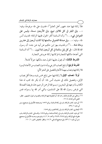فلا زكاة فيها عند جمهور أهل العلم'')؛ لحديث على ﷺ مرفوعاً، وفيه: «… وفي البقر في كل ثلاثين تبيع، وفي الأربعين مسنة، وليس على العوامل شيء... ،،'' وأما السائمة أكثر الحول ففيها الزكاة؛ لحديث أنس راء الله عليه: «... وفي صدقة الغنم في سائمتها إذا كانت أربعين إلى عشرين ومائة شاة... »'أ؟ ولحديث بـهز ابن حكيم عن أبيه عن جده: أن رسول الله ﷺ قال: «في كل إبل سائمة في كل أربعين ابنة لبون....»<sup>(؛)</sup> أما السائمة التي أعدها مالكها للتجارة فزكاتها زكاة عروض التجارة.

**الشرط الثالث:** أن يحول عليها الحول عند مالكها حو لاً كاملاً.

**الشرط الرابع:**أن تبلغ النصاب الشرعي،وأما ما دون النصاب من الأعداد اليسيرة فلا زكاة فيها،ونصاب بهيمة الأنعام بالتفصيل على النحو الآتي:

أولاً: نصاب الإبل لا زكاة فيها حتى تبلغ خمس ذود، وهذا أقل نصاب الإبل، وتفصيل ذلك في حديث أنس ﷺ: أن أبا بكر ﷺ كتب له هذا الكتاب لما وجهه إلى البحرين:«بسم الله الرحمن الرحيم، هذه فريضة الصدقة التبي فرض رسول الله ﷺ على المسلمين، والتبي أمر الله بها رسوله، فمن

- (١) وحكي عن الإمام مالك رحمه الله: أن المعلوفة فيها الزكاة، والصواب قول الجمهور. انظر: المغنى لابن قدامة، ٤/ ١٢.
- (٢) أبو داود، كتاب الزكاة، باب في زكاة السائمة، برقم ١٥٧٢ وصححه الألباني في صحيح سنن أبي داود ١ / ٤٣٤.
	- (٣) البخاري، كتاب الزكاة، باب في زكاة الغنم، برقم ١٤٥٤.
- (٤) أبو داود، كتاب الزكاة، باب في زكاة السائمة، برقم ١٥٧٥، والنسائي، كتاب الزكاة، باب عقوبة مانع الزكاة، برقم ٢٤٤٤، ٢٤٤٩، وأحمد، ٥/ ٢، ٤، وغيرهم، وحسنه الألباني في صحيح سنن أبي داود، ١/ ٤٣٦، وفي صحيح النسائي، ٢/ ١٨، وانظر : تلخيص الحبير، ١/ ١٦٠.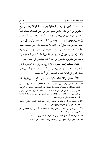سُئلها من المسلمين على وجهها فليعطها، ومن سُئل فوقها فلا يعط: في أربع وعشرين من الإبل فيا دونها من الغنم'' من كل خمس شاة، فإذا بلغت خمساً وعشرين إلى خمس وثلاثين ففيها بنت مخاضر<sup>(٢)</sup> أنثى، فإذا بلغت ستّاً وثلاثين إلى خمس وأربعين ففيها بنت لبون أنثى<sup>(٣)</sup>، فإذا بلغت ستّاً وأربعين إلى ستين ففيها حقة طروقة الجمل (<sup>؛)</sup> فإذا بلغت واحدة وستين إلى خمس وسبعين ففيها جذعة<sup>(٥)</sup>، فإذا بلغت– يعني ستّاً وسبعين– إلى تسعين ففيها بنتا لبون، فإذا بلغت إحدى وتسعين إلى عشرين ومائة ففيها حقتان طروقتا الجمل، فإذا زادت على عشرين ومائة ففي كل أربعين بنت لبون وفي كل خمسين حقة.

**ثانياً: نصاب زكاة البقر**؛ لا زكاة فيها حتى تبلغ ثلاثين، وهذا أقل نصاب البقر، فإذا بلغت ثلاثين ففيها تبيع أو تبيعة، فإذا بلغت أربعين ففيها مسنة، ثم في كل ثلاثين تبيع أو تبيعة، وفي كل أربعين مسنة.

**ثالثاً: نصاب زكاة الغنم،** لا زكاة فيها حتى تبلغ أربعين ففيها شاة،

- (١) قوله: «من الغنم»قال ابن حجر رحمه الله في فتح الباري،٣/ ٣١٩: « كـذا للأكثـر، وفي روايـة ابـن السكن بإسقاط «من» وصوَّبَها بعضهم، وقال عياض: من أثبتها فمعناه زكاتـها: أي الإبـل مـن الغنم، ومن للبيان لا للتبعيض، ومن حذفها فالغنم مبتدأ، والخبر مضمر في قولـه: «في كـل أربـع وعشرين» وما بعده وإنها قدم الخبر؛ لأن الفرض بيان المقادير التي تجب فيها الزكاة والزكاة إنما تجب بعد وجود النصاب فحسن التقديم».
- (٢) بنت المخاض: هي التي أتى عليها حول ودخلت في الثاني وحملت أمها، والمخاض: الحامل: أي دخل وقت حملها وإن لم تحمل. فتح الباري لابن حجر، ٣/ ٣١٩ .
- (٣) بنت لبون وابن لبون: هـو الـذي دخـل في ثالـث سـنة، فصـارت أمـه لبونـاً بوضـع الحمـل. فـتح الباري، لابن حجر، ٣/ ٣١٩.
	- (٤) حقة: وهي التي أتت عليها ثلاث سنين ودخلت في الرابعة. فتح الباري، ٣/ ٣١٩.
	- (٥) جذعة: وهي التي أتت عليها أربع سنين ودخلت في الخامسة، فتح الباري، ٣/ ٣١٩ .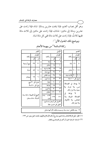وهو أقل نصاب الغنم، فإذا بلغت عشرين ومائةٍ: شاة، فإذا زادت على عشرين ومائة إلى مائتين: شاتان، فإذا زادت على مائتين إلى ثلاث مائة ففيها ثلاث، فإذا زادت على ثلاث مائة ففي كل مائة شاة.

### ويوضح ذلك الجدول الآتي'':

|                                                    |                   | البقر     |  |                            |              | الإبل                    |                      |                                       |               | الغنم |
|----------------------------------------------------|-------------------|-----------|--|----------------------------|--------------|--------------------------|----------------------|---------------------------------------|---------------|-------|
| .<br>از کاته                                       |                   | المقدار   |  | زكاته                      |              | المقدار                  |                      |                                       |               |       |
|                                                    |                   | من إلى    |  |                            | إلى          | من _                     |                      | المقـدار<br>من <mark>إلى</mark> زكاته |               |       |
| تبيع أو تبيعة                                      |                   | $r4$ $r.$ |  | شاة                        | $\mathbf{A}$ | $\overline{\phantom{a}}$ |                      |                                       | ٤٠ ] ١٢٠ [شاة |       |
|                                                    |                   |           |  | شاتان                      | ١٤           | $\mathbf{v}$             |                      |                                       |               |       |
|                                                    | ٤٠ [٥٩   مُسنَّة  |           |  | ثلاث شياه                  | 19           | ه ۱                      |                      | ١٢١   ٢٠٠   شاتان                     |               |       |
|                                                    |                   |           |  | أربع شياه                  | ۲٤           | $\mathbf{y}$ .           |                      |                                       |               |       |
| ٦٠ [٢٩   تبيعتان                                   |                   |           |  | بنت مخاض                   | $r \circ$    | ه ۲                      |                      | ۲۰۱ ۲۰۰ نلاث شیاه                     |               |       |
|                                                    |                   |           |  | بنت لبون                   | ه ٤          | ٣٦                       |                      | ثم في كل ۱۰۰ شاة                      |               |       |
|                                                    | ثم في كل ٣٠ تبيع  |           |  | حقة                        | ٦.           | ٤٦                       |                      | لا يؤخذ في الصدقة:                    |               |       |
|                                                    | وفي كل ٤٠ مُسنَّة |           |  | إجذعة                      | $V$ ٥        | ٦١                       |                      | تَيس، ولا هَرمة، ولا                  |               |       |
|                                                    |                   |           |  | بنتا لبون                  | $\mathbf{A}$ | $V\mathcal{A}$           |                      | معيبة، ولا شِرار المال.               |               |       |
|                                                    |                   |           |  | ۱۲۰  حقتان                 |              | $\bigwedge$              |                      | لا يؤخذ في                            |               |       |
| التبيع أو التبيعة: ما لها سنة.                     |                   |           |  | ثلاث بنات                  | 179          | 111                      |                      | الصدقة: الهزيلة، ولا                  |               |       |
| المُسنَّة: ما لها سـنتان.                          |                   |           |  | لبون                       |              |                          | المخاض، ولا الأكولة، |                                       |               |       |
|                                                    |                   |           |  | ●ثم في كل أربعين بنت لبون. |              |                          |                      | ولا خيار المال.                       |               |       |
| ●وفي كل خمسين حقة.                                 |                   |           |  |                            |              |                          |                      |                                       |               |       |
| ·    بنت مخاض: بنت سنة، وسميت بذلك؛ لأن أمها حامل. |                   |           |  |                            |              |                          |                      |                                       |               |       |
|                                                    |                   |           |  |                            |              |                          |                      |                                       |               |       |

### زكاة السائمة<sup>(٢)</sup> من بـهيمة الأنعام

(١) انظر : دليل الزكاة لعادل رشاد غنيم، وشرح أركان الإسلام والإيمان، لمحمد جميل زينو، ص ١٢٣ .

(٢) السائمة: الراعية الحول أو أكثره في الصحاري والقفار .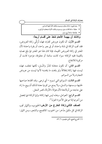| • بنت لبون: ما لها سنتان، وسميت بذلك؛ لأن أمها ذات لبن.   |  |
|-----------------------------------------------------------|--|
| • حقة: ما لها ثلاث سنين، وسميت بذلك؛ لأنها استحقت الركوب. |  |
| • جذعـة: ما لها أربع سنين.                                |  |
| $\sim$ $\sim$ $\sim$ $\sim$ $\sim$ $\sim$                 |  |

ولاشك أن بهيمة الأنعام تتخذ على أقسام أربعة:

القسم الأول: أن تكون عروض تجارة، فهذه تُزكَّى زكاة العروض، فقد تجب الزكاة في شاة واحدة، أو في بعير واحد، أو بقرة واحدة؛ لأن المعتبر في زكاة العروض القيمة، فإذا كان هذا هو المعتبر فما بلغ نصابه بالقيمة ففيه الزكاة؛ سواء كانت سائمة أو معلوفة، مؤجرة كانت أو مركوبة للانتفاع.

القسم الثاني: أن تكون متخذة للدّرّ والنّسل، لكنها تعلف، فهذه ليست فيها زكاة إطلاقاً ولو بلغت ما بلغت؛ لأنها ليست من عروض التجارة ولا من السوائم.

القسم الثالث: السوائم التي تسوم – أي ترعى. وقد اتخذها صاحبها لحلبها، وسمنها، والنسل، ولا يمنع من كونها معدة لذلك أن يبيع ما زاد على حاجته من أولادها؛ لأن هؤلاء الأولاد كثمر النخل.

القسم الرابع: العوامل، وهذه ليس فيها زكاة؛ وإنها الزكاة فيها يحصل من أجرتها إذا تم على الأجرة الحول (').

الصنف الثاني:زكاة الخارج من الأرض:الحبوب، والثمار تجب الزكاة في كل مكيل مدّخر: من الحبوب: كالقمح، والشعير، ومن الثمار:

<sup>(</sup>١) الشرح الممتع، لابن عثيمين، ٦/ ٥٢.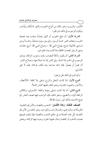كالتمر، والزبيب، وغير ذلك من أنواع الحبوب والثمار مما يُكال ويُدَّخر، ويكون الوجوب في ذلك بشر طين:

الشرط الأول: أن تبلغ الحبوب أو الثهار نصاباً، وقدره بعد تصفية الحب، وجفاف الثمر خمسة أوسق، والوسق ستون صاعاً، وخمسة أوسق تساوي ثلاثـمائة صاع، بصاع النبي ﷺ ، وصاع النبي ﷺ: أربع حفنات بيدي الرجل المعتدل الخلقة، إذا كانت يداه مملوءتين.

الشرط الثاني: أن يكون مالكاً للنصاب وقت وجوب الزكاة، ووقت الوجوب في الحب إذا اشتدَّ، وفي الثمر إذا بدا صلاحها، وصلاح الثمر: أن يحمرَّ أو يصفرَّ، فإذا باعه صاحبه بعد ذلك، فزكاته عليه لا على المشترى.

والواجب في ذلك على نوعين:

النوع الأول: إذا كانت النخل والزرع تسقى بلا كلفة: كالأمطار، والأنهار، والعيون الجارية، ونحو ذلك، ففيها العشر كاملاً.

النوع الثاني: أما إذا كانت تسقى بمؤنة وكلفة: كالسواني، والمكائن الرافعة للماء، والنضح، ونحو ذلك، فإن الواجب فيها نصف العشر كما صح الحديث بذلك عن رسول الله ﷺ.

الصنف الثالث: زكاة الأثمان: الذهب والفضة، والأوراق النقدية: كالريالات والدراهم، والدولارات، والليرات، وغير ذلك من الأوراق النقدية، كلَّ هذه العملات في حكم الذهب والفضة، فإذا بلغت قيمتها نصاب الذهب أو الفضة وحال عليها الحول وجبت فيها الزكاة، ويلحق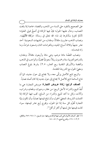على الصحيح بالنقود حلى النساء من الذهب والفضة، خاصة إذا بلغت النصاب، وحال عليها الحول؛ فإنَّ فيها الزكاة في أصحَّ قولي العلماء؛ لأدلةٍ كثيرةٍ سأذكرها إن شاء الله تعالى في رسالة: «زكاة الأثمان». ونصاب الذهب عشر ون مثقالاً، ومقداره من الجنيهات السعو دية: أحد عشر جنيهاً وثلاثة أسباع الجنيه، وبالغرامات اثنان وتسعون غراماً، وما زاد فتحسانه.

ونصاب الفضّة مائتا درهم، وهي مائة وأربعون مثقالاً، ومقداره بالدراهم العربية ستة وخمسون ريالاً سعوديّاً فضيّاً، والواجب في الذهب والفضة والأوراق النقدية ربع العشر، ٢.٥٪ بشرط بلوغ النصاب ومضيّ الحول مع الشروط المتقدمة.

والربح تابع للأصل يزكِّي معه، ولا يحتاج إلى حول جديد، كما أن نتاج السائمة تابع للأصل لا يحتاج إلى حول جديد إذا كان أصله نصاباً.

الصنف الرابع: زكاة عروض التجارة: عروض التجارة: هي ما أُعِدَّ للبيع والشراء؛ لأجل الربح: من عقار، وحيوان، وطعام، وشراب، وآلات، وكل ما أعد للبيع والشراء من السلع، تجب فيها الزكاة إذا اكتملت الشروط، كمضيّ الحول، وأن تبلغ قيمتها نصاباً، وأن تكون بنيّة التجارة تُقوَّم كلِّ سنة إذا تمَّ الحول، ويخرج رُبعٍ عشرٍ قيمتها، سواء كانت قيمتها مثل ثمنها أو أكثر أو أقل (''.

<sup>(</sup>١) انظر: أصناف الأموال التي تجب فيها الزكاة بشروطها: منار السبيل، ١/ ٢٤١-٢٥٦، والكافي، ١/ ١٠٣-١٦٦، والشرح الممتع، ٦/ ٥١-١٥٠.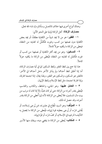وهناك أنواع أخرى فيها خلاف كالعسل وسأذكره إن شاء الله تعالى. مصارف الزكاة: أهل الزكاة ثمانية على النحو الآتي:

١ – ا**لفقير :** هو من لا يجد شيئاً من الكفاية مطلقاً، أو يجد بعض الكفاية دون نصفها من كسب وغيره، فتُكَمِّلُ له كفايته من النفقة، فيعطي من الزكاة ما يكفيه حو لاً كاملاً.

٢– المصكين: وهو من يجد أكثر الكفاية أو نصفها: من كسب أو غيره، فتُكمّل له كفايته من النفقة، فيُعطى من الزكاة ما يكفيه حولاً كاملاً.

هذا إذا جمع بين لفظ الفقير ولفظ المسكين كما في آية مصارف الزكاة، أما إذا أطلق لفظ أحدهما ولم يذكر الآخر دخل أحدهما في الآخر: فالفقير هو المسكين، والمسكين هو الفقير، ولهذا يقال: إذا اجتمعا افترقا، وإذا افترقا اجتمعا، مثل لفظ الإسلام ولفظ الإيهان.

٣ – العامل عليها: وهو الجابي، والحافظ، والكاتب والقاسم، فيُعطي بقدر أجرته من الزكاة حتى لو كان غنيّاً، إلا إذا كان له مرتب من بيت مال المسلمين، فلا يُعطي من الزكاة؛ لأنه إنها أُعطي من الزكاة بقدر أجرته، وقد حصل له ذلك.

**٤ – المؤلِّف:** وهو السيد الْمطاع في عشيرته، ممن يُرجى إسلامه، أو يُخشى شرِّه، أو يُرجى بعطيته قوة إيهانه، فيُعطى من الزكاة ما يحصل به التأليف؛ لترغيبه في الإسلام، أو كفَّ شرَّه، أو قوَّة إيهانه.

0 – المُكاتب: يُعطى من الزكاة ما يقضى دينه، ويفك منها الأسير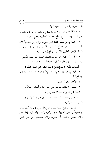<u>مصارف الز</u>كاة ف*ي* الإسلام

المسلم، ويجوز العتق منها لعموم الآية.

**٦ – الـغارم:** وهو من تدين للإصلاح بين الناس ولو كان غنيّاً، أو تدين لنفسه وأعسر فلم يستطع القضاء، فيُعطى ما يقضي به دينه.

٧ – ا**لـغاز ي فـي سبيل الله:** الذي ليس له مرتب ولو كان غنيّاً؛ لأنه لحاجة المسلمين وهو متطوّع، أما الغزاة الذين لهم ديوان فلا يُعطون من الزكاة، فيُعطى الغازي المذكور ما يحتاج إليه في غزوه.

٨ – ا**بن السبيل:** وهو الغريب المنقطع المسافر لغير بلده، فيُعطى ما يوصله إلى بلده ولو كان غنيّاً في بلده، إذا لم يجد من يقرضه.

أصناف الذين لا يصح دفع الزكاة إليهم على النحو الآتي:

١ ــ آل النبي محمد ﷺ، وهم بنو هاشم؛ لأن الزكاة محرَّمة عليهم؛ لأنها أوساخ الناس.

٢- الأغنياء بيال أو كسب.

٣- الكفار إلا المؤلفة قلوبهم؛ سواء كان الكافر أصليّاً أو مرتدّاً.

٤ - الرقيق المملوك؛ لأن نفقته على سيده.

٥- من تلزم نفقته: كالزوجة، ووالديه، وإن علوا، وأولاده وإن نزلوا الوارث منهم وغيره.

٦- الفاسق والمبتدع الذين يصرفونها في المعاصي؛ لأن من أظهر بدعةً أو فجوراً يستحقُّ العقوبة بالهجر وغيره والاستتابة، فكيف يُعان على ذلك، فينبغي للإنسان أن يتحرّى بزكاته المستحقين من أهل الدين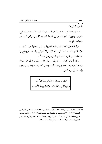المتّبعين للشريعة.

٧- جهات الخير من غير الأصناف الثمانية: كبناء المساجد، وإصلاح الطرق، وتجهيز الأموات، ودور تحفيظ القرآن الكريم، وغير ذلك من الجهات الخبرية.

والزكاة حقَّ الله، لا تجوز المحاباة فيها لمن لا يستحقَّها، ولا أن يجلب الإنسان بها لنفسه نفعاً، أو يدفع شرًّا، ولا أن يقى بها ماله، أو يدفع بها عنه مذمّة، بل يجب دفعها لهم؛ لكونهم من أهلها'').

والله أسأل التوفيق والقبول، وصلى الله وسلم وبارك على نبينا، وإمامنا، وأسوتنا محمد بن عبد الل،ه وعلى آله، وأصحابه، ومن تبعهم بإحسان إلى يوم الدين.

(١) انظر : منار السبيل، ١/ ٢٦٦ - ٢٧٢، والموسوعة الفقهية، ٢١٢ / ٣١٢ - ٣٢٨، والكافي لابن قدامـة، ٢/ ١٩٣ – ٢١٢، والموسـوعة الفقهيـة الميسر-ة للعوائشـة، ٣/ ١٠٢ – ١٣٨، والـروض المربع مع الحاشية لابن قاسم، ٣٠٨/٣، والشرح الممتـع، ٦/ ٢١٨ – ٢٥٤، والشر-ح الكبـير مـع المقنع والإنصاف، ٧/ ٢٠٥ - ٢٨٣، والمغنى، ٤/ ١٢٤ - ١٣١.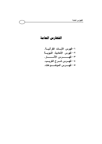## الفهارس العامة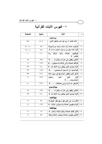# $\ell-\epsilon$ فهرس الآيات القرآنية

| الصفحة            | رقمها                        | الآية                                                                      | م             |  |  |  |
|-------------------|------------------------------|----------------------------------------------------------------------------|---------------|--|--|--|
|                   | سورة البقرة                  |                                                                            |               |  |  |  |
| $r \circ$         | $0 - 1$                      | ﴿ذَلِكَ الْكِتَابُ لا رَيْبَ فِيهِ هُدًى لِلْمُتَّقِينَ*الَّذِينَ.         | $-1$          |  |  |  |
| 51.1.             | f                            | ﴿وَأَقِيمُوا الصَّلاةَ وَآَتُوا الزَّكَاةَ وَارْكَعُوا مَعَ الرَّاكِعِينَ﴾ | $-\tau$       |  |  |  |
| 15.11             | $\wedge \tau$                | ﴿وَإِذْ أَخَذْنَا مِيثَاقَ بَنِي إِسْرَائِيلَ لا تَعْبُدُونَ إِلاَّ الله﴾  | $-\tau$       |  |  |  |
| $\mathbf{\hat{}}$ | $\mathbf{11}$                | ﴿وَأَقِيمُوا الصَّلاةَ وَأَتُوا الزَّكَاةَ وَمَا<br>تَقَدِّمُوا ﴾          | $-\xi$        |  |  |  |
| $\Delta$          | $\gamma$ $\tau$ $\epsilon$   | ﴿الَّذِينَ يُنْفِقُونَ فِى السَّرَّاءِ وَالضَّرَّاءِ﴾                      | $-\circ$      |  |  |  |
| $\mathbf{A}$      | 1 Y Y                        | ﴿وَأَقَامَ الصَّلاةَ وَآَتَى الزَّكَاةَ وَالسَّمُوفُونَ﴾                   | $-1$          |  |  |  |
| $\mathbf{y}$      | 11.                          | ﴿وَلا يَحْسَبَنَّ الَّذِينَ يَبْخَلُونَ بِمَا آَتَاهُمُ الله ﴾             | $-\mathsf{V}$ |  |  |  |
| ٣٨                | 190                          | ﴿وَأَحْسِنُوا إِنَّ الله يُحِبُّ الــمُحْسِنِينَ﴾                          | $-\lambda$    |  |  |  |
| ٣٣                | 771                          | ﴿مَثَّلَ الَّذِينَ يُنْفِقُونَ أَمْوَالِـــَهُمْ فِي سَبِيلِ اللهِ﴾        | $-9$          |  |  |  |
| $\mathbf{A}$      | <b>YVV</b>                   | الذين<br>آمَنُوا وَعَمِلُوا<br>﴿ إِنَّ<br>الصَّالــحَاتِ ﴾                 | $-1.$         |  |  |  |
| $\epsilon$ .      | $\mathbf{y} \vee \mathbf{y}$ | ﴿يَمْحَقَ الله الرِّبَا وَيُرْبِي الصَّدَقَاتِ﴾                            | -11           |  |  |  |
|                   |                              | سورة آل عمران                                                              |               |  |  |  |
| $\Delta$          | 172                          | ﴿الَّذِينَ يُنْفِقُونَ فِى السَّرَّاءِ وَالضَّرَّاءِ﴾                      | $-11$         |  |  |  |
| ه ۲               | 11.                          | ﴿وَلَا يَحْسَنَنَّ الَّذِينَ يَبْخَلُونَ بِمَا آَتَاهُمُ الله﴾             | ۱۳ -          |  |  |  |
|                   |                              | سورة النساء                                                                |               |  |  |  |
| $\mathbf{A}$      | ٧V                           | ﴿أَلْــمْ تَرَ إِلَى الَّذِينَ قِيلَ لَـــهُمْ كَفُوا أَيْدِيَكُمْ.﴾       | $-1$          |  |  |  |
| $\mathbf{A}$      | 177                          | 10   ﴿وَالسَّمُقِيمِينَ الصَّلَاةَ وَالسَّمُوْتُونَ الزُّكَاةَ﴾            |               |  |  |  |
|                   |                              | سورة المائدة                                                               |               |  |  |  |
| $\mathbf{A}$      | $\gamma$                     | ﴿لَٰئَنْ أَقَمْتُمُ الصَّلاةَ وَآتَيْتُمُ الزَّكَاةَ وَآمَنْتُمْ﴾          | $-15$         |  |  |  |
| $\mathbf{\hat{}}$ | ه ه                          | ١٧   ﴿الَّذِينَ يُقِيمُونَ الصَّلاةَ وَيُؤْتُونَ الزَّكَاةَ وَهُمْ﴾        |               |  |  |  |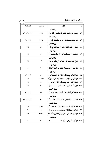V WF =+4 O "

| الصفحة        | رقمها         | الآية                                                                          | م     |  |  |  |
|---------------|---------------|--------------------------------------------------------------------------------|-------|--|--|--|
| سورة الأنعام  |               |                                                                                |       |  |  |  |
| 27.7.1        | 151           | ١٨   ﴿وَهُوَ الَّذِي أَنْشَأَ جَنَّاتٍ مَعْرُوشَاتٍ وَغَيْرَ…﴾                 |       |  |  |  |
|               |               | سورة الأعراف                                                                   |       |  |  |  |
| $TV$ $\Omega$ | ۶ ه ۱         | 1 1   ﴿وَرَحْمَتِى وَسَعَتْ كُلِّ شَىْءٍ فَسَأَكْتَبُهَا لِلَّذِينَ﴾           |       |  |  |  |
|               |               | سورة الأنضال                                                                   |       |  |  |  |
| ۳۹            | ۳۹            | ٢٠   ﴿حَتَّى لا تَكُونَ فَتِنَّهُ وَيَكُونَ الدِّينُ كَلَّهُ لَلَّهِ﴾          |       |  |  |  |
|               |               | سورة التوبة                                                                    |       |  |  |  |
| ۱۲            | ۷١            | ٢١   ﴿وَيُقِيمُونَ الصَّلاةَ وَيُؤْتُونَ الزَّكَاةُ وَيُطِيعُونَ﴾              |       |  |  |  |
|               |               | سورة إبراهيم                                                                   |       |  |  |  |
| ۳۲            | ٧             | ٢٢ – ﴿وَإِذْ تَأْذُنَ رَبُّكُمْ لَئَنْ شَكَرْتُمْ لأَزْيِدَنَّكُمْ……﴾          |       |  |  |  |
|               |               | سورة الكهف                                                                     |       |  |  |  |
| ٤             | ۸۱            | ٢٣   ﴿فَأَرَدْنَا أَنْ يُبْدِلَــهُمَا رَبُّهُمَا خَيْرٍاً مِنْهُ زَكَاةً﴾     |       |  |  |  |
|               |               | سورة مريم                                                                      |       |  |  |  |
| 15.17         | ۳۱            | ﴿وَأَوْصَانِي بِالصَّلاةِ وَالزَّكَاةِ مَا دُمْتُ حَيّاً…﴾                     | - 2 £ |  |  |  |
| 1٦            | $00 - 20$     | ٢٥   ﴿وَاذْكَرْ فِي الْكِتَابِ إِسْمَاعِيلَ إِنَّهُ كَانَ صَادِقَ﴾             |       |  |  |  |
| $\lambda$     | ه ه           | ٢٦   ﴿وَكَانَ يَأْمُرُ أَهْلَهُ بِالصَّلاةِ وَالزَّكَاةِ وَكَان… ﴾             |       |  |  |  |
| ه ۳           | ۷٦            | ﴿وَيَزِيدُ الله الذِّينَ اهْتَدَوْا هُدِيَ﴾                                    | – 2 Y |  |  |  |
|               |               | سورة الأنبياء                                                                  |       |  |  |  |
| 15.07         | ۷۳            | ٢٨ – ﴿وَجَعَلْنَاهُمْ أَئمَّةً يَهْدُونَ بِأَمْرِنَا وَأُوْحَيْنَا إِلَيْهِم ﴾ |       |  |  |  |
|               |               | سورة الحج                                                                      |       |  |  |  |
| 70 (17 (17    | $5 \setminus$ | ٢٩ – ﴿الَّذِينَ إِنْ مَكَّنَّاهُمْ فِي الأَرْضِ أَقَامُوا الصَّلاة﴾            |       |  |  |  |
| سورة المؤمنون |               |                                                                                |       |  |  |  |
| ۱٤            | $f - 1$       | ٣٠   ﴿قَدْ أَفَلَحَ الْــمُوَمِنُونَ*الَّذِينَ هُمْ فِي صَلاتِهِم﴾             |       |  |  |  |
| ٢.            | ٤             | ٣١   ﴿وَالَّذِينَ هُمْ لِلزَّكَاةِ فَاعِلُونَ﴾                                 |       |  |  |  |
| ۳۸            | $11 - 9$      | ٣٢] ﴿وَالَّذِينَ هُمْ عَلَى صَلَوَاتِهِمْ يُحَافِظُونَ*أُولَئِكَ﴾              |       |  |  |  |
|               |               | سورة النور                                                                     |       |  |  |  |
| ٤             | ۲۱            | ٣٣-  ﴿وَلَكِنَّ الله يُزَكَى مَنْ يَشَاء﴾                                      |       |  |  |  |
|               |               |                                                                                |       |  |  |  |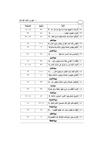| الصفحة            | رقمها             | الآية                                                                         | $\hat{r}$      |  |  |
|-------------------|-------------------|-------------------------------------------------------------------------------|----------------|--|--|
| 14.17             | $\mathbf{r} \vee$ | ﴿رِجَالٌ لا تَلْهِيهِمْ تِجَارَةٌ وَلا بَيْعٌ عَنْ ذِكْرِ الله﴾               | $-\tau$ ٤      |  |  |
| ه ۳               | $\circ$ ź         |                                                                               |                |  |  |
| $TV$ $\Omega$     | ٥٦                | ﴿وَأَقِيمُوا الصَّلاةَ وَآتَوا الزَّكَاةَ وَأَطِيعُوا الرَّسُولَ لَعَلَّكُمْ﴾ | -۳٦            |  |  |
|                   |                   | سورة النمل                                                                    |                |  |  |
| ۱۹                | $\overline{r}-1$  | ﴿طْسِ تِلْكَ أَيَاتُ الْقَرْآَنِ وَكِتَابٍ مُبِينٍ *هُدًى.﴾                   | $-$ ۳۷         |  |  |
| ۱۳                | ۳                 | ﴿الَّذِينَ يُقِيمُونَ الصَّلاةَ وَيُؤْتَونَ الزَّكَاةَ وَهُمْ بِالْآخِرَةِ﴾   | $-\tau \wedge$ |  |  |
|                   |                   | سورة القصص                                                                    |                |  |  |
| ۳۱                | ٧V                | ٣٩   ﴿وَأَحْسِنْ كَمَا أَحْسَنَ الله إِلَيْكَ﴾                                |                |  |  |
|                   |                   | سورة الروم                                                                    |                |  |  |
| $\lambda$         | ٣٨                | • ٤ – ﴿فَأَتِ ذَا الْقَرْبَى حَقَّهُ وَالْــمِسْكِينَ وَابْنَ﴾                |                |  |  |
| 2.11              | ۳۹                | ا ٤- ﴿وَمَا آتَيْتُمْ مِنْ رِبًا لِيَرْبُوَ فِي أَمْوَالِ النَّاسِ.﴾          |                |  |  |
|                   |                   | سورة لقمان                                                                    |                |  |  |
| $\sqrt{9}$        | $t - 1$           | ٤٢ - ﴿اللهِ *تِلْكَ آيَاتُ الْكِتَابِ الْــحَكِيمِ *هُدًى﴾                    |                |  |  |
| $\gamma$          | ٤                 | ٤٣ ﴾ ﴿الَّذِينَ يُقِيمُونَ الصَّلاة وَيُؤتونَ الزَّكاة وَهُمْ﴾                |                |  |  |
|                   |                   | سورة الأحزاب                                                                  |                |  |  |
| ۱۳                | ۳۳                | ٤٤   ﴿وَأَقِمْنَ الصَّلاةَ وَآتِينَ الزَّكَاةَ وَأَطِعْنَ الله﴾               |                |  |  |
|                   |                   | سورة سبأ                                                                      |                |  |  |
| 29                | ۳۹                | ه ٤ – ﴿وَمَا أَنْفَقَتُمْ مِنْ شَىْءٍ فَهُوَ يُخْلِفُهُ وَهُوَ خَيْرٌ﴾        |                |  |  |
|                   |                   | سورة فصلت                                                                     |                |  |  |
| $1 \vee 1 \vee 1$ | ٤٦                | ٤٦ - ﴿وَوَيْلُ لَلْمُشْرِكِينَ*الَّذِينَ لا يُؤْتُونَ الزَّكَاةَ﴾             |                |  |  |
|                   |                   | سورة الذاريات                                                                 |                |  |  |
| ۱۸                | $19 - 17$         | ٤٧ - ﴿إِنَّهُمْ كَانُوا قَبْلَ ذَلِكَ مُحْسِنِينَ *كَانُوا قَلِيلاً…﴾         |                |  |  |
| سورة المجادلة     |                   |                                                                               |                |  |  |
| $\gamma$          | $\gamma$          | ٤٨ + ﴿فَإِذْ لَمْ تَفْعَلُوا وَتَابَ الله عَلَيْكُمْ فَأَقِيمُوا﴾             |                |  |  |
|                   |                   | سورة الحشر                                                                    |                |  |  |
| ۲۸                | ٩                 | ٤٩ / ﴿وَمَنْ يُوق شَحَّ نَفْسِهِ فَأُولَئَكَ هُمُ الْمُفْلِحُونَ﴾             |                |  |  |
| سورة الحافة       |                   |                                                                               |                |  |  |
|                   |                   |                                                                               |                |  |  |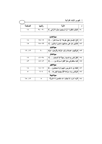V WF =+4 O "

|        |            | میں ہوتا ہے ج                                                      |  |
|--------|------------|--------------------------------------------------------------------|--|
| الصفحة |            |                                                                    |  |
|        | $T2 - T$ . | . ٥- ﴿ فَذَو هُ فَغَلُوهُ * ثُمَّ الْــجَحِيمَ صَلُوهُ *ثُمَّ فِي﴾ |  |

|            |             | سورة المعارج                                                                    |  |  |  |
|------------|-------------|---------------------------------------------------------------------------------|--|--|--|
| ۱۸         | 20-19       | ﴿إِنَّ الإِنسَانَ خَلِقٍ هَلُوعًا* إِذَا مَسَهُ الشَّرُّ﴾<br>۱ ه –              |  |  |  |
| ه ۱        | $Y_0-YY$    | ﴿الَّذِينَ هُمْ عَلَى صَلاتِهِمْ دَائِمُونَ*وَالَّذِينَ﴾<br>7 ه-                |  |  |  |
|            |             | سورة المزمل                                                                     |  |  |  |
| 19.17      | ۲.          | ﴿وَأَقِيمُوا الصَّلاةَ وَآتَوا الزَّكَاةَ وَأَقْرِضُوا اللهِ﴾<br>-03            |  |  |  |
|            |             | سورة المدثر                                                                     |  |  |  |
| ۱۷         | そユーザハ       | ﴿كُلُّ نَفْسٍ بِمَا كُسَبَتْ رَهِينَةً *إِلاَّ أَصْحَابَ﴾<br><b>ع ه</b> –       |  |  |  |
| $f$ $\tau$ | $20 - 24$   | ﴿مَا سَلَكَكُمْ فِي سَقَرَ *قَالُوا لَــَمْ نَكُ مِنَ ﴾<br>ه ه -                |  |  |  |
|            |             | سورة الفجر                                                                      |  |  |  |
| ۱۸         | 18-17       | ﴿كَلاَ بَلْ لا تَكْرِمُونَ الْبَتِيمَ*وَلا تَحَاضُونَ﴾<br>7 ه -                 |  |  |  |
| ٥          | $4 - V$     | ﴿وَنَفْسٍ وَمَا سَوَّاهَا *فَأَلْـــهَمَهَا فَجُورَهَا﴾<br>$\bullet$ V          |  |  |  |
|            | سورة البينة |                                                                                 |  |  |  |
| ۱۳، ۱۵     | ٥           | ﴿وَمَا أَمِرُوا إِلَّا لَيَعْبُدُوا اللَّهُ مُخْلِصِينَ لَهُ الدِّينَ﴾<br>۸ ه – |  |  |  |
|            |             |                                                                                 |  |  |  |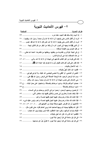٢ – فهرس الأحاديث النبوية

طر ف الحديث

الصفحة

٢ – أمرت أن أقاتل الناس حتى بشهدوا أن لا اله الا الله وأن محمداً رسول الله، وبقيموا، . ٢١ ٣- أمرت أن أقاتل الناس حتى يقولوا لا إله إلا الله، فمن قال لا إله إلا الله فقد عصم، .... ٢١ ٤ – أن النبي ﷺ لما وجهه إلى اليمن، أمره أن يأخذ من البقر من كل ثلاثين تبيعاً، ...... ٧٤ ٦– إن في الجنة غرفاً يُرى ظاهرها من باطنها، وباطنها من ظاهرها، أعدها الله تعالى، .. ٣١ ٨ – إنك تأتي قوماً من أهل الكتاب فادعهم إلى شهادة أن لا إله إلا الله، وأني، ...... ٤١، ٤٢ ٩ – إنك تقدم على قوم أهل كتاب فليكن أول ما تدعو هم إليه عبادة الله كَخَلْق ................. ٤١ ١٢- انفحي أو انضحي، أو أنفقي ولا تحصبي فيحصبي الله عليك، ولا توعي فيوعي، ..... ٢٩ ١٣- بسم الله الرحمن الرحيم، هذه فريضة الصدقة التي فرض رسول الله صلى الله عني،...... ٧٢ ١٤- بني الإسلام على خمس شهادة أن لا إله إلا الله وأن محمداً رسول الله، وإقام، ..... ١٠ ١٥- حصنوا أموالكم بالزكاة، وداووا مرضاكم بالصدقة، واستعينوا على حمل البلاء ...ح ٣٣ ١٧– الراحمون يرحمهم الرحمن، ارحموا من في الأرض يرحمكم من في السماء، ....... ٣٧ ١٨- فإذا بلغت خمساً وعشرين إلى خمس وثلاثين ففيها بنت مخاض أنثى، ............... ٥٩ ١٩- فإذا كانت لك مائتا در هم وحال عليها الحول ففيها خمسة دراهم، ..................... ٥٩ ٢٠ – فإذا كانت لك مائتا در هم وحال عليها الحول ففيها خمسة در اهم، وليس عليك شيء . ٥٩ ٢١ – فأعلمهم أن الله افترض عليهم صدقة تؤخذ من أغنيائهم فتر ، . . ٨ ، ٤١ ، ٤٢ ، ٤٤ ، ٣٧ ٢٢ – فإن الله يتقبَّلُها بيمينه ثم يربيها لصاحبه كما يربي أحدكم فلوَّه، حتى تكون مثل، ... ٤٠ ٢٣ – فإياك وكرائم أموالهم، وإتق دعوة المظلوم، فإنه ليس بينها وبين الله حجاب، ...... ٤١ ٢٦- في كل إبل سائمة في كل أربعين ابنة لبون، لا تفرَّقُ إبلٌ عن حسابها، ................ ٢٢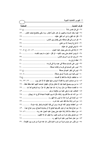| الصفحة<br>٢٧ – في كل خمس شاةً<br>٢٨– فيما سقت السماء والعيون أو كان عثرياً العشر، وما سُقى بالنضح نصف العشر،   ٥٩<br>٢٩ – قال الله أنفق يا ابن آدم أنفق عليك،<br>٣٣ – لا زكاة في مال حتى يحول عليه الحول،  ٤٦، ٤٨، ح٥٠، ٦١<br>٣٤ – لا يؤمن أحدكم حتى يحب لأخيه – أو قال – لجاره ما يحب لنفسه،   ٣٠<br>٣٧– ليس على المسلم صدقة في عبده ولا في فرسه،   ٧٠<br>٤٢ – ما من صاحب ذهب ولا فضة لا يؤدي منها حقها إلا إذا كان يوم، …… ٢٢، ٢٣، ٢٤<br>٤٣ - ما من يوم يصبح العباد فيه إلا ملكان ينزلان، فيقول أحدهما اللهم أعط منفقاً خلفاً، . ٢٩<br>٤٤– ما نقصت صدقة من مال، وما زاد الله عبداً بعفو إلا عزًّا، وما تواضع أحدٌ لله، … ٢٩<br>٢ ٤ – من آتاه الله مالاً فلم يؤد زكاته مُثَّل له يوم القيامة شجاعاً أقرع، له زبيبتان، ……. ٢٥<br>٤٩- من أعطاها مؤتجراً فله أجرها، ومن أبي فإنا آخذوها وشطر إبله عزمة،  ٢٢<br>٥٠ – من ابتاع نخلا بعد أن تؤبَّر فثمرتها للبائع إلا أن يشترط المبتاع، ومن ابتاع عبدا، ٤٣٠<br>٥١– من استفاد مالا فلا زكاة عليه حتى يحول عليه الحول عند ربه،  ٢٨ ، ٦٨<br>٥٢- من تصدق بعدل تمرة من كسب طيب، ولا يقبل الله إلا الطيب،  ٤٠<br>٥٤ – من نفس عن مؤمن كربة من كرب الدنيا نفس الله عنه كربة من كرب يوم القيامة، . ٣٦ |  |
|-----------------------------------------------------------------------------------------------------------------------------------------------------------------------------------------------------------------------------------------------------------------------------------------------------------------------------------------------------------------------------------------------------------------------------------------------------------------------------------------------------------------------------------------------------------------------------------------------------------------------------------------------------------------------------------------------------------------------------------------------------------------------------------------------------------------------------------------------------------------------------------------------------------------------------------------------------------------------------------------------------------------------------------------------------------------------------------------------------------------------------------------|--|
|                                                                                                                                                                                                                                                                                                                                                                                                                                                                                                                                                                                                                                                                                                                                                                                                                                                                                                                                                                                                                                                                                                                                         |  |
|                                                                                                                                                                                                                                                                                                                                                                                                                                                                                                                                                                                                                                                                                                                                                                                                                                                                                                                                                                                                                                                                                                                                         |  |
|                                                                                                                                                                                                                                                                                                                                                                                                                                                                                                                                                                                                                                                                                                                                                                                                                                                                                                                                                                                                                                                                                                                                         |  |
|                                                                                                                                                                                                                                                                                                                                                                                                                                                                                                                                                                                                                                                                                                                                                                                                                                                                                                                                                                                                                                                                                                                                         |  |
|                                                                                                                                                                                                                                                                                                                                                                                                                                                                                                                                                                                                                                                                                                                                                                                                                                                                                                                                                                                                                                                                                                                                         |  |
|                                                                                                                                                                                                                                                                                                                                                                                                                                                                                                                                                                                                                                                                                                                                                                                                                                                                                                                                                                                                                                                                                                                                         |  |
|                                                                                                                                                                                                                                                                                                                                                                                                                                                                                                                                                                                                                                                                                                                                                                                                                                                                                                                                                                                                                                                                                                                                         |  |
|                                                                                                                                                                                                                                                                                                                                                                                                                                                                                                                                                                                                                                                                                                                                                                                                                                                                                                                                                                                                                                                                                                                                         |  |
|                                                                                                                                                                                                                                                                                                                                                                                                                                                                                                                                                                                                                                                                                                                                                                                                                                                                                                                                                                                                                                                                                                                                         |  |
|                                                                                                                                                                                                                                                                                                                                                                                                                                                                                                                                                                                                                                                                                                                                                                                                                                                                                                                                                                                                                                                                                                                                         |  |
|                                                                                                                                                                                                                                                                                                                                                                                                                                                                                                                                                                                                                                                                                                                                                                                                                                                                                                                                                                                                                                                                                                                                         |  |
|                                                                                                                                                                                                                                                                                                                                                                                                                                                                                                                                                                                                                                                                                                                                                                                                                                                                                                                                                                                                                                                                                                                                         |  |
|                                                                                                                                                                                                                                                                                                                                                                                                                                                                                                                                                                                                                                                                                                                                                                                                                                                                                                                                                                                                                                                                                                                                         |  |
|                                                                                                                                                                                                                                                                                                                                                                                                                                                                                                                                                                                                                                                                                                                                                                                                                                                                                                                                                                                                                                                                                                                                         |  |
|                                                                                                                                                                                                                                                                                                                                                                                                                                                                                                                                                                                                                                                                                                                                                                                                                                                                                                                                                                                                                                                                                                                                         |  |
|                                                                                                                                                                                                                                                                                                                                                                                                                                                                                                                                                                                                                                                                                                                                                                                                                                                                                                                                                                                                                                                                                                                                         |  |
|                                                                                                                                                                                                                                                                                                                                                                                                                                                                                                                                                                                                                                                                                                                                                                                                                                                                                                                                                                                                                                                                                                                                         |  |
|                                                                                                                                                                                                                                                                                                                                                                                                                                                                                                                                                                                                                                                                                                                                                                                                                                                                                                                                                                                                                                                                                                                                         |  |
|                                                                                                                                                                                                                                                                                                                                                                                                                                                                                                                                                                                                                                                                                                                                                                                                                                                                                                                                                                                                                                                                                                                                         |  |
|                                                                                                                                                                                                                                                                                                                                                                                                                                                                                                                                                                                                                                                                                                                                                                                                                                                                                                                                                                                                                                                                                                                                         |  |
|                                                                                                                                                                                                                                                                                                                                                                                                                                                                                                                                                                                                                                                                                                                                                                                                                                                                                                                                                                                                                                                                                                                                         |  |
|                                                                                                                                                                                                                                                                                                                                                                                                                                                                                                                                                                                                                                                                                                                                                                                                                                                                                                                                                                                                                                                                                                                                         |  |
|                                                                                                                                                                                                                                                                                                                                                                                                                                                                                                                                                                                                                                                                                                                                                                                                                                                                                                                                                                                                                                                                                                                                         |  |
|                                                                                                                                                                                                                                                                                                                                                                                                                                                                                                                                                                                                                                                                                                                                                                                                                                                                                                                                                                                                                                                                                                                                         |  |
|                                                                                                                                                                                                                                                                                                                                                                                                                                                                                                                                                                                                                                                                                                                                                                                                                                                                                                                                                                                                                                                                                                                                         |  |
|                                                                                                                                                                                                                                                                                                                                                                                                                                                                                                                                                                                                                                                                                                                                                                                                                                                                                                                                                                                                                                                                                                                                         |  |
|                                                                                                                                                                                                                                                                                                                                                                                                                                                                                                                                                                                                                                                                                                                                                                                                                                                                                                                                                                                                                                                                                                                                         |  |
|                                                                                                                                                                                                                                                                                                                                                                                                                                                                                                                                                                                                                                                                                                                                                                                                                                                                                                                                                                                                                                                                                                                                         |  |
|                                                                                                                                                                                                                                                                                                                                                                                                                                                                                                                                                                                                                                                                                                                                                                                                                                                                                                                                                                                                                                                                                                                                         |  |
|                                                                                                                                                                                                                                                                                                                                                                                                                                                                                                                                                                                                                                                                                                                                                                                                                                                                                                                                                                                                                                                                                                                                         |  |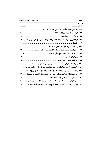| <u>طرف الحديث</u><br>الصفحة.                                                                              |  |
|-----------------------------------------------------------------------------------------------------------|--|
| ٥٥- نعم حجي عنها، أرأيت لو كان على أمك دينٌ أكنتِ قاضيته؟ ٢٣                                              |  |
|                                                                                                           |  |
|                                                                                                           |  |
| ٥٨ – هم الأكثرون أموالاً، إلا من قال هكذا، وهكذا، وهكذا – من بين يديه، ومن خلفه، … ٢٥                     |  |
|                                                                                                           |  |
|                                                                                                           |  |
| ٦١– ورجل تصدق بصدقة فأخفاها، حتى لا تعلم شماله ما تنفق يمينه،   ٣٢                                        |  |
| ٦٢– وفي البقر في كل ثلاثين تبيع، وفي كل أربعين مسنة،  ٥٩، ٧٢                                              |  |
|                                                                                                           |  |
|                                                                                                           |  |
| ٦٥– وفي صدقة الغنم في سائمتها إذا كانت أربعين إلى عشرين ومائة شاة،  ٧٢                                    |  |
| ٦٦ – ولا صلحب لِل لا يؤدي منها حقها، ومن حقها حلبها يوم وردها، إلا إذا كان يوم القيلمة بُطحَ لها،      ٢٣ |  |
| ٦٧– ولا صاحب مال لا يؤدي زكاته إلا تحول يوم القيامة شجاعاً أقرع، يتبع صاحبه،    ٢٤                        |  |
| ٦٨– ولم يمنعوا زكاة أموالهم إلا مُنعوا القطر من السماء، ولولا البهائم لم يمطروا، …… ٣٢                    |  |
|                                                                                                           |  |
| ٧٠- ومن كان في حاجة أخيه كان الله في حاجته، ومن فرج عن مسلم كربة فرج الله،  ٣٦                            |  |
| ٧١– يكون كنز أحدكم يوم القيامة شجاعاً أقرع، يفرُّ منه صاحبه ويطلبه، ويقول،<br>70                          |  |

⊣

J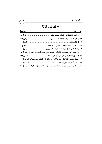#### ٣– فهرس الآثار الصفحة طرف الأثر ٦- كان أخوان على عهد النبي ﷺ، فكان أحدهما بأتي النبي ﷺ، والآخر بحترف . [أنس]، ٣٦ ٨- والله لو منعونى عناقاً كانوا يؤدونها إلى رسول الله صلى التقاتلتهم على منعها ...[أبو بكر]، ٢١ ١٠- وكان أبو الخير – راوي الحديث عن عقبة – لا يخطنُه يومِّ إلا تصدق فيه... [يزيد]، ٣١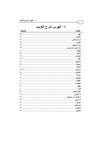|      |  | ٤ – فهرس شرح الغريب |  |
|------|--|---------------------|--|
| الصف |  |                     |  |

الكلمة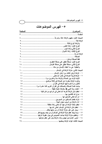|        | ه- فهرس الموضوعات                                                |
|--------|------------------------------------------------------------------|
|        |                                                                  |
| الصفحة | الموضوع                                                          |
|        | المقدمة .                                                        |
|        |                                                                  |
|        | الزكاة لغة:                                                      |
|        |                                                                  |
|        |                                                                  |
|        |                                                                  |
|        |                                                                  |
|        |                                                                  |
|        |                                                                  |
|        |                                                                  |
|        |                                                                  |
|        |                                                                  |
|        |                                                                  |
|        |                                                                  |
|        |                                                                  |
|        |                                                                  |
|        |                                                                  |
|        | وذكرت الزكاة منفردة عن الصلاة فى ثلاثة مواضع ١٥                  |
|        | ثلاثون مرة ذكرت فيها الزكاة في القرآن .                          |
|        | جاءت كلمة الصدقة والصدقات في القرآن الكريم اثنتا عشرة مرة  ١٦    |
|        | ٣ – اعتنت سنة النبي ﷺ بالزكاة عناية دقيقة                        |
|        | ٤ – لعظم شأن الزكاة ذكرها الله تعالى في شرائع من كان قبلنا  ١٧   |
|        | ه – مدح الله القائمين بـها                                       |
|        |                                                                  |
|        |                                                                  |
|        |                                                                  |
|        |                                                                  |
|        |                                                                  |
|        |                                                                  |
|        | ١٣ – ولعظيم منزلة الزكاة جاءت النصوص في بيان عقوبة تاركها  ٢٤    |
|        | ١٤ – تعزير الإمام لمن تهاون بأداء الزكاة يدل على عظم منزلتها  ٢٧ |
|        |                                                                  |
|        |                                                                  |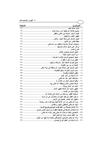| الصفحة<br>الموض <u>وع</u>                                                |  |
|--------------------------------------------------------------------------|--|
|                                                                          |  |
|                                                                          |  |
|                                                                          |  |
|                                                                          |  |
|                                                                          |  |
|                                                                          |  |
|                                                                          |  |
|                                                                          |  |
|                                                                          |  |
|                                                                          |  |
|                                                                          |  |
|                                                                          |  |
|                                                                          |  |
|                                                                          |  |
|                                                                          |  |
| ١٦ – تعين المسلم على معرفة حدود الله والفقه في دينه تعالى  ٣٣            |  |
|                                                                          |  |
|                                                                          |  |
|                                                                          |  |
|                                                                          |  |
|                                                                          |  |
|                                                                          |  |
|                                                                          |  |
|                                                                          |  |
| ه ۲ – وقاية المال من الفساد                                              |  |
| ٢٦ – استعانة الفقير بما يأخذ من الزكاة على طاعة الله ٣٥                  |  |
| ٢٧ – ترغيب الفقير في فعل الخيرات والإحسان إلى من دونه  ٣٥                |  |
|                                                                          |  |
| ٢٩ – يزيد الله تعالى من أدى الزكاة طيبة بها نفسه هدى وإيماناً  ٣٦        |  |
|                                                                          |  |
|                                                                          |  |
| ٣٢ – أداء الزكاة أو الصدقة إلى الضعفاء الفقراء من أسباب النصر والرزق  ٣٧ |  |
| ٣٣ – المتصدق ابتغاء مرضاة الله تعالى يفوز بثناء الله تعالى ٣٧            |  |
|                                                                          |  |
| ٣٥ – وعد الله تعالى المؤمنين المتصدقين بالجنة وما فيها من النعيم  ٣٨     |  |
|                                                                          |  |
|                                                                          |  |

<u> 1980 - Jan Stein Stein Stein Stein Stein Stein Stein Stein Stein Stein Stein Stein Stein Stein Stein Stein S</u>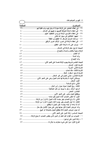|        | <sup>ن —</sup> تهرس الموصوصات                                             |
|--------|---------------------------------------------------------------------------|
|        |                                                                           |
| الصفحة | الموضوع                                                                   |
|        | ٣٧ – في إعطاء العاملين على الزكاة منها إذا لم يكن لهم مرتب كفاية لهم  ٣٩  |
|        | ٣٨ – في إعطاء الزكاة للمؤلفة قلوبهم ترغيبهم في الإسلام ٤٠                 |
|        | ٣٩ – في إعطاء الغارمين الزكاة نوع من التخفيف عنهم ٤٠                      |
|        |                                                                           |
|        |                                                                           |
|        | ٢ ٤ – في إعطاء الزكاة في تحرير الرقاب تحرير للرقيق  ٤٠ +                  |
|        |                                                                           |
|        |                                                                           |
|        |                                                                           |
|        |                                                                           |
|        |                                                                           |
|        |                                                                           |
|        |                                                                           |
|        |                                                                           |
|        |                                                                           |
|        |                                                                           |
|        |                                                                           |
|        |                                                                           |
|        | ويستثنـى أشبِاء لا يشترط لـها تمام الحول وهي علـى النحو الآتـي:  ٤٧       |
|        |                                                                           |
|        |                                                                           |
|        |                                                                           |
|        |                                                                           |
|        | الخامس: المعدن                                                            |
|        |                                                                           |
|        |                                                                           |
|        | الثانـي: إذا باع النصاب بغير جنسه أثناء الحول لا فرارا من الزكاة  ٥٠      |
|        | الثالث: إذا أبدل النصاب بغير جنسه أثناء الحول لا فراراً من الزكاة  ٥٠     |
|        |                                                                           |
|        | وأما عروض التجارة فإن حولها يُبنى على حول الأثمان بكل حال  ٥٢             |
|        | أما حول عروض التجارة فلا ينقطع الحول بالمبادلة أو البيع  ٥٣               |
|        |                                                                           |
|        | ١ – الصواب من أقوال أهل العلم أن الدين الذي ينقص النصاب لا يمنع الزكاة ٥٥ |
|        | ٢ – زكاة الدين على نوعين:                                                 |
|        |                                                                           |
|        |                                                                           |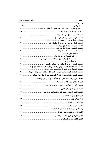| الصفحة<br>الموضوع                                                                |
|----------------------------------------------------------------------------------|
| النوع الثَّاني: أن يكون الدين على معسر، أو جاحد، أو مماطل ٥٨                     |
|                                                                                  |
|                                                                                  |
|                                                                                  |
|                                                                                  |
|                                                                                  |
|                                                                                  |
|                                                                                  |
|                                                                                  |
|                                                                                  |
|                                                                                  |
|                                                                                  |
| ٢ – المتابعة للنبي ﷺ<br>1V                                                       |
| المسألة الثامنة: المال المستفاد بغير ربح التجارة أو نتاج السائمة له حول جديد  ٢٩ |
| المسألة التاسعة: جواز تقديم الزكاة إذا وجد سبب وجوبها  ٢٩                        |
| المسألة العاشرة: كل شيء ليس لعروض النجارة لا زكاة فيه: كالعمارات وغيرها ……… ٧٠   |
| المسألة الحادية عشرة: الأموال الأموال التي تجب فيها الزكاة أربعة أصناف   ٧٠      |
| الصنف الأول: زكاة السائمة من بهيمة الأنعام: الإبل، والبقر، والغنم:  ٧٠           |
|                                                                                  |
|                                                                                  |
|                                                                                  |
|                                                                                  |
| الشرط الرابع:أن تبلغ النصاب الشرعي                                               |
|                                                                                  |
|                                                                                  |
|                                                                                  |
|                                                                                  |
|                                                                                  |
|                                                                                  |
|                                                                                  |

<u> 1980 - Jan Barat, martin a</u>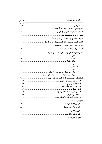|                                                      | تهرس الموصوحات |
|------------------------------------------------------|----------------|
|                                                      |                |
| الصفحة                                               | الموضوع        |
|                                                      |                |
|                                                      |                |
|                                                      |                |
|                                                      |                |
|                                                      |                |
|                                                      |                |
|                                                      |                |
|                                                      |                |
|                                                      | $-1$           |
|                                                      |                |
|                                                      |                |
|                                                      | $-\epsilon$    |
|                                                      | $-$ 0          |
|                                                      | _ শ            |
|                                                      | —ν             |
| ابن السبيل: وهو الغريب المنقطع المسافر لغير بلده  ٧٩ | $-\lambda$     |
|                                                      |                |
|                                                      |                |
|                                                      |                |
|                                                      |                |
|                                                      |                |
|                                                      |                |
|                                                      |                |
|                                                      |                |
|                                                      |                |
|                                                      |                |
|                                                      |                |
|                                                      |                |
|                                                      |                |
|                                                      |                |
|                                                      |                |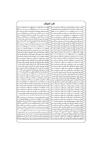| كتب للمؤلف                                                                                              |     |                                                                                                           |  |  |  |  |
|---------------------------------------------------------------------------------------------------------|-----|-----------------------------------------------------------------------------------------------------------|--|--|--|--|
| فضـــــــــــائل الصـــــــــــــــيام وقيــــــــــــــام رمضـــــــــــــان                           |     | العـــــــــروة الــــــــــوثقى _2 ضـــــــــوء الكتــــــــاب والســـــــــنة                           |  |  |  |  |
|                                                                                                         |     | بيسان عقيسدة أهسل السسنة والجماعسة ولسزوم اتباعهسا                                                        |  |  |  |  |
| العمسرة والحسج والزيسارة فخ ضسوء الكتساب والسسنة                                                        |     |                                                                                                           |  |  |  |  |
|                                                                                                         |     |                                                                                                           |  |  |  |  |
|                                                                                                         |     | شسرح أسمساء الله الحسسني فج ضسوء الكتساب والسسنة                                                          |  |  |  |  |
| رمــــــــــى الجمــــــــــرات في ضــــــــــوء الكتـــــــــاب والســـــــــنة                        | ع ہ |                                                                                                           |  |  |  |  |
| مناســــــــك الحــــــــــــج والعمــــــــــــرة في الإســـــــــــلام                                |     | النــــــور والظلمــــــات في الكتــــــاب والســــــنة                                                   |  |  |  |  |
| الجهـاد _ سـبيل الله: فضـله، وأسـباب النصـر علـى الأعـداء                                               |     | نسور التوحيسد وظلمسات الشسرك فج ضسوء الكتساب والسسنة                                                      |  |  |  |  |
| الفساهيم الصسحيحة للجهساد في ضسوء الكتساب والسسنة                                                       |     | نسور الإخسلاص وظلمسات إرادة السدنيا بعمسل الأخسرة                                                         |  |  |  |  |
|                                                                                                         |     | نور الإسلام وظلمات الكفسر في ضلوء الكتباب والسلنة                                                         |  |  |  |  |
| الربسا: أضــــراره وآشـــاره في ضــــوء الكتــــاب والســــنة                                           |     | نسور الإيمسان وظلمسات النفساق فج ضسوء الكتساب والسسنة                                                     |  |  |  |  |
|                                                                                                         |     | نسور السسنة وظلمسات البدعسة فج ضسوء الكتساب والسسنة  <sup>09</sup>                                        |  |  |  |  |
|                                                                                                         |     | نسور التقسوي وظلمسات المعاصسي في ضسوء الكتساب والسسنة   *                                                 |  |  |  |  |
| مواقف النبي صلى اللّه عليـه وسـلم في الـدعوة إلى اللّه تعـالى                                           |     | نسور الهسدى وظلمسات الضسلال في ضسوء الكتساب والسسنة                                                       |  |  |  |  |
| مواقـف الصـحابـة رضـى الله عـنهم _2 الـدعوة إلى الله تعــالى                                            |     | قضسية الستكفير بسين أهسل السسنة وفسرق الضسلال                                                             |  |  |  |  |
| مواقـــف التــــابعين وأتبــــاعهم ــة الــــدعوة إلى الله تعــــالى                                    |     | <sup>0</sup> \  الاعتصـــــــــــــــام بالكتـــــــــــــــاب والســــــــــــــــــنة                   |  |  |  |  |
| مواقسف العلمساء عسبر العصسور فج السدعوة إلى الله تعسالي                                                 |     | تبريسد حسرارة المعسيبة فجضوء الكتساب والسسنة                                                              |  |  |  |  |
| مفهــــوم الحكمــــة في ضــــوء الكتــــاب والســــنة                                                   |     | عقيـــــدة المســــــلم في ضـــــــوء الكتــــــاب والســــــنة (٢/١)                                     |  |  |  |  |
| كيفية دعوة الملحدين إلى الله تعالى في ضوء الكتاب والسنة                                                 |     | أنسواع الصسبر ومجالاتسه فخسوء الكتساب والسسنة                                                             |  |  |  |  |
| كيفية دعوة الـوثنيين إلى الله تعـالى _ ضوء الكتـاب والسـنة                                              |     | آفـــات اللســــان في ضــــوء الكتــــاب والســــنة                                                       |  |  |  |  |
| كيفيـة دعوة أهل الكتاب إلى الله تعالى في ضوء الكتاب والسنــة                                            |     | ۲,                                                                                                        |  |  |  |  |
|                                                                                                         |     | طهــــــــــور المســــــــــلم في ضـــــــــــوءِ الكتـــــــــاب والســـــــــنة                        |  |  |  |  |
| كيفية دعوة عصاة المسلمين إلى الله تعالى في ضوء الكتاب والسنة                                            |     |                                                                                                           |  |  |  |  |
| مقومسات الداعيسة النساجح فجضوء الكتساب والسسنة                                                          |     | الأذان والإقامـــــة فج ضــــــــــوء الكتـــــــــاب والســــــــنة                                      |  |  |  |  |
| فقـــه الـــدعوة _2 صـــحـيح الإمـــام البـخـــاري رحمـــه اللّه (٢/١)                                  |     | ۲ ۲<br>شـــــــروط الصـــــــــــلاة في ضــــــــوء الكتــــــــاب والســــــــنة                         |  |  |  |  |
| لـنكر والـدعاء والعـلاج بـالرقى مـن الكتـاب والسـنة (٤/١)                                               |     | قرة عيون المصلين ببيان صفة صلاة المحسنين في ضوء الكتاب والسنة                                             |  |  |  |  |
| الــــــــــــــدعاء مــــــــــــــــن الكتـــــــــــــــاب والســــــــــــــــنة                    |     | أركسان الصللاة وواجباتها فج ضوء الكتساب والسنسنة                                                          |  |  |  |  |
| حصسسن المسسلم مسسن أذكسار الكتسساب والسسسنة                                                             | ٧٤  | سجود السهو: مشروعيته ومواضعه وأسبابه في ضوء الكتاب والسنة                                                 |  |  |  |  |
| ورد الصهياح والمساء في ضهوء الكتــاب والســــنة                                                         | ٧٥  | ٢٧<br>صلاة التطوع: مفهوم وفضائل وأقسام وأنواع في ضوء الكتاب والسنة                                        |  |  |  |  |
| العسسلاج بسسالرقي مسسن الكتسساب والسسسنة                                                                | ٧٦  | ۲۸<br>صـــلاة الجماعـــة: مفهـــو، وفضـــائل، وأحكــام، وفوائـــد، وآداب                                  |  |  |  |  |
|                                                                                                         |     | ۲۹<br>المســــاجد، مفهـــــوم، وفضـــــائل، وأحكـــــام، وحقـــــوق، وآداب                                |  |  |  |  |
| نسور الشسيب وحكسم تغسييره فجضسوء الكتساب والسسنة                                                        |     | ٢,<br>الإمامـــة في الصـــــــــلاة في ضـــــــوء الكتـــــــاب والســــــنة                              |  |  |  |  |
| قيسام الليسل: فضسله وآدابسه في ضسوء الكتساب والسسنة                                                     |     | ۳۱                                                                                                        |  |  |  |  |
| صعسلة الأرحسام في ضعيوء الكتـــاب والســـــنة                                                           |     | ۳۲                                                                                                        |  |  |  |  |
| \ ^  ســـــــــــر الوالـــــــــــدين في ضــــــــــــوءِ الكتــــــــــاب والســــــــــنة            |     | ٣٢                                                                                                        |  |  |  |  |
| سيستلامة الصيصدرية ضيصوء الكتيساب والسيسنة                                                              | ۸۲  | ۳٤<br>ـــنة                                                                                               |  |  |  |  |
| ثواب القرب المهداة إلى أموات المسلمين في ضوء الكتاب والسنسة                                             |     | ه ۳<br>صيطلاة العيسيدين في ضيوء الكتيساب والسيسنة                                                         |  |  |  |  |
| وداع الـــربســــــــول صـــــــــلى الله علــــدٍــــــــــــــه وســــــــــلم لأمـــــدّــــــــــ ه |     | ٣٦<br>سلاة الكسيسوف فج ضيسوء الكتيسات والسيسنة                                                            |  |  |  |  |
| ة للعــــالمين محمــــد رســـــول الله ســـــيد النــــــاس ﷺ                                           | ۸٥  | $\mathsf{r}\mathsf{v}$<br>ـلاة الاستســــــقاء _2 ضـــــــــوء الكتــ<br>ـــاب ەالس                       |  |  |  |  |
| الغفلـــــــــة: خطرهــــــــــا وأســــــــــبابها وعلاجهـــــــــا                                    |     | ۳۸<br>أحكــــــــام الجنـــــــــائز _2 ضــــــــــوء الكتـــــــــاب والســــــــــنة $ \wedge\uparrow $ |  |  |  |  |
| الثمر المجتنى مختصر شرح أسماء الله الحسني (تحت الطبع)                                                   |     |                                                                                                           |  |  |  |  |
|                                                                                                         |     | صلاة المؤمن: مفهـوم، وفضـائل، وآداب، وأنـواع، وأحكـام (٣/١) $\mathcal{N}   (\mathbf{r}/\mathbf{r})$       |  |  |  |  |
| عظمـة القــرآن الكـريم وتعظيمـه وأشـره في النفــوس والأرواح                                             |     | $\epsilon$ .                                                                                              |  |  |  |  |
|                                                                                                         |     | ٤١<br>ـاة بهميــــة الأنعــــام في ضــــوء الكتــــاب والســــنة $\mathbin{ \Lambda^{\mathsf{q}} }$       |  |  |  |  |
| تصحيح شرح حصن المسلم في ضوء الكتاب والسنة                                                               |     | ٤٢<br>زكساة الخسارج مسن الأرض في ضسوء الكتساب والسسنة المله                                               |  |  |  |  |
| ـــــف لا تنــــــــسى مـــن ســيرة والمدتى رحمهـــــا الل ا                                            |     | ٤٣                                                                                                        |  |  |  |  |
| إجبابسة النسداء في ضيسسوء السنسسة السمطهسسسسر ة                                                         |     | ـــاة عــــروض التجــــارة في ضــــوء الكتــــاب والســــنة $\vert$ ٩٢<br>٤٤                              |  |  |  |  |
| أبراج الزجاج ⊈ سيرة الحجاج: تأليف عبدالرحمن بن سعيد رحمه الله (تحقيق )                                  |     | ه ٤<br>سنة ۹۳<br>_____اة الفط____ريخ ضــــــــوءِ الكتــــــــاب والس                                     |  |  |  |  |
| الجنـة والنـار: تـأليف عبـدالـرحمن بـن سـعيد بـن علـى رحمـه الله (تحقيـق)                               | ۹ ٤ | ٤٦<br>مصارف الزكاة في الإسلام في ضروء الكتساب والسينة                                                     |  |  |  |  |
| غـزوة فـتح مكـة: تـأليف عبـدالرحمن بـن سـعيد بـن علـى رحمـه الله (تحقيـق)                               |     | ٤٧                                                                                                        |  |  |  |  |
| سيرة الشـاب الصـالح عبـدالرحمن بـن سـعيد بـن بـن علـى وهـف رحمـه الله                                   |     | سنة ۹٦<br>$\epsilon$ $\lambda$<br>ــــاة في الإســـــــــــلام في ضـــــــــوءِ الكتــــــــاب والســ     |  |  |  |  |
|                                                                                                         |     |                                                                                                           |  |  |  |  |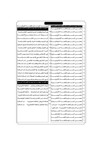| نور السنة وظلمات البدعة في ضوء الكتاب والسنة                                                                                   |                            |                                                                                      |  |                        |
|--------------------------------------------------------------------------------------------------------------------------------|----------------------------|--------------------------------------------------------------------------------------|--|------------------------|
| شـــــــــروط الــــــــــدعاء وموانـــــــــع الإجابـــــــة                                                                  |                            |                                                                                      |  |                        |
| السدعاء مسسن الكتساب والسسنة                                                                                                   |                            | حصــــــــــن المســــــــــلم بـاللخـــــــــــة الإندونيســـــــــية ٣٤            |  | ٤                      |
|                                                                                                                                |                            |                                                                                      |  | ٥                      |
|                                                                                                                                |                            |                                                                                      |  |                        |
|                                                                                                                                |                            |                                                                                      |  |                        |
|                                                                                                                                |                            |                                                                                      |  |                        |
|                                                                                                                                |                            |                                                                                      |  |                        |
| حصــــــــن المســــــــلم باللغــــــــة الفارســــــــية  ٤٠  صـــــلاة التطــــوع فج ضــــوء الكتـــــاب والســــنة         |                            |                                                                                      |  | ١.                     |
|                                                                                                                                |                            |                                                                                      |  | ۱۱                     |
| حصـــــــن المســـــــــلم باللغـــــــــة التاميليـــــــــة ٤٢  نـــور الإســـلام وظلمـــات الكفـــر (دار الســــلام)        |                            |                                                                                      |  | ۱۲                     |
|                                                                                                                                |                            |                                                                                      |  | ۱٢                     |
| حصـــــــــن المســـــــــــلم باللغــــــــــة البشـــــــــتو ٤٤  النــور والظلمــات في الكتــاب والسـنة (دار الســلام)      |                            |                                                                                      |  | $\lambda$              |
|                                                                                                                                |                            |                                                                                      |  | $\sqrt{2}$             |
| ١٦ حصـــــــــن المســــــــــلم باللغــــــــــة الهنديـــــــــــة ٤٦  نــور الهـدى وظلمــات الضـلال (دار السـلام) ثالثـــاً |                            |                                                                                      |  |                        |
| نور الشكيب وحكسم تغسييره (دار السللام)                                                                                         |                            |                                                                                      |  |                        |
| * ثالثــــاً: كتـــب مترجمــــة للغــــات أخـــــرى:                                                                           |                            |                                                                                      |  |                        |
| مرشد الحاج والمعتمر والزائر (باللغة الماليبارية)                                                                               |                            |                                                                                      |  |                        |
| الدعاء من الكتاب والسنة (باللغة الفارسية)                                                                                      |                            |                                                                                      |  |                        |
| بيان عقيدة أهل السنة والجماعة  (باللغة الإندونيسية )                                                                           |                            | ٢١ حصـــــــن المســـــــــــلم بـاللغــــــــــة الألبـانيـــــــــة  <sup>٥٠</sup> |  |                        |
| نور السنة وظلمات البدعة في ضوء الكتاب والسنة باللغة الماليبارية                                                                |                            | ٢٢ حصــــــــن المســـــــــــلم بـاللغــــــــــة البوســـــــــنية  <sup>٥٥</sup>  |  |                        |
| الـدعاء مـن الكتـاب والسـنة (باللغـة اللوغنديـة)                                                                               |                            | حصيــــــــــن المســـــــــــلم بـاللغـــــــــــة الألمانيـــــــــــة  ' "        |  | ۲۳                     |
| صـلاة الـريض (باللغـة مليباريـة -<br>دار السيلام)                                                                              | $\circ$ $\mathsf{r}$       | حصيصن المستسلم باللغيسة الأستسبانية                                                  |  | ۲٤                     |
| رحمة للعالمين (باللغة الإنجليزيـة —  دار السلام)                                                                               | $\circ$ $\acute{\text{ }}$ | حصين المسلم باللغة الفليينية « مرنساو »                                              |  | ه ۲                    |
|                                                                                                                                |                            | حصــن المســلم باللغــة الفلبينيــة « تجــالوج »                                     |  | ۲٦                     |
|                                                                                                                                |                            | حصير المسلم باللغيسة الصيومالية                                                      |  | $\mathsf{Y}\mathsf{V}$ |
|                                                                                                                                |                            | حصيص المسلم باللغيسة الطاجكيب                                                        |  | ۲۸                     |
|                                                                                                                                |                            | حصيصن المستطم باللغيسة الأذريبية                                                     |  | ۲۹                     |
|                                                                                                                                |                            |                                                                                      |  | $\mathfrak{r}$ .       |
|                                                                                                                                |                            |                                                                                      |  |                        |